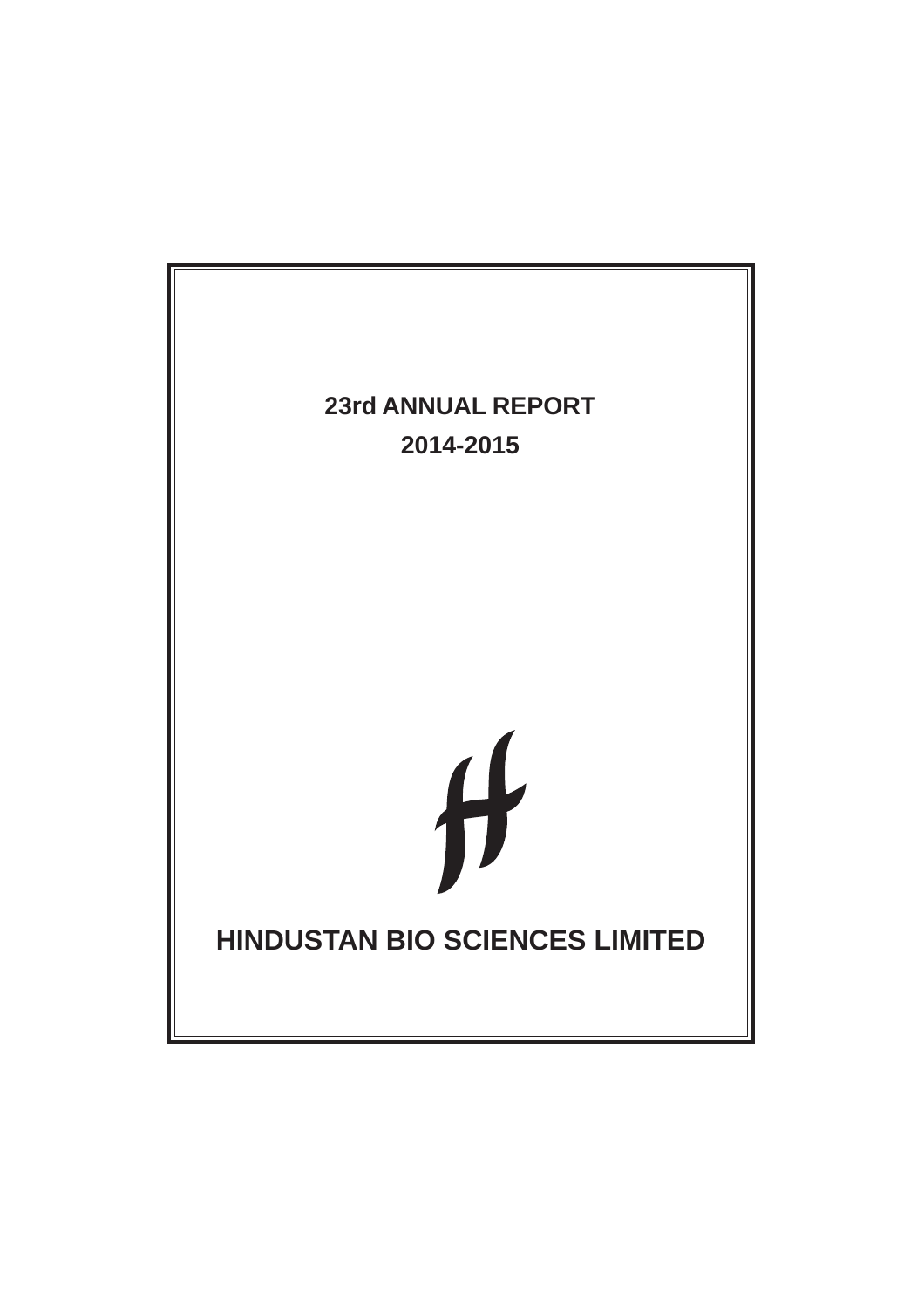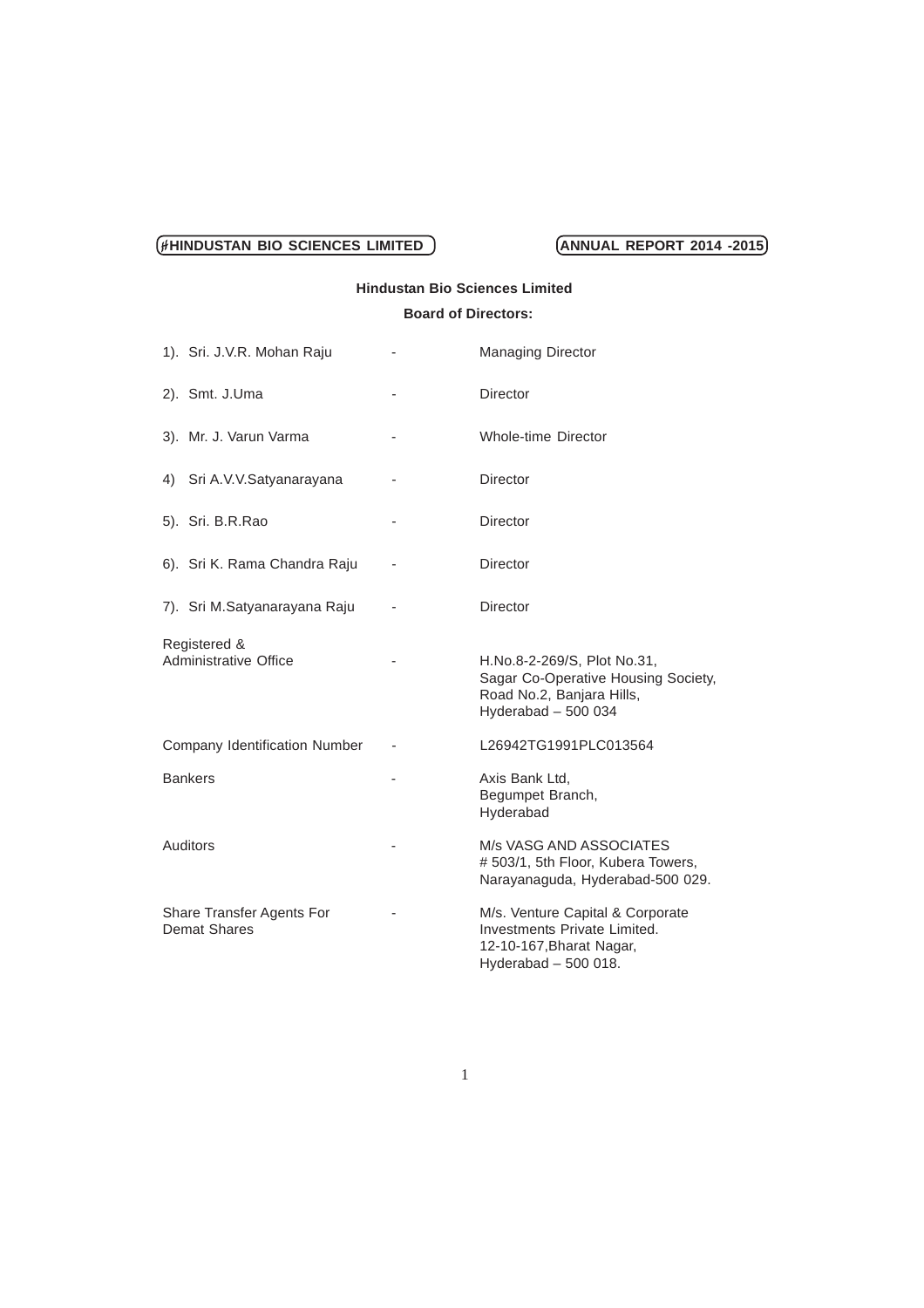# **Hindustan Bio Sciences Limited**

# **Board of Directors:**

| 1). Sri. J.V.R. Mohan Raju                       | $\overline{\phantom{m}}$ | <b>Managing Director</b>                                                                                               |
|--------------------------------------------------|--------------------------|------------------------------------------------------------------------------------------------------------------------|
| 2). Smt. J.Uma                                   |                          | Director                                                                                                               |
| 3). Mr. J. Varun Varma                           |                          | <b>Whole-time Director</b>                                                                                             |
| Sri A.V.V.Satyanarayana<br>4)                    |                          | <b>Director</b>                                                                                                        |
| 5). Sri. B.R.Rao                                 |                          | <b>Director</b>                                                                                                        |
| 6). Sri K. Rama Chandra Raju                     |                          | <b>Director</b>                                                                                                        |
| 7). Sri M.Satyanarayana Raju                     |                          | <b>Director</b>                                                                                                        |
| Registered &<br>Administrative Office            |                          | H.No.8-2-269/S, Plot No.31,<br>Sagar Co-Operative Housing Society,<br>Road No.2, Banjara Hills,<br>Hyderabad $-500034$ |
| Company Identification Number                    |                          | L26942TG1991PLC013564                                                                                                  |
| <b>Bankers</b>                                   |                          | Axis Bank Ltd.<br>Begumpet Branch,<br>Hyderabad                                                                        |
| Auditors                                         |                          | M/s VASG AND ASSOCIATES<br># 503/1, 5th Floor, Kubera Towers,<br>Narayanaguda, Hyderabad-500 029.                      |
| Share Transfer Agents For<br><b>Demat Shares</b> |                          | M/s. Venture Capital & Corporate<br>Investments Private Limited.<br>12-10-167, Bharat Nagar,<br>Hyderabad - 500 018.   |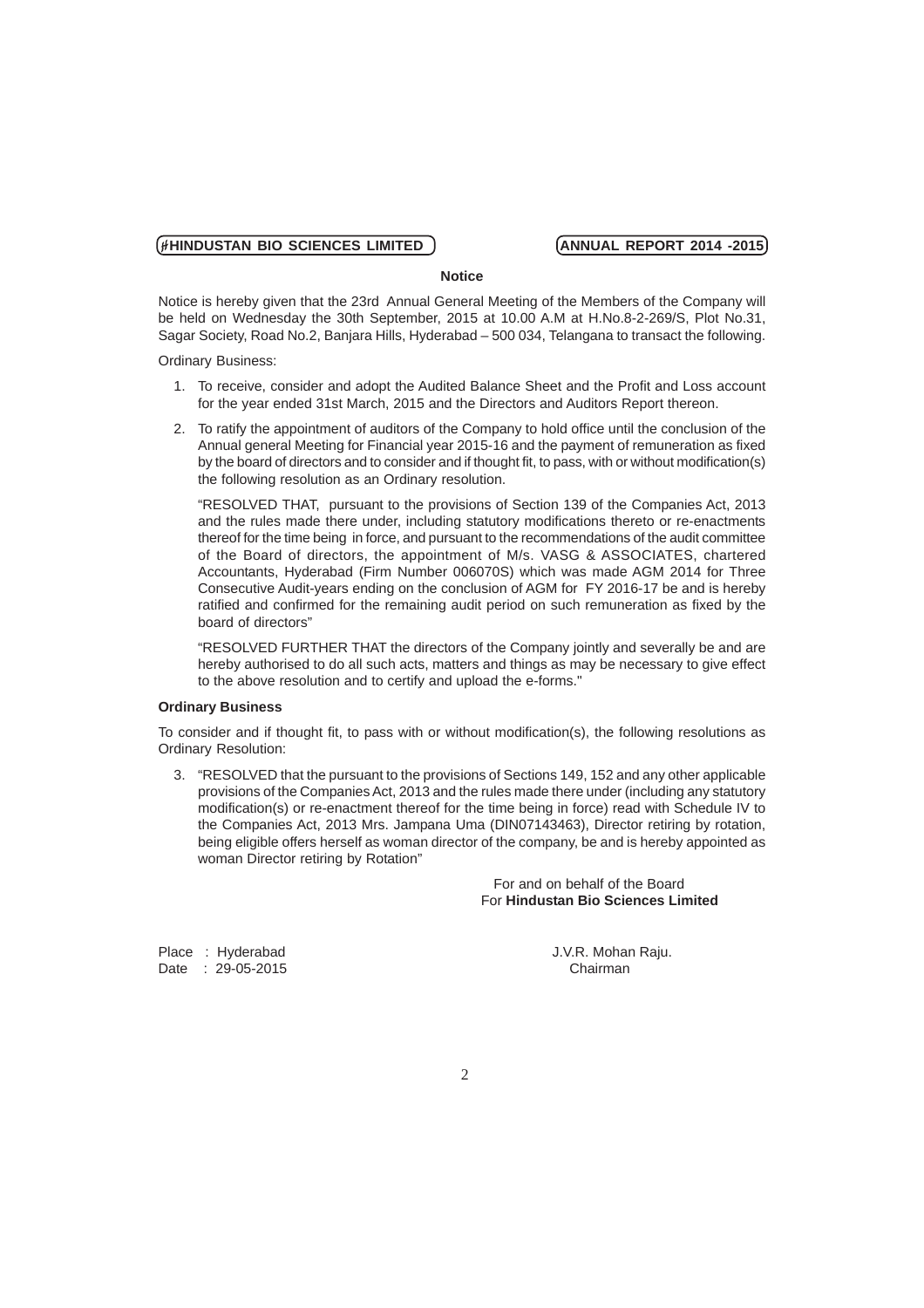### **Notice**

Notice is hereby given that the 23rd Annual General Meeting of the Members of the Company will be held on Wednesday the 30th September, 2015 at 10.00 A.M at H.No.8-2-269/S, Plot No.31, Sagar Society, Road No.2, Banjara Hills, Hyderabad – 500 034, Telangana to transact the following.

Ordinary Business:

- 1. To receive, consider and adopt the Audited Balance Sheet and the Profit and Loss account for the year ended 31st March, 2015 and the Directors and Auditors Report thereon.
- 2. To ratify the appointment of auditors of the Company to hold office until the conclusion of the Annual general Meeting for Financial year 2015-16 and the payment of remuneration as fixed by the board of directors and to consider and if thought fit, to pass, with or without modification(s) the following resolution as an Ordinary resolution.

"RESOLVED THAT, pursuant to the provisions of Section 139 of the Companies Act, 2013 and the rules made there under, including statutory modifications thereto or re-enactments thereof for the time being in force, and pursuant to the recommendations of the audit committee of the Board of directors, the appointment of M/s. VASG & ASSOCIATES, chartered Accountants, Hyderabad (Firm Number 006070S) which was made AGM 2014 for Three Consecutive Audit-years ending on the conclusion of AGM for FY 2016-17 be and is hereby ratified and confirmed for the remaining audit period on such remuneration as fixed by the board of directors"

"RESOLVED FURTHER THAT the directors of the Company jointly and severally be and are hereby authorised to do all such acts, matters and things as may be necessary to give effect to the above resolution and to certify and upload the e-forms."

# **Ordinary Business**

To consider and if thought fit, to pass with or without modification(s), the following resolutions as Ordinary Resolution:

3. "RESOLVED that the pursuant to the provisions of Sections 149, 152 and any other applicable provisions of the Companies Act, 2013 and the rules made there under (including any statutory modification(s) or re-enactment thereof for the time being in force) read with Schedule IV to the Companies Act, 2013 Mrs. Jampana Uma (DIN07143463), Director retiring by rotation, being eligible offers herself as woman director of the company, be and is hereby appointed as woman Director retiring by Rotation"

> For and on behalf of the Board For **Hindustan Bio Sciences Limited**

Date : 29-05-2015 Chairman

Place : Hyderabad J.V.R. Mohan Raju.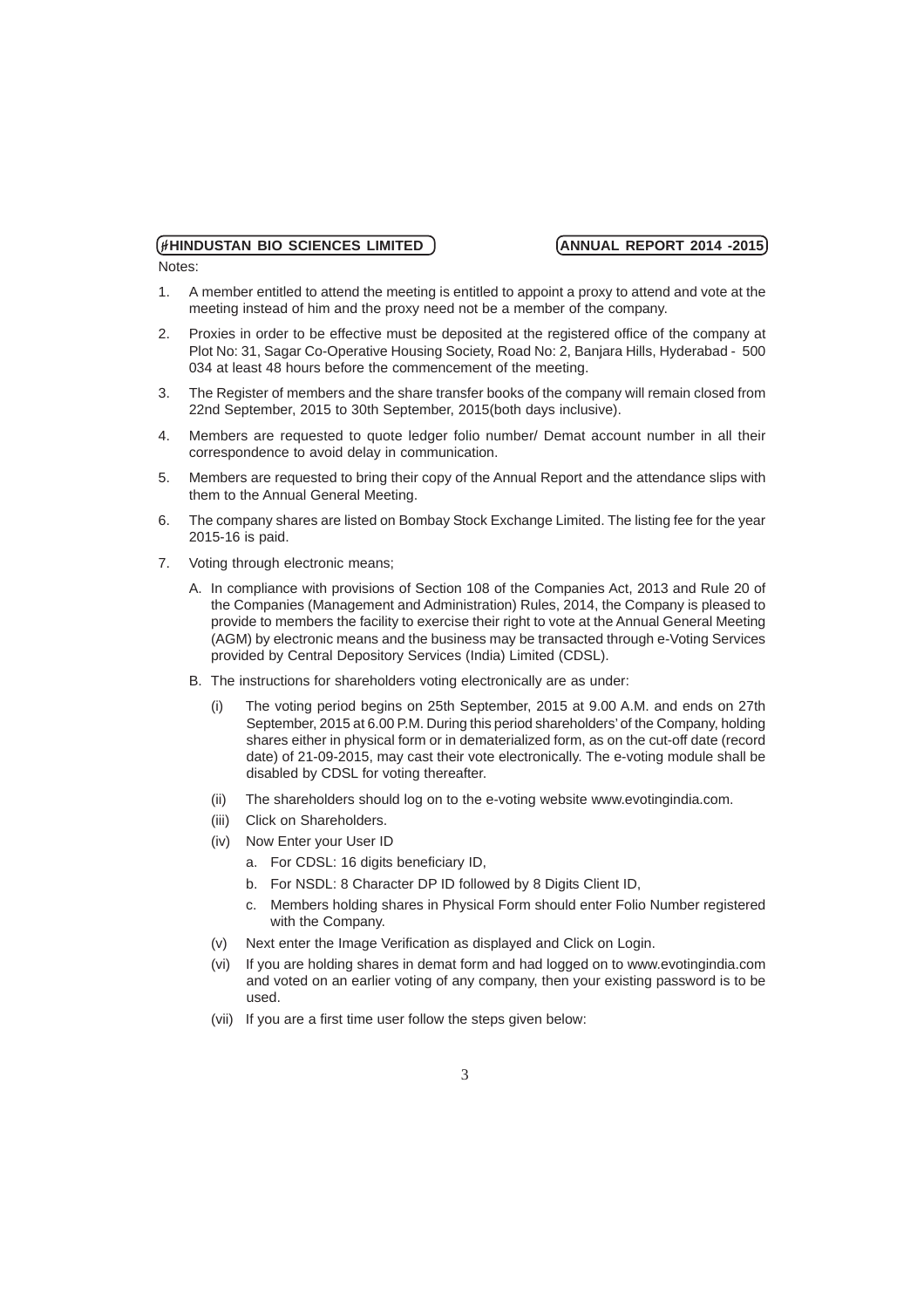- Notes:
- 1. A member entitled to attend the meeting is entitled to appoint a proxy to attend and vote at the meeting instead of him and the proxy need not be a member of the company.
- 2. Proxies in order to be effective must be deposited at the registered office of the company at Plot No: 31, Sagar Co-Operative Housing Society, Road No: 2, Banjara Hills, Hyderabad - 500 034 at least 48 hours before the commencement of the meeting.
- 3. The Register of members and the share transfer books of the company will remain closed from 22nd September, 2015 to 30th September, 2015(both days inclusive).
- 4. Members are requested to quote ledger folio number/ Demat account number in all their correspondence to avoid delay in communication.
- 5. Members are requested to bring their copy of the Annual Report and the attendance slips with them to the Annual General Meeting.
- 6. The company shares are listed on Bombay Stock Exchange Limited. The listing fee for the year 2015-16 is paid.
- 7. Voting through electronic means;
	- A. In compliance with provisions of Section 108 of the Companies Act, 2013 and Rule 20 of the Companies (Management and Administration) Rules, 2014, the Company is pleased to provide to members the facility to exercise their right to vote at the Annual General Meeting (AGM) by electronic means and the business may be transacted through e-Voting Services provided by Central Depository Services (India) Limited (CDSL).
	- B. The instructions for shareholders voting electronically are as under:
		- (i) The voting period begins on 25th September, 2015 at 9.00 A.M. and ends on 27th September, 2015 at 6.00 P.M. During this period shareholders' of the Company, holding shares either in physical form or in dematerialized form, as on the cut-off date (record date) of 21-09-2015, may cast their vote electronically. The e-voting module shall be disabled by CDSL for voting thereafter.
		- (ii) The shareholders should log on to the e-voting website www.evotingindia.com.
		- (iii) Click on Shareholders.
		- (iv) Now Enter your User ID
			- a. For CDSL: 16 digits beneficiary ID,
			- b. For NSDL: 8 Character DP ID followed by 8 Digits Client ID,
			- c. Members holding shares in Physical Form should enter Folio Number registered with the Company.
		- (v) Next enter the Image Verification as displayed and Click on Login.
		- (vi) If you are holding shares in demat form and had logged on to www.evotingindia.com and voted on an earlier voting of any company, then your existing password is to be used.
		- (vii) If you are a first time user follow the steps given below: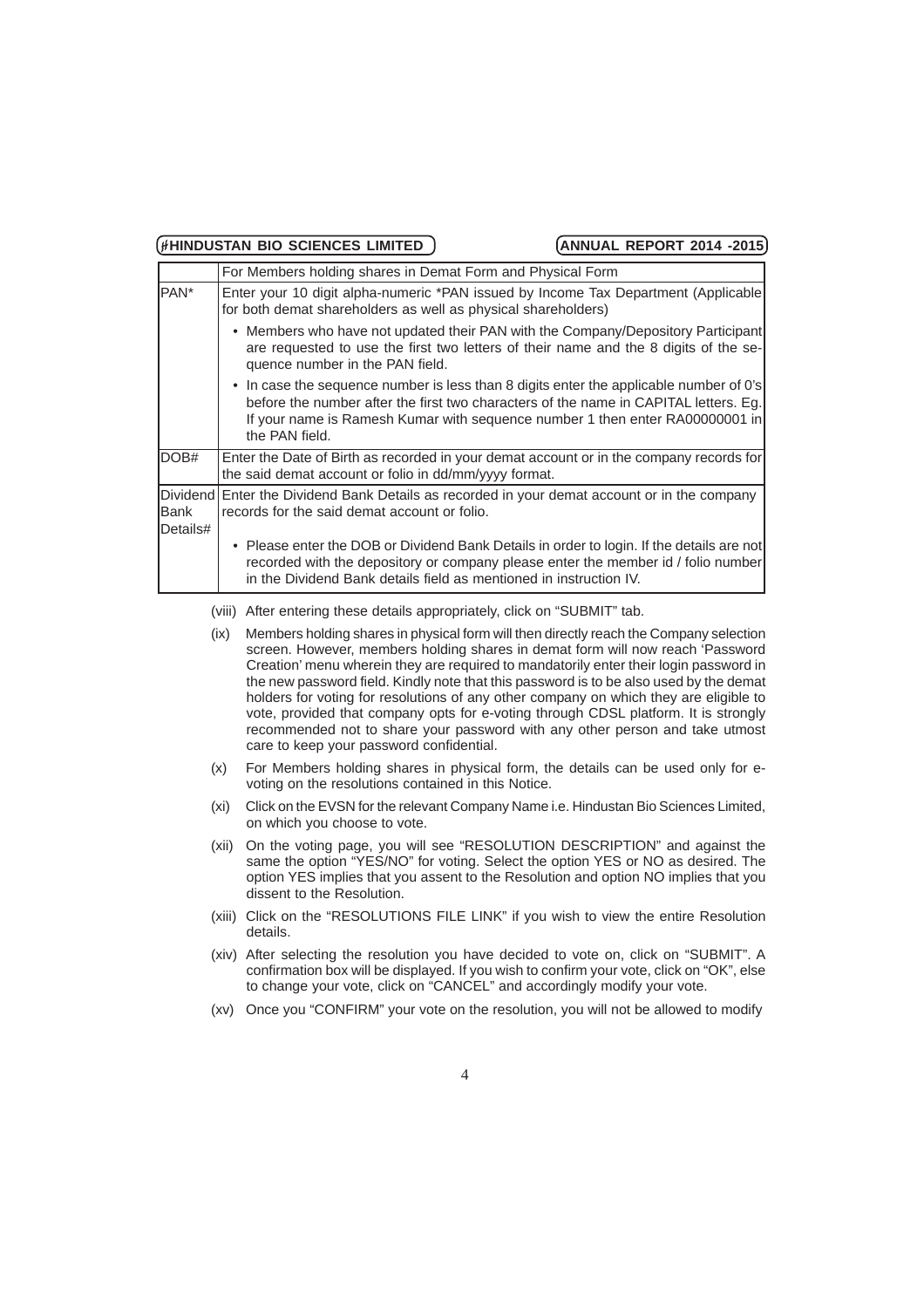|                  | For Members holding shares in Demat Form and Physical Form                                                                                                                                                                                                                       |
|------------------|----------------------------------------------------------------------------------------------------------------------------------------------------------------------------------------------------------------------------------------------------------------------------------|
| PAN <sup>*</sup> | Enter your 10 digit alpha-numeric *PAN issued by Income Tax Department (Applicable)<br>for both demat shareholders as well as physical shareholders)                                                                                                                             |
|                  | • Members who have not updated their PAN with the Company/Depository Participant<br>are requested to use the first two letters of their name and the 8 digits of the se-<br>quence number in the PAN field.                                                                      |
|                  | • In case the sequence number is less than 8 digits enter the applicable number of 0's<br>before the number after the first two characters of the name in CAPITAL letters. Eg.<br>If your name is Ramesh Kumar with sequence number 1 then enter RA00000001 in<br>the PAN field. |
| DOB#             | Enter the Date of Birth as recorded in your demat account or in the company records for<br>the said demat account or folio in dd/mm/yyyy format.                                                                                                                                 |
| Bank<br>Details# | Dividend Enter the Dividend Bank Details as recorded in your demat account or in the company<br>records for the said demat account or folio.                                                                                                                                     |
|                  | Please enter the DOB or Dividend Bank Details in order to login. If the details are not<br>$\bullet$<br>recorded with the depository or company please enter the member id / folio number<br>in the Dividend Bank details field as mentioned in instruction IV.                  |
|                  | After entering these details appropriately, click on "SUBMIT" tab.<br>(viii)                                                                                                                                                                                                     |
|                  | Members holding shares in physical form will then directly reach the Company selection<br>(ix)<br>screen. However, members holding shares in demat form will now reach 'Password<br>Creation' menu wherein they are required to mandatorily enter their login password in        |

the new password field. Kindly note that this password is to be also used by the demat holders for voting for resolutions of any other company on which they are eligible to vote, provided that company opts for e-voting through CDSL platform. It is strongly recommended not to share your password with any other person and take utmost care to keep your password confidential.

- (x) For Members holding shares in physical form, the details can be used only for evoting on the resolutions contained in this Notice.
- (xi) Click on the EVSN for the relevant Company Name i.e. Hindustan Bio Sciences Limited, on which you choose to vote.
- (xii) On the voting page, you will see "RESOLUTION DESCRIPTION" and against the same the option "YES/NO" for voting. Select the option YES or NO as desired. The option YES implies that you assent to the Resolution and option NO implies that you dissent to the Resolution.
- (xiii) Click on the "RESOLUTIONS FILE LINK" if you wish to view the entire Resolution details.
- (xiv) After selecting the resolution you have decided to vote on, click on "SUBMIT". A confirmation box will be displayed. If you wish to confirm your vote, click on "OK", else to change your vote, click on "CANCEL" and accordingly modify your vote.
- (xv) Once you "CONFIRM" your vote on the resolution, you will not be allowed to modify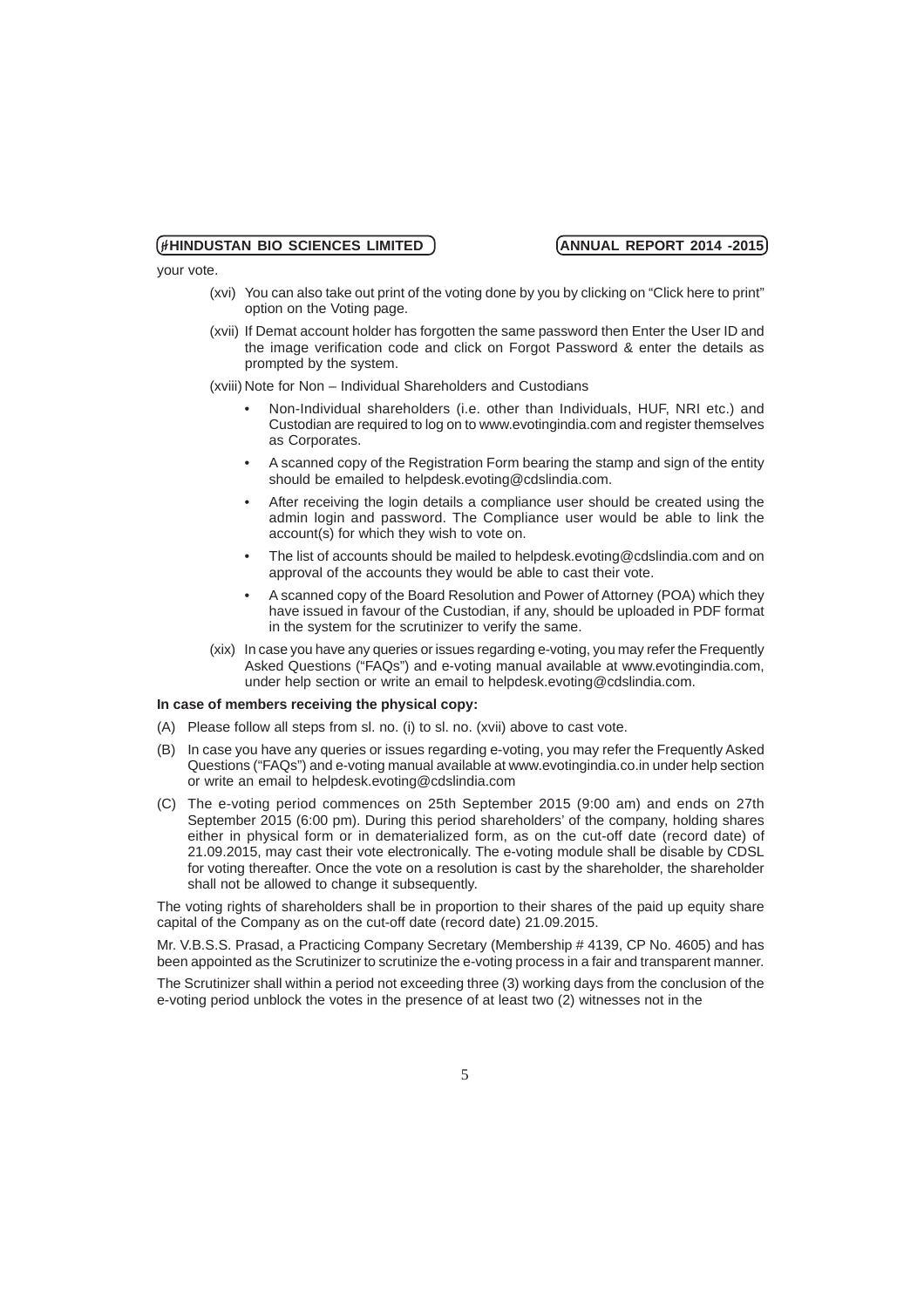your vote.

- (xvi) You can also take out print of the voting done by you by clicking on "Click here to print" option on the Voting page.
- (xvii) If Demat account holder has forgotten the same password then Enter the User ID and the image verification code and click on Forgot Password & enter the details as prompted by the system.

(xviii) Note for Non – Individual Shareholders and Custodians

- Non-Individual shareholders (i.e. other than Individuals, HUF, NRI etc.) and Custodian are required to log on to www.evotingindia.com and register themselves as Corporates.
- A scanned copy of the Registration Form bearing the stamp and sign of the entity should be emailed to helpdesk.evoting@cdslindia.com.
- After receiving the login details a compliance user should be created using the admin login and password. The Compliance user would be able to link the account(s) for which they wish to vote on.
- The list of accounts should be mailed to helpdesk.evoting@cdslindia.com and on approval of the accounts they would be able to cast their vote.
- A scanned copy of the Board Resolution and Power of Attorney (POA) which they have issued in favour of the Custodian, if any, should be uploaded in PDF format in the system for the scrutinizer to verify the same.
- (xix) In case you have any queries or issues regarding e-voting, you may refer the Frequently Asked Questions ("FAQs") and e-voting manual available at www.evotingindia.com, under help section or write an email to helpdesk.evoting@cdslindia.com.

### **In case of members receiving the physical copy:**

- (A) Please follow all steps from sl. no. (i) to sl. no. (xvii) above to cast vote.
- (B) In case you have any queries or issues regarding e-voting, you may refer the Frequently Asked Questions ("FAQs") and e-voting manual available at www.evotingindia.co.in under help section or write an email to helpdesk.evoting@cdslindia.com
- (C) The e-voting period commences on 25th September 2015 (9:00 am) and ends on 27th September 2015 (6:00 pm). During this period shareholders' of the company, holding shares either in physical form or in dematerialized form, as on the cut-off date (record date) of 21.09.2015, may cast their vote electronically. The e-voting module shall be disable by CDSL for voting thereafter. Once the vote on a resolution is cast by the shareholder, the shareholder shall not be allowed to change it subsequently.

The voting rights of shareholders shall be in proportion to their shares of the paid up equity share capital of the Company as on the cut-off date (record date) 21.09.2015.

Mr. V.B.S.S. Prasad, a Practicing Company Secretary (Membership # 4139, CP No. 4605) and has been appointed as the Scrutinizer to scrutinize the e-voting process in a fair and transparent manner.

The Scrutinizer shall within a period not exceeding three (3) working days from the conclusion of the e-voting period unblock the votes in the presence of at least two (2) witnesses not in the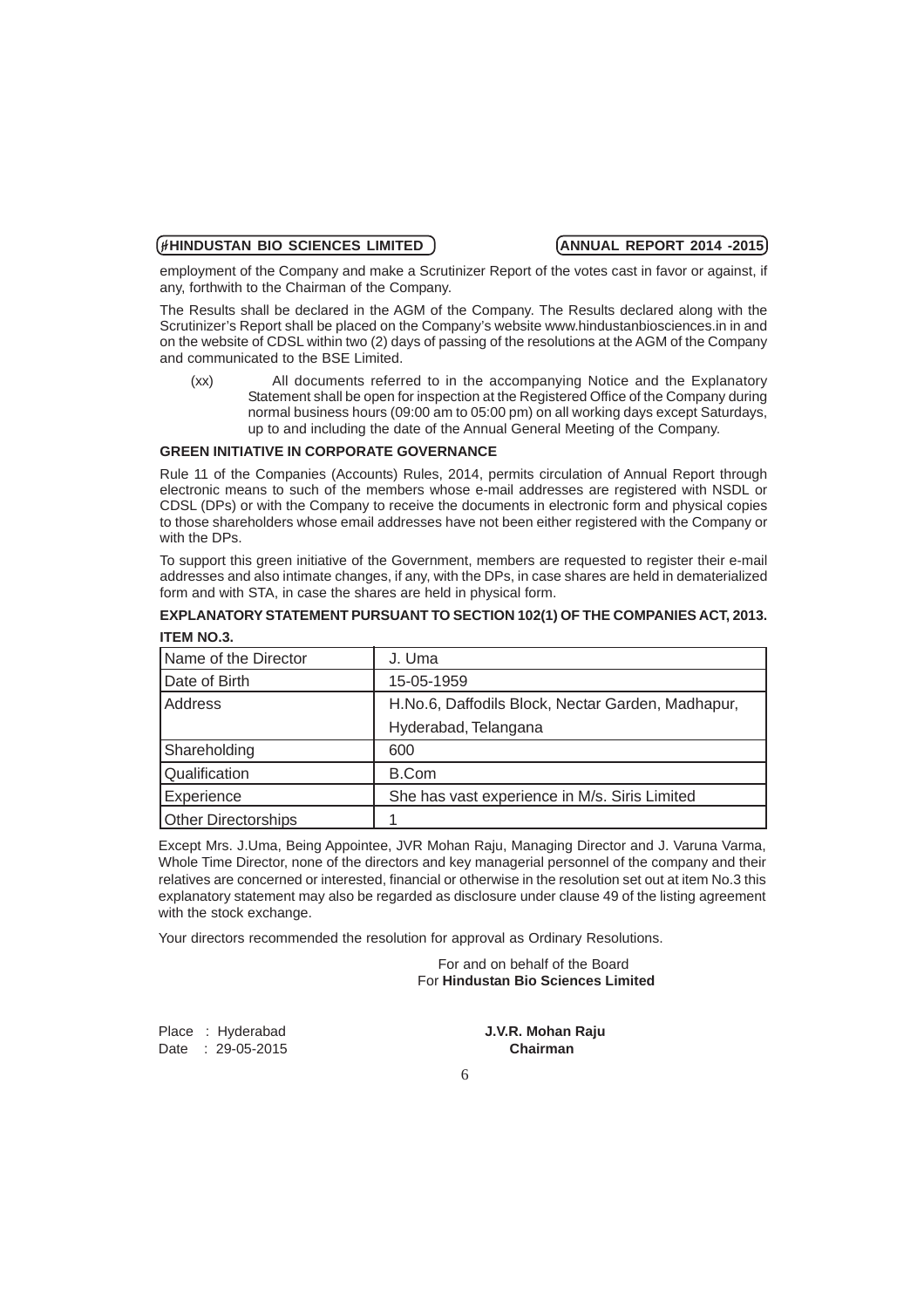employment of the Company and make a Scrutinizer Report of the votes cast in favor or against, if any, forthwith to the Chairman of the Company.

The Results shall be declared in the AGM of the Company. The Results declared along with the Scrutinizer's Report shall be placed on the Company's website www.hindustanbiosciences.in in and on the website of CDSL within two (2) days of passing of the resolutions at the AGM of the Company and communicated to the BSE Limited.

(xx) All documents referred to in the accompanying Notice and the Explanatory Statement shall be open for inspection at the Registered Office of the Company during normal business hours (09:00 am to 05:00 pm) on all working days except Saturdays, up to and including the date of the Annual General Meeting of the Company.

### **GREEN INITIATIVE IN CORPORATE GOVERNANCE**

Rule 11 of the Companies (Accounts) Rules, 2014, permits circulation of Annual Report through electronic means to such of the members whose e-mail addresses are registered with NSDL or CDSL (DPs) or with the Company to receive the documents in electronic form and physical copies to those shareholders whose email addresses have not been either registered with the Company or with the DPs.

To support this green initiative of the Government, members are requested to register their e-mail addresses and also intimate changes, if any, with the DPs, in case shares are held in dematerialized form and with STA, in case the shares are held in physical form.

### **EXPLANATORY STATEMENT PURSUANT TO SECTION 102(1) OF THE COMPANIES ACT, 2013. ITEM NO.3.**

| Name of the Director       | J. Uma                                            |  |  |  |
|----------------------------|---------------------------------------------------|--|--|--|
| Date of Birth              | 15-05-1959                                        |  |  |  |
| Address                    | H.No.6, Daffodils Block, Nectar Garden, Madhapur, |  |  |  |
|                            | Hyderabad, Telangana                              |  |  |  |
| Shareholding               | 600                                               |  |  |  |
| Qualification              | <b>B.Com</b>                                      |  |  |  |
| Experience                 | She has vast experience in M/s. Siris Limited     |  |  |  |
| <b>Other Directorships</b> |                                                   |  |  |  |

Except Mrs. J.Uma, Being Appointee, JVR Mohan Raju, Managing Director and J. Varuna Varma, Whole Time Director, none of the directors and key managerial personnel of the company and their relatives are concerned or interested, financial or otherwise in the resolution set out at item No.3 this explanatory statement may also be regarded as disclosure under clause 49 of the listing agreement with the stock exchange.

Your directors recommended the resolution for approval as Ordinary Resolutions.

For and on behalf of the Board For **Hindustan Bio Sciences Limited**

Date : 29-05-2015

Place : Hyderabad **J.V.R. Mohan Raju**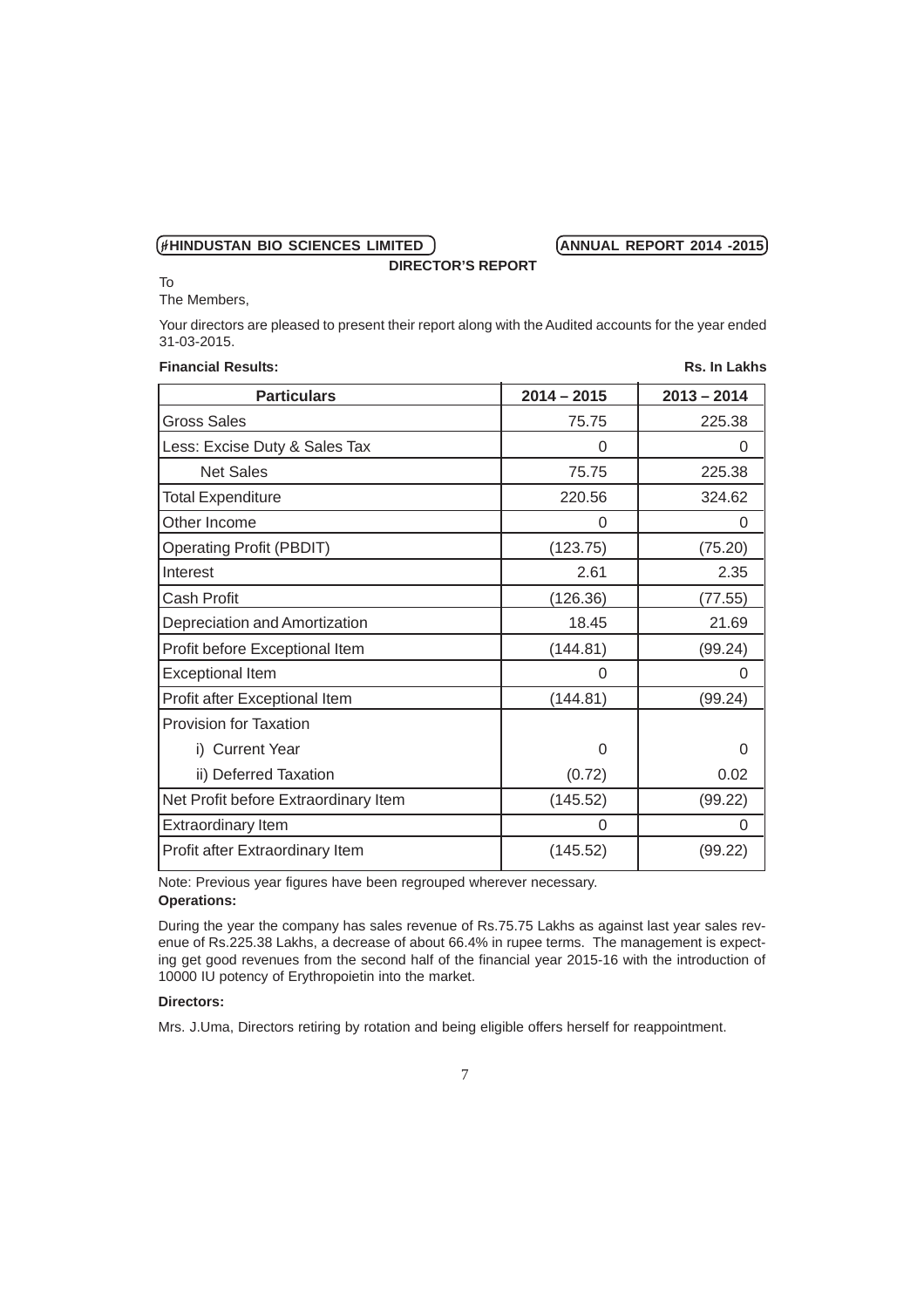To

The Members,

Your directors are pleased to present their report along with the Audited accounts for the year ended 31-03-2015.

**DIRECTOR'S REPORT**

| <b>Financial Results:</b><br>Rs. In Lakhs |               |               |  |  |  |
|-------------------------------------------|---------------|---------------|--|--|--|
| <b>Particulars</b>                        | $2014 - 2015$ | $2013 - 2014$ |  |  |  |
| <b>Gross Sales</b>                        | 75.75         | 225.38        |  |  |  |
| Less: Excise Duty & Sales Tax             | 0             | 0             |  |  |  |
| <b>Net Sales</b>                          | 75.75         | 225.38        |  |  |  |
| <b>Total Expenditure</b>                  | 220.56        | 324.62        |  |  |  |
| Other Income                              | 0             | $\Omega$      |  |  |  |
| <b>Operating Profit (PBDIT)</b>           | (123.75)      | (75.20)       |  |  |  |
| Interest                                  | 2.61          | 2.35          |  |  |  |
| Cash Profit                               | (126.36)      | (77.55)       |  |  |  |
| Depreciation and Amortization             | 18.45         | 21.69         |  |  |  |
| Profit before Exceptional Item            | (144.81)      | (99.24)       |  |  |  |
| <b>Exceptional Item</b>                   | 0             | 0             |  |  |  |
| Profit after Exceptional Item             | (144.81)      | (99.24)       |  |  |  |
| <b>Provision for Taxation</b>             |               |               |  |  |  |
| i) Current Year                           | 0             | 0             |  |  |  |
| ii) Deferred Taxation                     | (0.72)        | 0.02          |  |  |  |
| Net Profit before Extraordinary Item      | (145.52)      | (99.22)       |  |  |  |
| <b>Extraordinary Item</b>                 | 0             | 0             |  |  |  |
| Profit after Extraordinary Item           | (145.52)      | (99.22)       |  |  |  |

Note: Previous year figures have been regrouped wherever necessary. **Operations:**

During the year the company has sales revenue of Rs.75.75 Lakhs as against last year sales revenue of Rs.225.38 Lakhs, a decrease of about 66.4% in rupee terms. The management is expecting get good revenues from the second half of the financial year 2015-16 with the introduction of 10000 IU potency of Erythropoietin into the market.

# **Directors:**

Mrs. J.Uma, Directors retiring by rotation and being eligible offers herself for reappointment.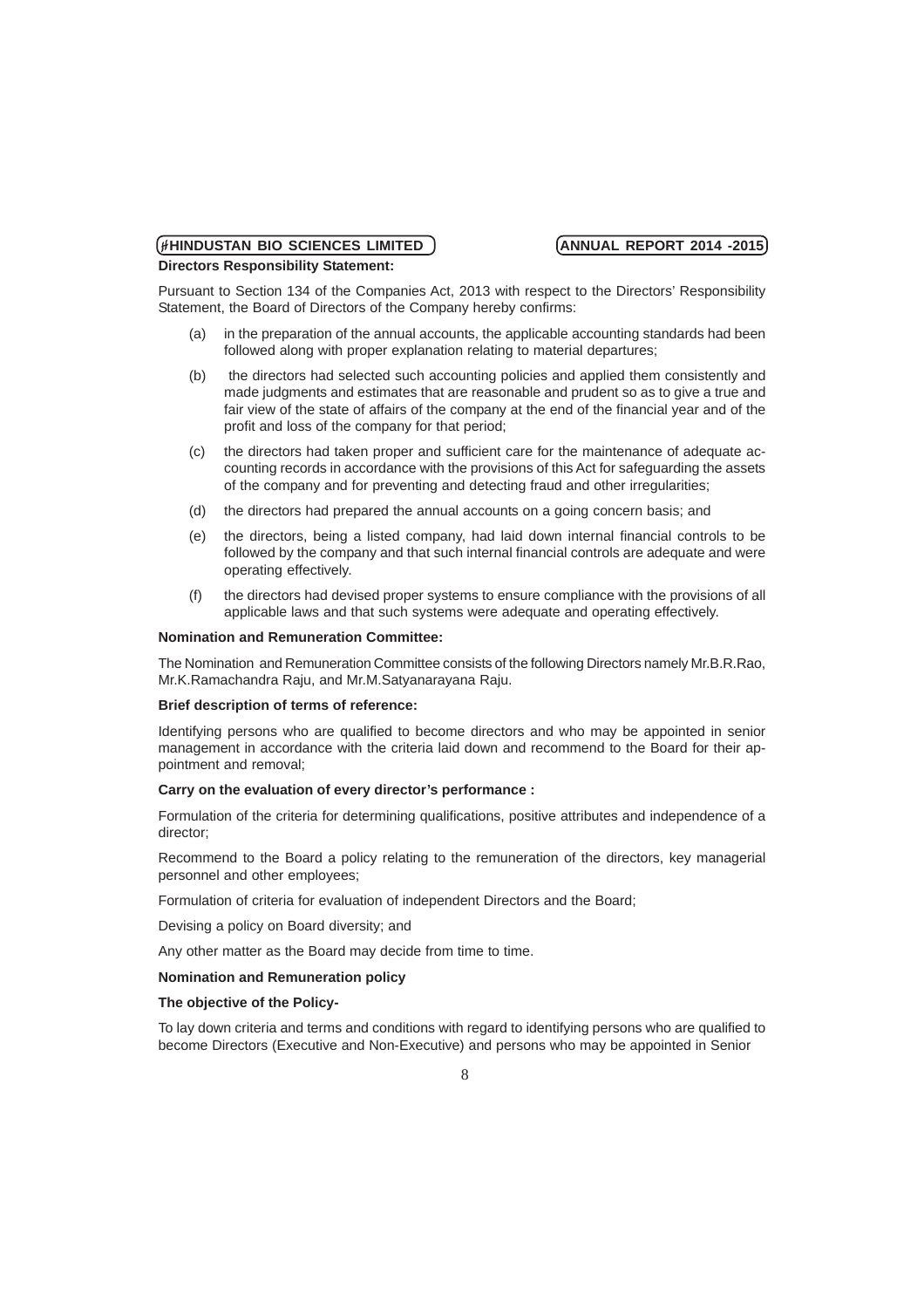# (HIINDUSTAN BIO SCIENCES LIMITED ) **ANNUAL REPORT 2014 -2015 Directors Responsibility Statement:**

Pursuant to Section 134 of the Companies Act, 2013 with respect to the Directors' Responsibility Statement, the Board of Directors of the Company hereby confirms:

- (a) in the preparation of the annual accounts, the applicable accounting standards had been followed along with proper explanation relating to material departures;
- (b) the directors had selected such accounting policies and applied them consistently and made judgments and estimates that are reasonable and prudent so as to give a true and fair view of the state of affairs of the company at the end of the financial year and of the profit and loss of the company for that period;
- (c) the directors had taken proper and sufficient care for the maintenance of adequate accounting records in accordance with the provisions of this Act for safeguarding the assets of the company and for preventing and detecting fraud and other irregularities;
- (d) the directors had prepared the annual accounts on a going concern basis; and
- (e) the directors, being a listed company, had laid down internal financial controls to be followed by the company and that such internal financial controls are adequate and were operating effectively.
- (f) the directors had devised proper systems to ensure compliance with the provisions of all applicable laws and that such systems were adequate and operating effectively.

### **Nomination and Remuneration Committee:**

The Nomination and Remuneration Committee consists of the following Directors namely Mr.B.R.Rao, Mr.K.Ramachandra Raju, and Mr.M.Satyanarayana Raju.

### **Brief description of terms of reference:**

Identifying persons who are qualified to become directors and who may be appointed in senior management in accordance with the criteria laid down and recommend to the Board for their appointment and removal;

### **Carry on the evaluation of every director's performance :**

Formulation of the criteria for determining qualifications, positive attributes and independence of a director;

Recommend to the Board a policy relating to the remuneration of the directors, key managerial personnel and other employees;

Formulation of criteria for evaluation of independent Directors and the Board;

Devising a policy on Board diversity; and

Any other matter as the Board may decide from time to time.

# **Nomination and Remuneration policy**

### **The objective of the Policy-**

To lay down criteria and terms and conditions with regard to identifying persons who are qualified to become Directors (Executive and Non-Executive) and persons who may be appointed in Senior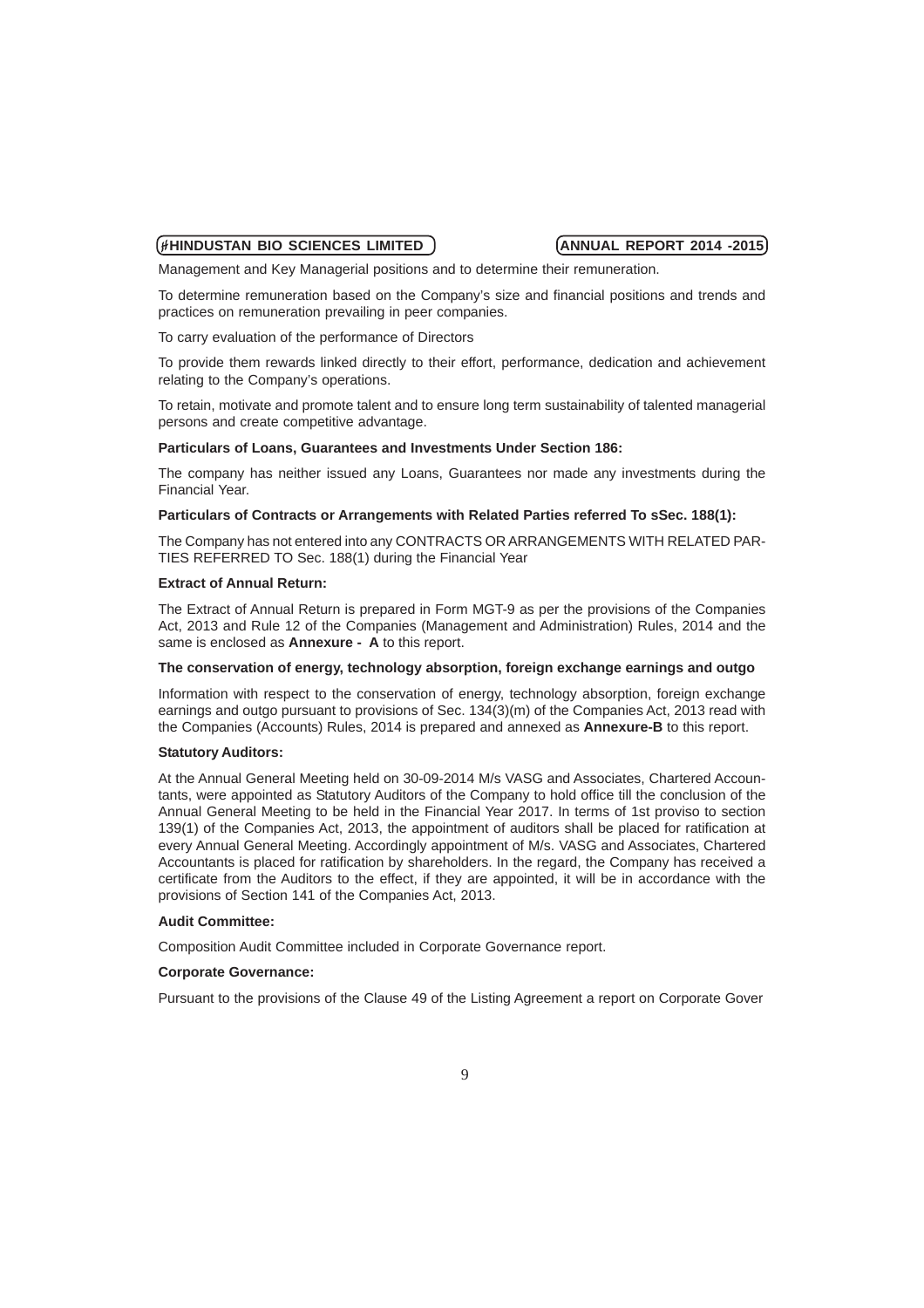Management and Key Managerial positions and to determine their remuneration.

To determine remuneration based on the Company's size and financial positions and trends and practices on remuneration prevailing in peer companies.

To carry evaluation of the performance of Directors

To provide them rewards linked directly to their effort, performance, dedication and achievement relating to the Company's operations.

To retain, motivate and promote talent and to ensure long term sustainability of talented managerial persons and create competitive advantage.

### **Particulars of Loans, Guarantees and Investments Under Section 186:**

The company has neither issued any Loans, Guarantees nor made any investments during the Financial Year.

### **Particulars of Contracts or Arrangements with Related Parties referred To sSec. 188(1):**

The Company has not entered into any CONTRACTS OR ARRANGEMENTS WITH RELATED PAR-TIES REFERRED TO Sec. 188(1) during the Financial Year

### **Extract of Annual Return:**

The Extract of Annual Return is prepared in Form MGT-9 as per the provisions of the Companies Act, 2013 and Rule 12 of the Companies (Management and Administration) Rules, 2014 and the same is enclosed as **Annexure - A** to this report.

### **The conservation of energy, technology absorption, foreign exchange earnings and outgo**

Information with respect to the conservation of energy, technology absorption, foreign exchange earnings and outgo pursuant to provisions of Sec. 134(3)(m) of the Companies Act, 2013 read with the Companies (Accounts) Rules, 2014 is prepared and annexed as **Annexure-B** to this report.

### **Statutory Auditors:**

At the Annual General Meeting held on 30-09-2014 M/s VASG and Associates, Chartered Accountants, were appointed as Statutory Auditors of the Company to hold office till the conclusion of the Annual General Meeting to be held in the Financial Year 2017. In terms of 1st proviso to section 139(1) of the Companies Act, 2013, the appointment of auditors shall be placed for ratification at every Annual General Meeting. Accordingly appointment of M/s. VASG and Associates, Chartered Accountants is placed for ratification by shareholders. In the regard, the Company has received a certificate from the Auditors to the effect, if they are appointed, it will be in accordance with the provisions of Section 141 of the Companies Act, 2013.

### **Audit Committee:**

Composition Audit Committee included in Corporate Governance report.

### **Corporate Governance:**

Pursuant to the provisions of the Clause 49 of the Listing Agreement a report on Corporate Gover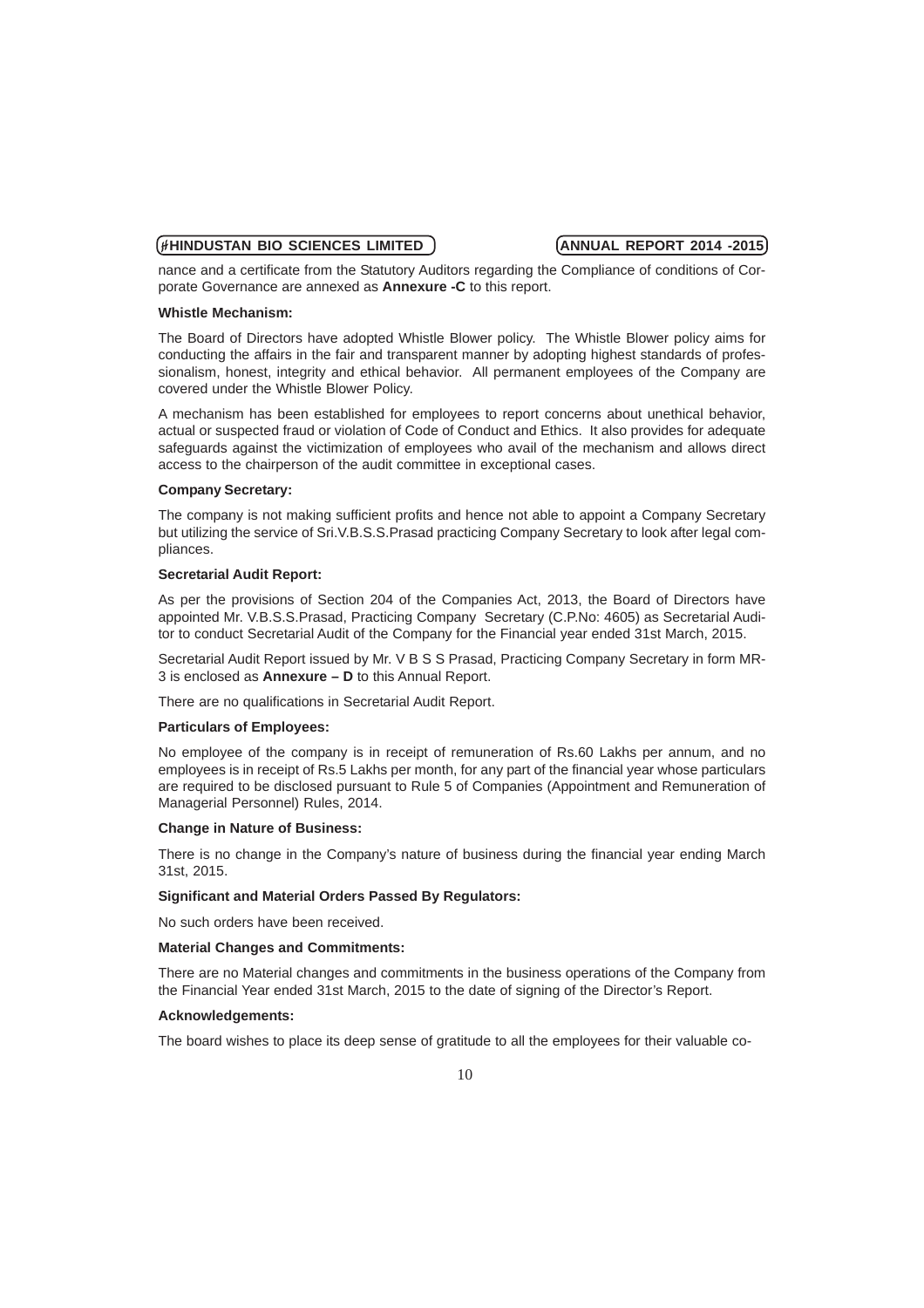nance and a certificate from the Statutory Auditors regarding the Compliance of conditions of Corporate Governance are annexed as **Annexure -C** to this report.

### **Whistle Mechanism:**

The Board of Directors have adopted Whistle Blower policy. The Whistle Blower policy aims for conducting the affairs in the fair and transparent manner by adopting highest standards of professionalism, honest, integrity and ethical behavior. All permanent employees of the Company are covered under the Whistle Blower Policy.

A mechanism has been established for employees to report concerns about unethical behavior, actual or suspected fraud or violation of Code of Conduct and Ethics. It also provides for adequate safeguards against the victimization of employees who avail of the mechanism and allows direct access to the chairperson of the audit committee in exceptional cases.

### **Company Secretary:**

The company is not making sufficient profits and hence not able to appoint a Company Secretary but utilizing the service of Sri.V.B.S.S.Prasad practicing Company Secretary to look after legal compliances.

### **Secretarial Audit Report:**

As per the provisions of Section 204 of the Companies Act, 2013, the Board of Directors have appointed Mr. V.B.S.S.Prasad, Practicing Company Secretary (C.P.No: 4605) as Secretarial Auditor to conduct Secretarial Audit of the Company for the Financial year ended 31st March, 2015.

Secretarial Audit Report issued by Mr. V B S S Prasad, Practicing Company Secretary in form MR-3 is enclosed as **Annexure – D** to this Annual Report.

There are no qualifications in Secretarial Audit Report.

### **Particulars of Employees:**

No employee of the company is in receipt of remuneration of Rs.60 Lakhs per annum, and no employees is in receipt of Rs.5 Lakhs per month, for any part of the financial year whose particulars are required to be disclosed pursuant to Rule 5 of Companies (Appointment and Remuneration of Managerial Personnel) Rules, 2014.

### **Change in Nature of Business:**

There is no change in the Company's nature of business during the financial year ending March 31st, 2015.

### **Significant and Material Orders Passed By Regulators:**

No such orders have been received.

### **Material Changes and Commitments:**

There are no Material changes and commitments in the business operations of the Company from the Financial Year ended 31st March, 2015 to the date of signing of the Director's Report.

### **Acknowledgements:**

The board wishes to place its deep sense of gratitude to all the employees for their valuable co-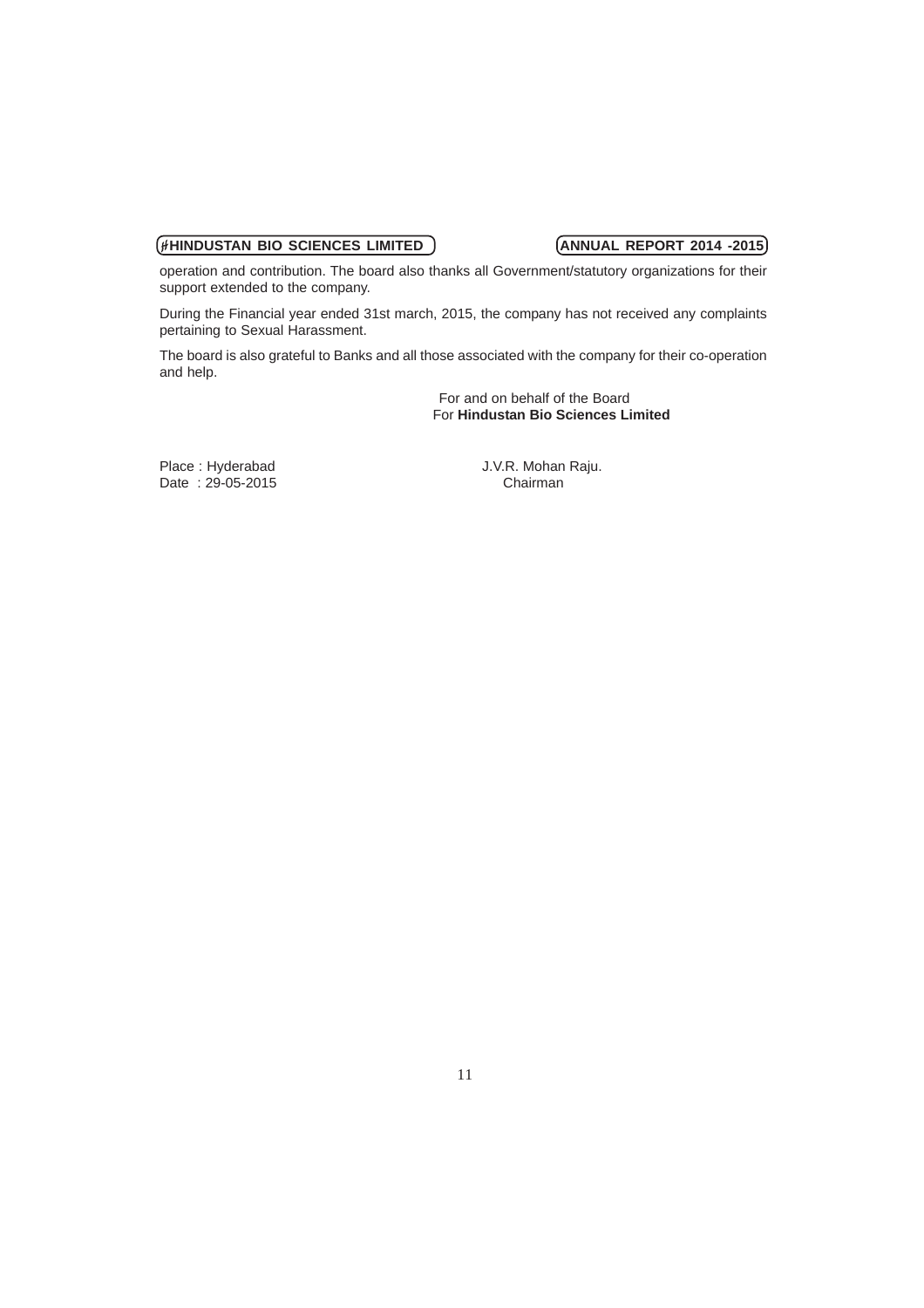operation and contribution. The board also thanks all Government/statutory organizations for their support extended to the company.

During the Financial year ended 31st march, 2015, the company has not received any complaints pertaining to Sexual Harassment.

The board is also grateful to Banks and all those associated with the company for their co-operation and help.

> For and on behalf of the Board For **Hindustan Bio Sciences Limited**

Date : 29-05-2015 Chairman

Place : Hyderabad J.V.R. Mohan Raju.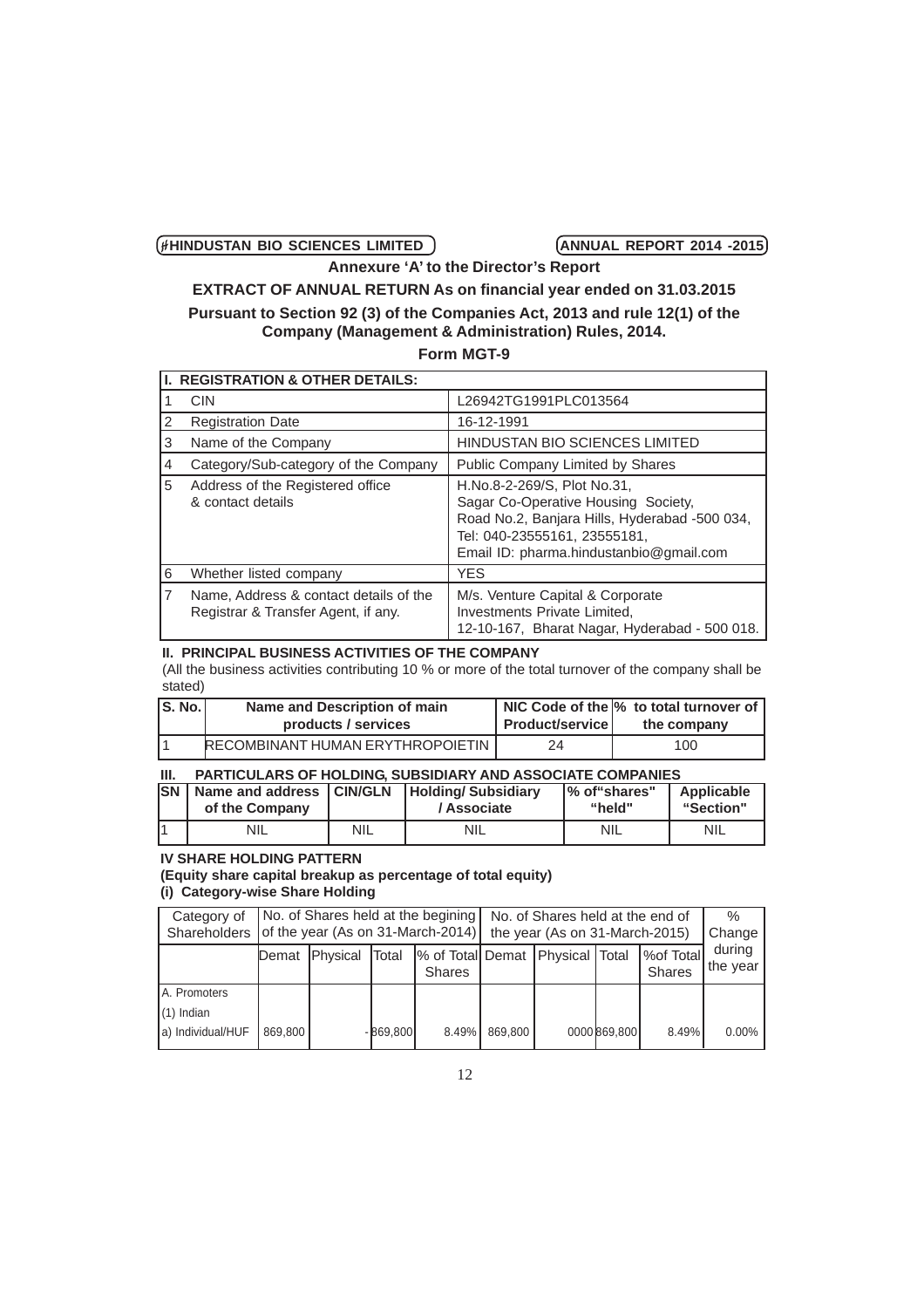**Annexure 'A' to the Director's Report**

# **EXTRACT OF ANNUAL RETURN As on financial year ended on 31.03.2015 Pursuant to Section 92 (3) of the Companies Act, 2013 and rule 12(1) of the Company (Management & Administration) Rules, 2014.**

# **Form MGT-9**

|   | <b>I. REGISTRATION &amp; OTHER DETAILS:</b>                                   |                                                                                                                                                                                                |  |  |  |  |  |  |
|---|-------------------------------------------------------------------------------|------------------------------------------------------------------------------------------------------------------------------------------------------------------------------------------------|--|--|--|--|--|--|
|   | <b>CIN</b>                                                                    | L26942TG1991PLC013564                                                                                                                                                                          |  |  |  |  |  |  |
| 2 | <b>Registration Date</b>                                                      | 16-12-1991                                                                                                                                                                                     |  |  |  |  |  |  |
| 3 | Name of the Company                                                           | <b>HINDUSTAN BIO SCIENCES LIMITED</b>                                                                                                                                                          |  |  |  |  |  |  |
| 4 | Category/Sub-category of the Company                                          | Public Company Limited by Shares                                                                                                                                                               |  |  |  |  |  |  |
| 5 | Address of the Registered office<br>& contact details                         | H.No.8-2-269/S, Plot No.31,<br>Sagar Co-Operative Housing Society,<br>Road No.2, Banjara Hills, Hyderabad -500 034,<br>Tel: 040-23555161, 23555181,<br>Email ID: pharma.hindustanbio@gmail.com |  |  |  |  |  |  |
| 6 | Whether listed company                                                        | <b>YES</b>                                                                                                                                                                                     |  |  |  |  |  |  |
|   | Name, Address & contact details of the<br>Registrar & Transfer Agent, if any. | M/s. Venture Capital & Corporate<br>Investments Private Limited,<br>12-10-167, Bharat Nagar, Hyderabad - 500 018.                                                                              |  |  |  |  |  |  |

# **II. PRINCIPAL BUSINESS ACTIVITIES OF THE COMPANY**

(All the business activities contributing 10 % or more of the total turnover of the company shall be stated)

| <b>S. No.</b> | Name and Description of main     |                        | NIC Code of the M to total turnover of |
|---------------|----------------------------------|------------------------|----------------------------------------|
|               | products / services              | <b>Product/service</b> | the company                            |
|               | RECOMBINANT HUMAN ERYTHROPOIETIN | 24.                    | 100                                    |

| HI. | <b>PARTICULARS OF HOLDING, SUBSIDIARY AND ASSOCIATE COMPANIES</b>                                      |     |             |            |            |  |  |  |  |
|-----|--------------------------------------------------------------------------------------------------------|-----|-------------|------------|------------|--|--|--|--|
|     | <b>SN</b> Name and address <b>CIN/GLN</b><br>Applicable<br><b>Holding/Subsidiary</b><br>1% of "shares" |     |             |            |            |  |  |  |  |
|     | of the Company                                                                                         |     | / Associate | "held"     | "Section"  |  |  |  |  |
|     | <b>NIL</b>                                                                                             | NIL | NIL         | <b>NIL</b> | <b>NIL</b> |  |  |  |  |

### **IV SHARE HOLDING PATTERN**

### **(Equity share capital breakup as percentage of total equity) (i) Category-wise Share Holding**

| Category of       | No. of Shares held at the begining |                                                |           |                                                      | No. of Shares held at the end of |                                |              |                                    | $\%$               |
|-------------------|------------------------------------|------------------------------------------------|-----------|------------------------------------------------------|----------------------------------|--------------------------------|--------------|------------------------------------|--------------------|
|                   |                                    | Shareholders of the year (As on 31-March-2014) |           |                                                      |                                  | the year (As on 31-March-2015) |              |                                    |                    |
|                   | Demat                              | <b>IPhysical</b>                               | lTotal    | % of Total Demat   Physical   Total<br><b>Shares</b> |                                  |                                |              | <b>Wor Totall</b><br><b>Shares</b> | during<br>the year |
| A. Promoters      |                                    |                                                |           |                                                      |                                  |                                |              |                                    |                    |
| $(1)$ Indian      |                                    |                                                |           |                                                      |                                  |                                |              |                                    |                    |
| a) Individual/HUF | 869,800                            |                                                | -869.8001 | $8.49\%$                                             | 869.800                          |                                | 0000 869,800 | $8.49\%$                           | $0.00\%$           |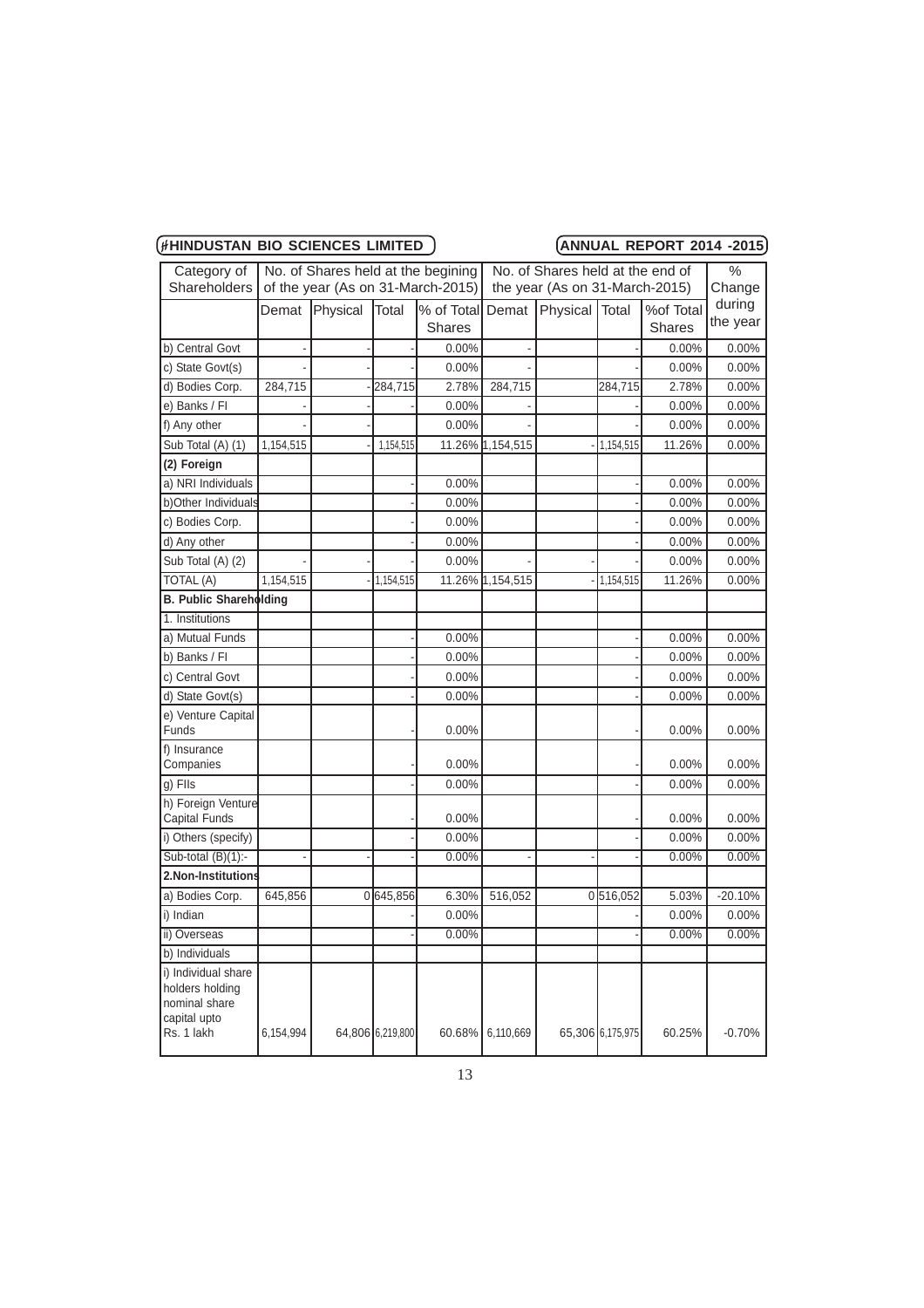| (#HINDUSTAN BIO SCIENCES LIMITED | (ANNUAL REPORT 2014 -2015) |
|----------------------------------|----------------------------|
|                                  |                            |

| Category of                                                                           | No. of Shares held at the begining |                                   |                  | No. of Shares held at the end of |                  |                                |                  | $\frac{0}{0}$ |           |
|---------------------------------------------------------------------------------------|------------------------------------|-----------------------------------|------------------|----------------------------------|------------------|--------------------------------|------------------|---------------|-----------|
| <b>Shareholders</b>                                                                   |                                    | of the year (As on 31-March-2015) |                  |                                  |                  | the year (As on 31-March-2015) |                  |               | Change    |
|                                                                                       | Demat                              | Physical                          | Total            | % of Total                       | Demat            | Physical                       | Total            | %of Total     | during    |
|                                                                                       |                                    |                                   |                  | <b>Shares</b>                    |                  |                                |                  | <b>Shares</b> | the year  |
| b) Central Govt                                                                       |                                    |                                   |                  | 0.00%                            | $\overline{a}$   |                                |                  | 0.00%         | 0.00%     |
| c) State Govt(s)                                                                      |                                    |                                   |                  | 0.00%                            |                  |                                |                  | 0.00%         | 0.00%     |
| d) Bodies Corp.                                                                       | 284,715                            |                                   | 284,715          | 2.78%                            | 284,715          |                                | 284,715          | 2.78%         | 0.00%     |
| e) Banks / Fl                                                                         |                                    |                                   |                  | 0.00%                            |                  |                                |                  | 0.00%         | 0.00%     |
| f) Any other                                                                          |                                    |                                   |                  | 0.00%                            |                  |                                |                  | 0.00%         | 0.00%     |
| Sub Total (A) (1)                                                                     | 1,154,515                          |                                   | 1,154,515        |                                  | 11.26% 1,154,515 |                                | 1,154,515        | 11.26%        | 0.00%     |
| (2) Foreign                                                                           |                                    |                                   |                  |                                  |                  |                                |                  |               |           |
| a) NRI Individuals                                                                    |                                    |                                   |                  | 0.00%                            |                  |                                |                  | 0.00%         | 0.00%     |
| b)Other Individuals                                                                   |                                    |                                   |                  | 0.00%                            |                  |                                |                  | 0.00%         | 0.00%     |
| c) Bodies Corp.                                                                       |                                    |                                   |                  | 0.00%                            |                  |                                |                  | 0.00%         | 0.00%     |
| d) Any other                                                                          |                                    |                                   |                  | 0.00%                            |                  |                                |                  | 0.00%         | 0.00%     |
| Sub Total (A) (2)                                                                     |                                    |                                   |                  | 0.00%                            |                  |                                |                  | 0.00%         | 0.00%     |
| TOTAL (A)                                                                             | 1,154,515                          |                                   | 1,154,515        |                                  | 11.26% 1,154,515 |                                | 1,154,515        | 11.26%        | 0.00%     |
| B. Public Shareholding                                                                |                                    |                                   |                  |                                  |                  |                                |                  |               |           |
| 1. Institutions                                                                       |                                    |                                   |                  |                                  |                  |                                |                  |               |           |
| a) Mutual Funds                                                                       |                                    |                                   |                  | $0.00\%$                         |                  |                                |                  | 0.00%         | 0.00%     |
| b) Banks / Fl                                                                         |                                    |                                   |                  | 0.00%                            |                  |                                |                  | 0.00%         | 0.00%     |
| c) Central Govt                                                                       |                                    |                                   |                  | 0.00%                            |                  |                                |                  | 0.00%         | 0.00%     |
| d) State Govt(s)                                                                      |                                    |                                   |                  | 0.00%                            |                  |                                |                  | 0.00%         | 0.00%     |
| e) Venture Capital<br>Funds                                                           |                                    |                                   |                  | 0.00%                            |                  |                                |                  | 0.00%         | 0.00%     |
| f) Insurance<br>Companies                                                             |                                    |                                   |                  | 0.00%                            |                  |                                |                  | 0.00%         | 0.00%     |
| g) Flls                                                                               |                                    |                                   |                  | 0.00%                            |                  |                                |                  | 0.00%         | 0.00%     |
| h) Foreign Venture<br>Capital Funds                                                   |                                    |                                   |                  | $0.00\%$                         |                  |                                |                  | 0.00%         | 0.00%     |
| i) Others (specify)                                                                   |                                    |                                   |                  | 0.00%                            |                  |                                |                  | 0.00%         | 0.00%     |
| Sub-total $(B)(1)$ :-                                                                 |                                    |                                   |                  | 0.00%                            |                  |                                |                  | 0.00%         | 0.00%     |
| 2.Non-Institutions                                                                    |                                    |                                   |                  |                                  |                  |                                |                  |               |           |
| a) Bodies Corp.                                                                       | 645,856                            |                                   | 0645,856         | 6.30%                            | 516,052          |                                | 0516,052         | 5.03%         | $-20.10%$ |
| i) Indian                                                                             |                                    |                                   |                  | 0.00%                            |                  |                                |                  | 0.00%         | $0.00\%$  |
| ii) Overseas                                                                          |                                    |                                   |                  | 0.00%                            |                  |                                |                  | 0.00%         | 0.00%     |
| b) Individuals                                                                        |                                    |                                   |                  |                                  |                  |                                |                  |               |           |
| i) Individual share<br>holders holding<br>nominal share<br>capital upto<br>Rs. 1 lakh | 6,154,994                          |                                   | 64,806 6,219,800 |                                  | 60.68% 6.110.669 |                                | 65,306 6,175,975 | 60.25%        | $-0.70%$  |
|                                                                                       |                                    |                                   |                  |                                  |                  |                                |                  |               |           |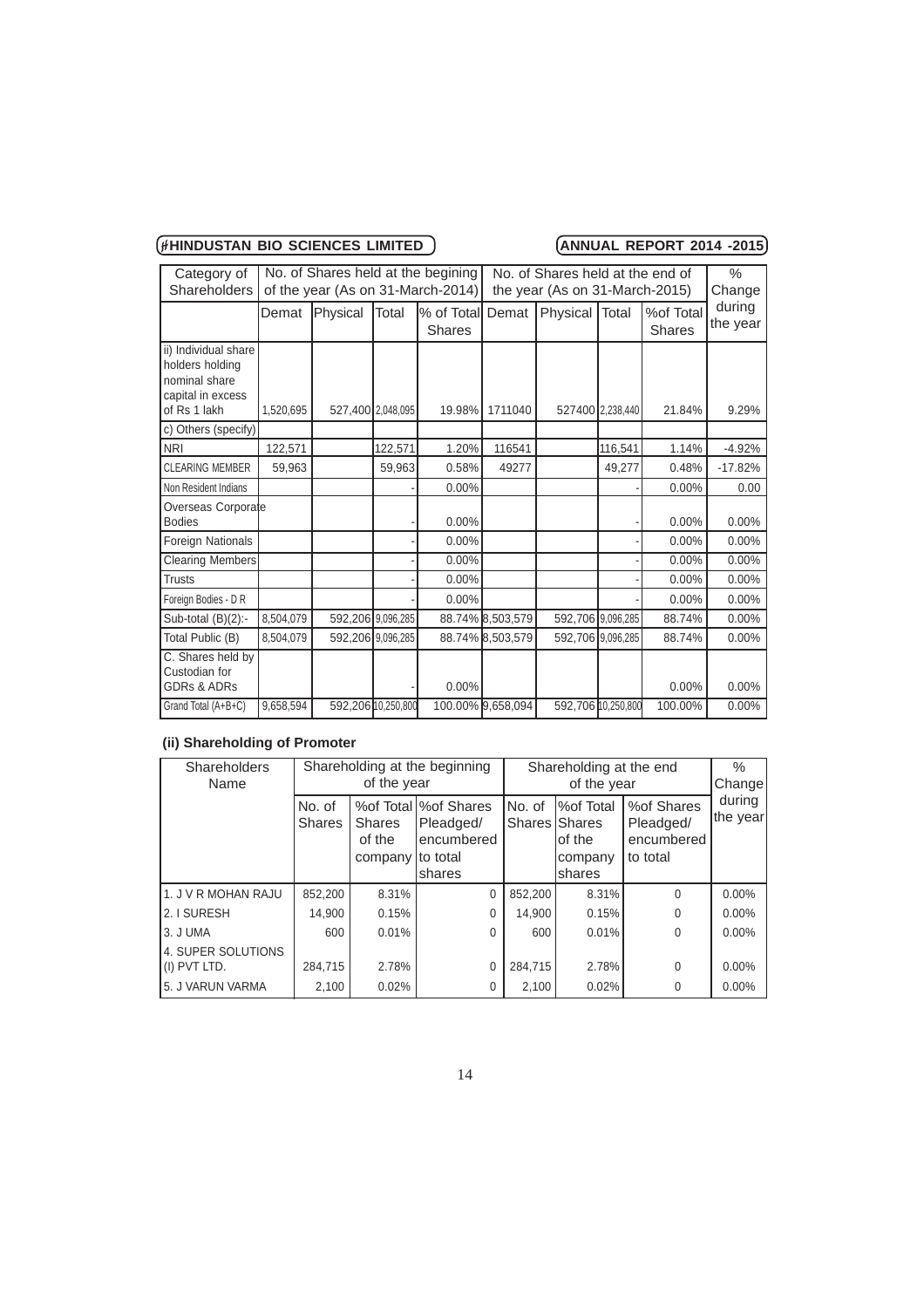| Category of                        |           | No. of Shares held at the begining |         |                                   | No. of Shares held at the end of |                                |                  |               | $\%$<br>Change |  |
|------------------------------------|-----------|------------------------------------|---------|-----------------------------------|----------------------------------|--------------------------------|------------------|---------------|----------------|--|
| Shareholders                       |           |                                    |         | of the year (As on 31-March-2014) |                                  | the year (As on 31-March-2015) |                  |               |                |  |
|                                    | Demat     | Physical                           | Total   | % of Total                        | Demat                            | Physical   Total               |                  | %of Total     | during         |  |
|                                    |           |                                    |         | <b>Shares</b>                     |                                  |                                |                  | <b>Shares</b> | the year       |  |
| ii) Individual share               |           |                                    |         |                                   |                                  |                                |                  |               |                |  |
| holders holding<br>nominal share   |           |                                    |         |                                   |                                  |                                |                  |               |                |  |
| capital in excess                  |           |                                    |         |                                   |                                  |                                |                  |               |                |  |
| of Rs 1 lakh                       | 1.520.695 | 527,400 2,048,095                  |         | 19.98%                            | 1711040                          |                                | 527400 2.238.440 | 21.84%        | 9.29%          |  |
| c) Others (specify)                |           |                                    |         |                                   |                                  |                                |                  |               |                |  |
| <b>NRI</b>                         | 122,571   |                                    | 122,571 | 1.20%                             | 116541                           |                                | 116,541          | 1.14%         | $-4.92%$       |  |
| <b>CLEARING MEMBER</b>             | 59,963    |                                    | 59,963  | 0.58%                             | 49277                            |                                | 49,277           | 0.48%         | $-17.82%$      |  |
| Non Resident Indians               |           |                                    |         | 0.00%                             |                                  |                                |                  | 0.00%         | 0.00           |  |
| Overseas Corporate                 |           |                                    |         |                                   |                                  |                                |                  |               |                |  |
| <b>Bodies</b>                      |           |                                    |         | 0.00%                             |                                  |                                |                  | 0.00%         | 0.00%          |  |
| Foreign Nationals                  |           |                                    |         | 0.00%                             |                                  |                                |                  | $0.00\%$      | 0.00%          |  |
| <b>Clearing Members</b>            |           |                                    |         | 0.00%                             |                                  |                                |                  | 0.00%         | 0.00%          |  |
| <b>Trusts</b>                      |           |                                    |         | 0.00%                             |                                  |                                |                  | 0.00%         | 0.00%          |  |
| Foreign Bodies - D R               |           |                                    |         | 0.00%                             |                                  |                                |                  | 0.00%         | 0.00%          |  |
| Sub-total $(B)(2)$ :-              | 8,504,079 | 592,206 9.096,285                  |         |                                   | 88.74% 8,503,579                 | 592,706 9,096,285              |                  | 88.74%        | $0.00\%$       |  |
| Total Public (B)                   | 8,504,079 | 592,206 9.096,285                  |         |                                   | 88.74% 8,503,579                 | 592,706 9.096,285              |                  | 88.74%        | 0.00%          |  |
| C. Shares held by<br>Custodian for |           |                                    |         |                                   |                                  |                                |                  |               |                |  |
| <b>GDRs &amp; ADRs</b>             |           |                                    |         | 0.00%                             |                                  |                                |                  | 0.00%         | 0.00%          |  |
| Grand Total (A+B+C)                | 9,658,594 | 592,206 10,250,800                 |         |                                   | 100.00% 9,658,094                | 592,706 10,250,800             |                  | 100.00%       | 0.00%          |  |

# **(ii) Shareholding of Promoter**

| <b>Shareholders</b><br>Name        | Shareholding at the beginning<br>of the year |                                              |                                                              | Shareholding at the end | %<br>Change                                                        |                                                   |                    |
|------------------------------------|----------------------------------------------|----------------------------------------------|--------------------------------------------------------------|-------------------------|--------------------------------------------------------------------|---------------------------------------------------|--------------------|
|                                    | No. of<br>Shares                             | <b>Shares</b><br>of the<br>company Ito total | % of Total I% of Shares<br>Pleadged/<br>encumbered<br>shares | No. of                  | %of Total<br><b>Shares Shares</b><br>lof the<br>company<br>lshares | %of Shares<br>Pleadged/<br>encumbered<br>to total | during<br>the year |
| 11. J V R MOHAN RAJU               | 852,200                                      | 8.31%                                        | $\Omega$                                                     | 852,200                 | 8.31%                                                              | $\Omega$                                          | $0.00\%$           |
| 12. I SURESH                       | 14,900                                       | 0.15%                                        | 0                                                            | 14,900                  | 0.15%                                                              | $\Omega$                                          | $0.00\%$           |
| 13. J UMA                          | 600                                          | 0.01%                                        | $\Omega$                                                     | 600                     | 0.01%                                                              | $\Omega$                                          | $0.00\%$           |
| 4. SUPER SOLUTIONS<br>(I) PVT LTD. | 284,715                                      | 2.78%                                        | 0                                                            | 284.715                 | 2.78%                                                              | $\Omega$                                          | 0.00%              |
| 15. J VARUN VARMA                  | 2,100                                        | 0.02%                                        | 0                                                            | 2,100                   | 0.02%                                                              | 0                                                 | $0.00\%$           |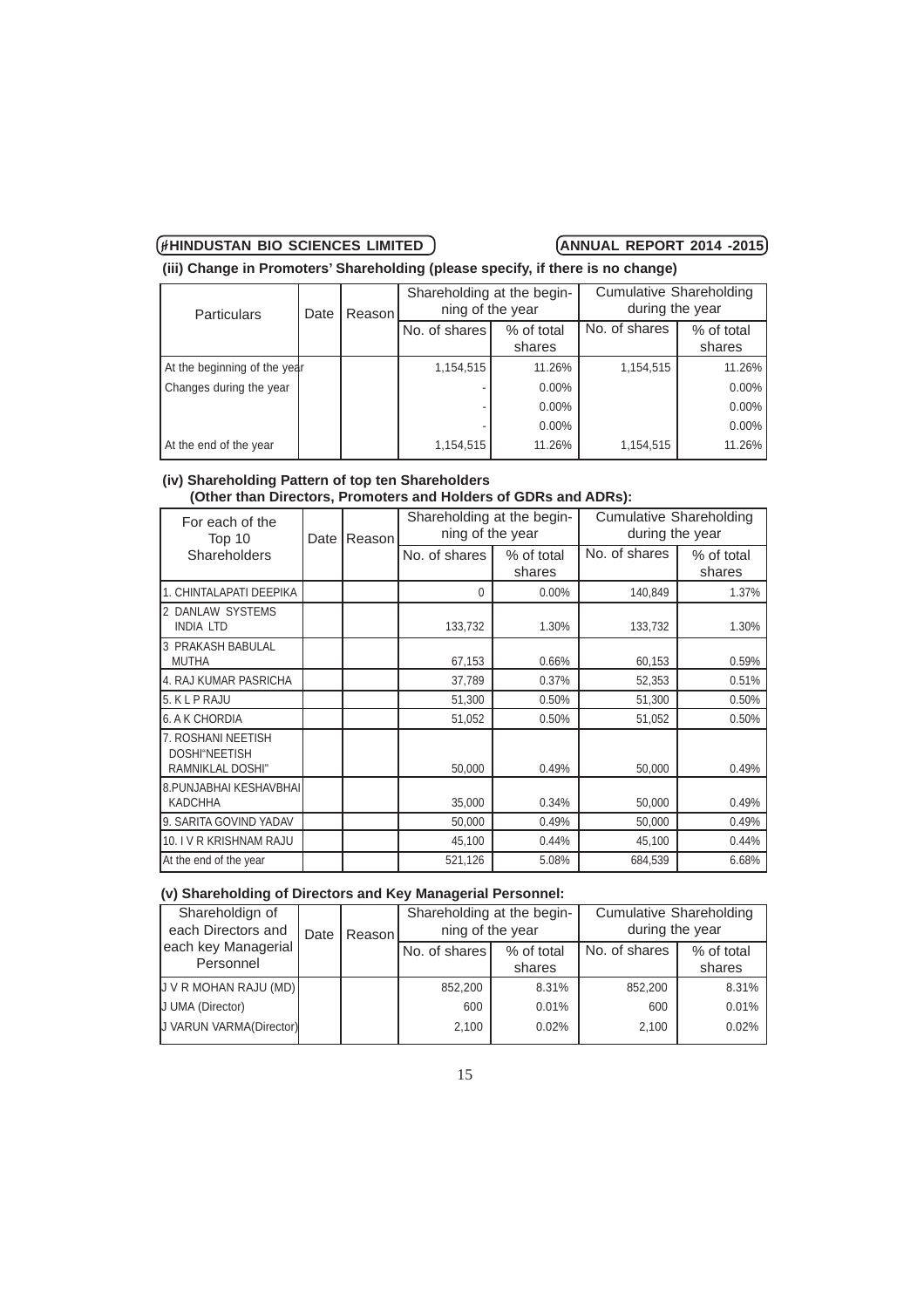**(iii) Change in Promoters' Shareholding (please specify, if there is no change)**

| <b>Particulars</b><br>Date   |  | Reason | Shareholding at the begin-<br>ning of the year |          | <b>Cumulative Shareholding</b><br>during the year |                      |
|------------------------------|--|--------|------------------------------------------------|----------|---------------------------------------------------|----------------------|
|                              |  |        | No. of shares<br>% of total<br>shares          |          | No. of shares                                     | % of total<br>shares |
| At the beginning of the year |  |        | 1,154,515                                      | 11.26%   | 1,154,515                                         | 11.26%               |
| Changes during the year      |  |        |                                                | $0.00\%$ |                                                   | $0.00\%$             |
|                              |  |        |                                                | $0.00\%$ |                                                   | $0.00\%$             |
|                              |  |        |                                                | $0.00\%$ |                                                   | $0.00\%$             |
| At the end of the year       |  |        | 1,154,515                                      | 11.26%   | 1,154,515                                         | 11.26%               |

### **(iv) Shareholding Pattern of top ten Shareholders (Other than Directors, Promoters and Holders of GDRs and ADRs):**

| For each of the                                                | Reason<br>Top 10<br>Date<br>Shareholders |  | Shareholding at the begin-<br>ning of the year |                      | <b>Cumulative Shareholding</b><br>during the year |                      |
|----------------------------------------------------------------|------------------------------------------|--|------------------------------------------------|----------------------|---------------------------------------------------|----------------------|
|                                                                |                                          |  | No. of shares                                  | % of total<br>shares | No. of shares                                     | % of total<br>shares |
| 1. CHINTALAPATI DEEPIKA                                        |                                          |  | 0                                              | 0.00%                | 140,849                                           | 1.37%                |
| 2 DANLAW SYSTEMS<br><b>INDIA LTD</b>                           |                                          |  | 133,732                                        | 1.30%                | 133,732                                           | 1.30%                |
| 3 PRAKASH BABULAL<br><b>MUTHA</b>                              |                                          |  | 67,153                                         | 0.66%                | 60,153                                            | 0.59%                |
| 4. RAJ KUMAR PASRICHA                                          |                                          |  | 37,789                                         | 0.37%                | 52,353                                            | 0.51%                |
| 5. KLP RAJU                                                    |                                          |  | 51,300                                         | 0.50%                | 51,300                                            | 0.50%                |
| 6. A K CHORDIA                                                 |                                          |  | 51,052                                         | 0.50%                | 51,052                                            | 0.50%                |
| 7. ROSHANI NEETISH<br>DOSHI"NEETISH<br><b>RAMNIKLAL DOSHI"</b> |                                          |  | 50,000                                         | 0.49%                | 50,000                                            | 0.49%                |
| 8. PUNJABHAI KESHAVBHAI<br><b>KADCHHA</b>                      |                                          |  | 35,000                                         | 0.34%                | 50,000                                            | 0.49%                |
| 9. SARITA GOVIND YADAV                                         |                                          |  | 50,000                                         | 0.49%                | 50,000                                            | 0.49%                |
| 10. I V R KRISHNAM RAJU                                        |                                          |  | 45,100                                         | 0.44%                | 45,100                                            | 0.44%                |
| At the end of the year                                         |                                          |  | 521,126                                        | 5.08%                | 684,539                                           | 6.68%                |

# **(v) Shareholding of Directors and Key Managerial Personnel:**

| Shareholdign of<br>each Directors and | Reason!<br>Date |  | Shareholding at the begin-<br>ning of the year |       | <b>Cumulative Shareholding</b><br>during the year |                      |
|---------------------------------------|-----------------|--|------------------------------------------------|-------|---------------------------------------------------|----------------------|
| each key Managerial<br>Personnel      |                 |  | No. of shares<br>% of total<br>shares          |       | No. of shares                                     | % of total<br>shares |
| U V R MOHAN RAJU (MD)                 |                 |  | 852,200                                        | 8.31% | 852,200                                           | 8.31%                |
| <b>J</b> UMA (Director)               |                 |  | 600                                            | 0.01% | 600                                               | 0.01%                |
| <b>J</b> VARUN VARMA(Director)        |                 |  | 2,100                                          | 0.02% | 2.100                                             | 0.02%                |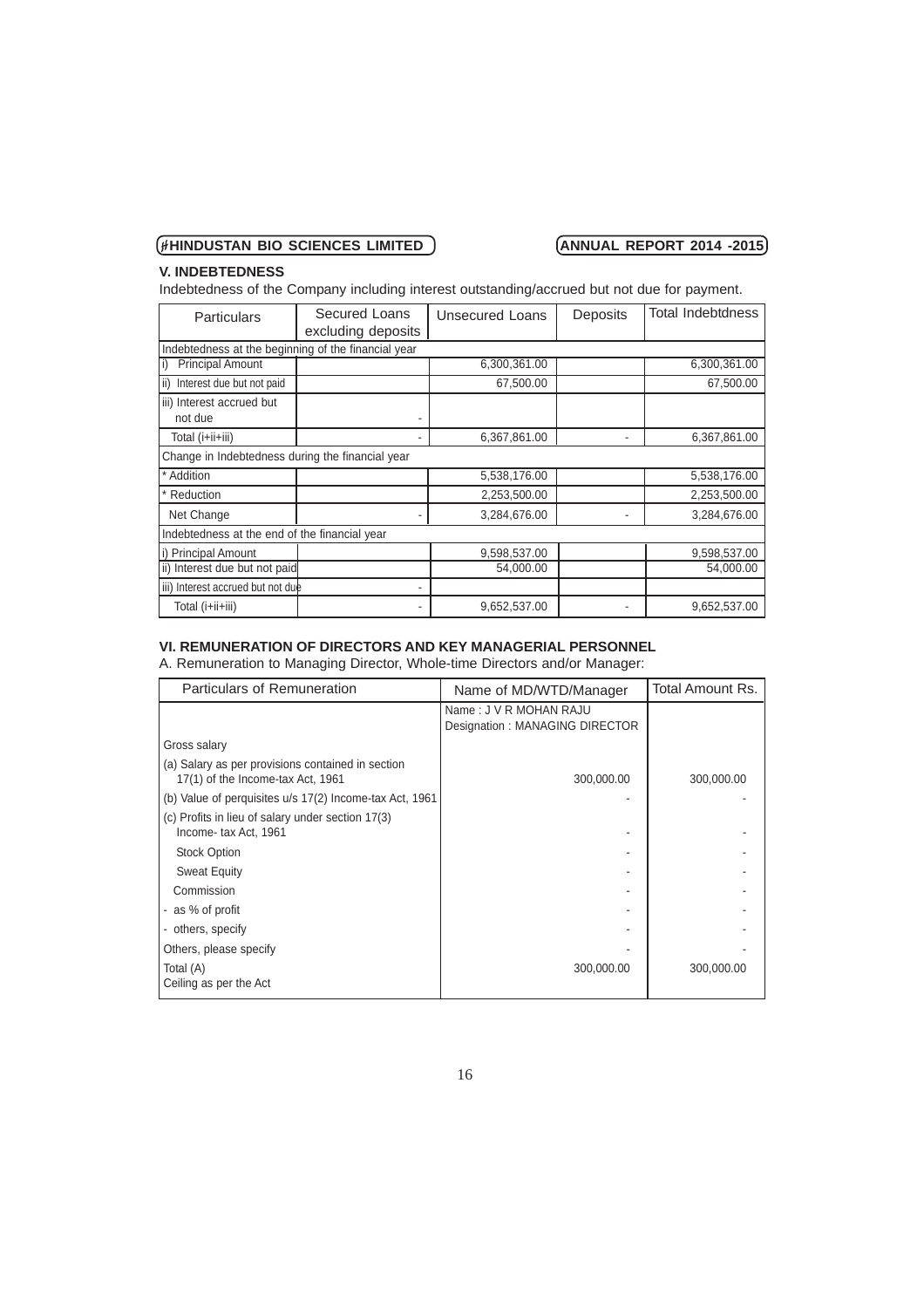# **V. INDEBTEDNESS**

Indebtedness of the Company including interest outstanding/accrued but not due for payment.

| <b>Particulars</b>                                  | Secured Loans<br>excluding deposits | <b>Unsecured Loans</b> | Deposits | <b>Total Indebtdness</b> |
|-----------------------------------------------------|-------------------------------------|------------------------|----------|--------------------------|
| Indebtedness at the beginning of the financial year |                                     |                        |          |                          |
| <b>Principal Amount</b>                             |                                     | 6,300,361.00           |          | 6,300,361.00             |
| Interest due but not paid<br>l ii)                  |                                     | 67,500.00              |          | 67,500.00                |
| iii) Interest accrued but<br>not due                |                                     |                        |          |                          |
| Total (i+ii+iii)                                    |                                     | 6,367,861.00           |          | 6,367,861.00             |
| Change in Indebtedness during the financial year    |                                     |                        |          |                          |
| Addition                                            |                                     | 5,538,176.00           |          | 5,538,176.00             |
| Reduction                                           |                                     | 2,253,500.00           |          | 2,253,500.00             |
| Net Change                                          |                                     | 3,284,676.00           |          | 3,284,676.00             |
| Indebtedness at the end of the financial year       |                                     |                        |          |                          |
| i) Principal Amount                                 |                                     | 9,598,537.00           |          | 9,598,537.00             |
| ii) Interest due but not paid                       |                                     | 54,000.00              |          | 54,000.00                |
| iii) Interest accrued but not due                   | ۰                                   |                        |          |                          |
| Total (i+ii+iii)                                    |                                     | 9,652,537.00           |          | 9,652,537.00             |

# **VI. REMUNERATION OF DIRECTORS AND KEY MANAGERIAL PERSONNEL**

A. Remuneration to Managing Director, Whole-time Directors and/or Manager:

| Particulars of Remuneration                                                            | Name of MD/WTD/Manager                                   | Total Amount Rs. |
|----------------------------------------------------------------------------------------|----------------------------------------------------------|------------------|
|                                                                                        | Name: J V R MOHAN RAJU<br>Designation: MANAGING DIRECTOR |                  |
| Gross salary                                                                           |                                                          |                  |
| (a) Salary as per provisions contained in section<br>17(1) of the Income-tax Act, 1961 | 300,000.00                                               | 300,000.00       |
| (b) Value of perquisites u/s 17(2) Income-tax Act, 1961                                |                                                          |                  |
| (c) Profits in lieu of salary under section 17(3)<br>Income-tax Act, 1961              |                                                          |                  |
| <b>Stock Option</b>                                                                    |                                                          |                  |
| <b>Sweat Equity</b>                                                                    |                                                          |                  |
| Commission                                                                             |                                                          |                  |
| - as % of profit                                                                       |                                                          |                  |
| - others, specify                                                                      |                                                          |                  |
| Others, please specify                                                                 |                                                          |                  |
| Total (A)                                                                              | 300,000.00                                               | 300,000.00       |
| Ceiling as per the Act                                                                 |                                                          |                  |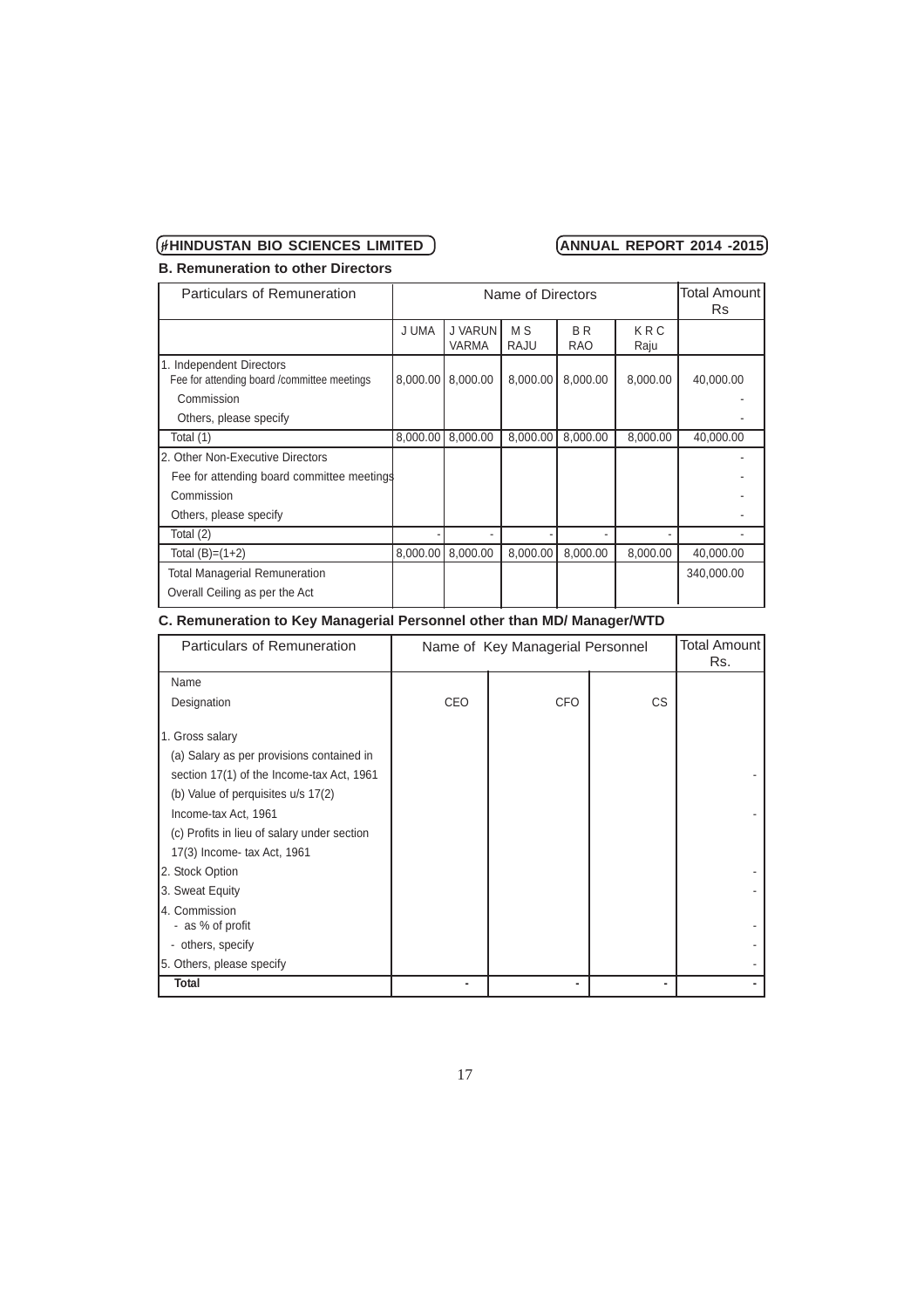**B. Remuneration to other Directors**

| Particulars of Remuneration                                                            |          | Name of Directors              |                        | Total Amount l<br>Rs         |             |            |
|----------------------------------------------------------------------------------------|----------|--------------------------------|------------------------|------------------------------|-------------|------------|
|                                                                                        | J UMA    | <b>J VARUN</b><br><b>VARMA</b> | M <sub>S</sub><br>RAJU | B <sub>R</sub><br><b>RAO</b> | KRC<br>Raju |            |
| 1. Independent Directors<br>Fee for attending board / committee meetings<br>Commission | 8,000.00 | 8,000.00                       | 8,000.00               | 8,000.00                     | 8,000.00    | 40,000.00  |
| Others, please specify                                                                 |          |                                |                        |                              |             |            |
| Total (1)                                                                              | 8,000.00 | 8,000.00                       | 8,000.00               | 8,000.00                     | 8,000.00    | 40,000.00  |
| 2. Other Non-Executive Directors                                                       |          |                                |                        |                              |             |            |
| Fee for attending board committee meetings                                             |          |                                |                        |                              |             |            |
| Commission                                                                             |          |                                |                        |                              |             |            |
| Others, please specify                                                                 |          |                                |                        |                              |             |            |
| Total (2)                                                                              |          |                                |                        |                              |             |            |
| Total $(B)=(1+2)$                                                                      | 8.000.00 | 8.000.00                       | 8,000.00               | 8,000.00                     | 8,000.00    | 40,000.00  |
| <b>Total Managerial Remuneration</b>                                                   |          |                                |                        |                              |             | 340,000.00 |
| Overall Ceiling as per the Act                                                         |          |                                |                        |                              |             |            |

# **C. Remuneration to Key Managerial Personnel other than MD/ Manager/WTD**

| Particulars of Remuneration                                                                                                                                                                                                                                                                                  | Name of Key Managerial Personnel |            |     | Total Amount l<br>Rs. |
|--------------------------------------------------------------------------------------------------------------------------------------------------------------------------------------------------------------------------------------------------------------------------------------------------------------|----------------------------------|------------|-----|-----------------------|
| Name                                                                                                                                                                                                                                                                                                         |                                  |            |     |                       |
| Designation                                                                                                                                                                                                                                                                                                  | CEO                              | <b>CFO</b> | CS. |                       |
| 1. Gross salary<br>(a) Salary as per provisions contained in<br>section 17(1) of the Income-tax Act, 1961<br>(b) Value of perquisites u/s 17(2)<br>Income-tax Act, 1961<br>(c) Profits in lieu of salary under section<br>17(3) Income- tax Act, 1961<br>2. Stock Option<br>3. Sweat Equity<br>4. Commission |                                  |            |     |                       |
| - as % of profit                                                                                                                                                                                                                                                                                             |                                  |            |     |                       |
| - others, specify                                                                                                                                                                                                                                                                                            |                                  |            |     |                       |
| 5. Others, please specify                                                                                                                                                                                                                                                                                    |                                  |            |     |                       |
| <b>Total</b>                                                                                                                                                                                                                                                                                                 |                                  |            | -   |                       |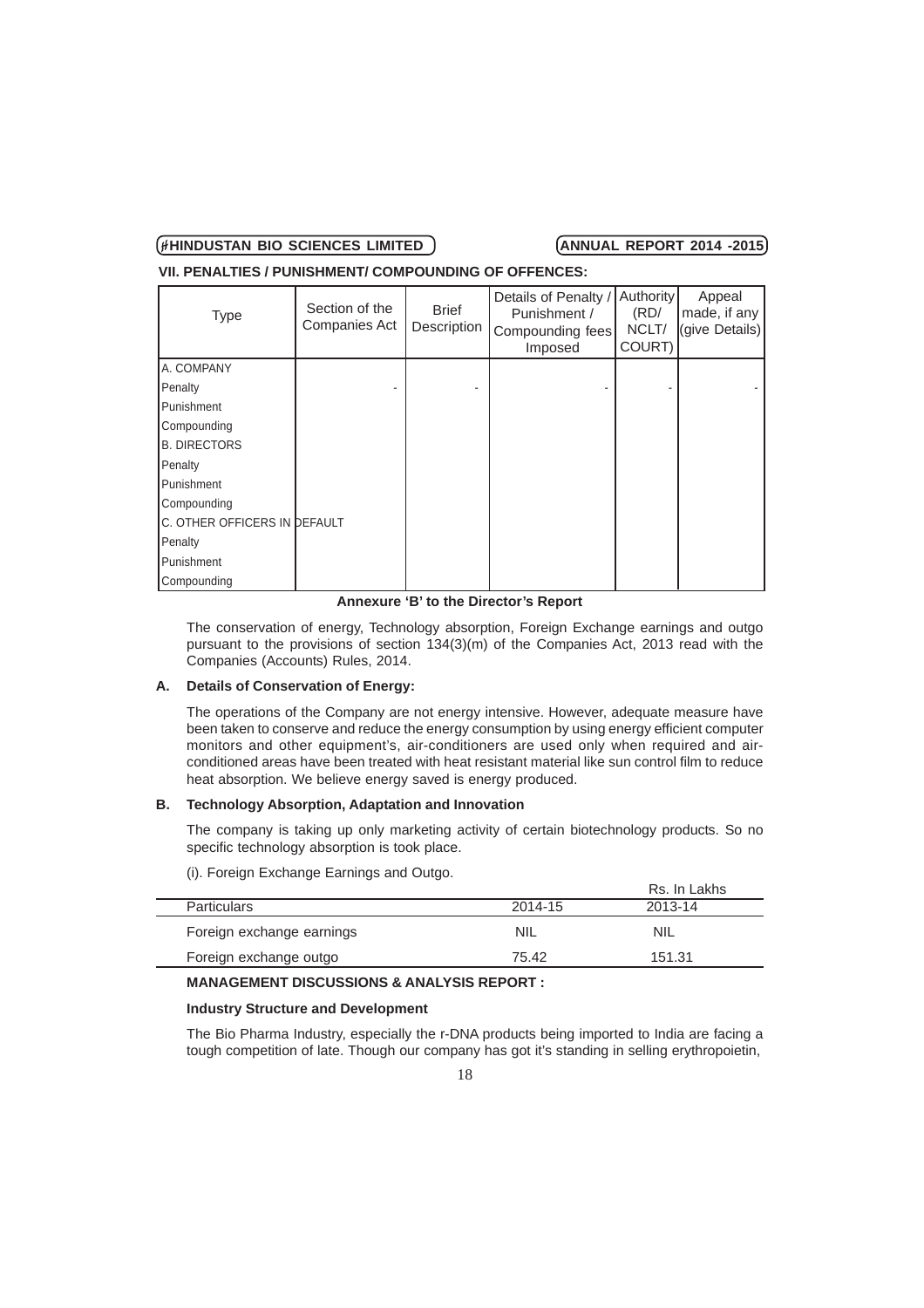**VII. PENALTIES / PUNISHMENT/ COMPOUNDING OF OFFENCES:**

| <b>Type</b>                  | Section of the<br>Companies Act | <b>Brief</b><br>Description | Details of Penalty /<br>Punishment /<br>Compounding fees<br>Imposed | Authority<br>(RD)<br>NCLT/<br>COURT) | Appeal<br>made, if any<br>(give Details) |
|------------------------------|---------------------------------|-----------------------------|---------------------------------------------------------------------|--------------------------------------|------------------------------------------|
| A. COMPANY                   |                                 |                             |                                                                     |                                      |                                          |
| Penalty                      |                                 |                             |                                                                     |                                      |                                          |
| Punishment                   |                                 |                             |                                                                     |                                      |                                          |
| Compounding                  |                                 |                             |                                                                     |                                      |                                          |
| <b>B. DIRECTORS</b>          |                                 |                             |                                                                     |                                      |                                          |
| Penalty                      |                                 |                             |                                                                     |                                      |                                          |
| Punishment                   |                                 |                             |                                                                     |                                      |                                          |
| Compounding                  |                                 |                             |                                                                     |                                      |                                          |
| C. OTHER OFFICERS IN DEFAULT |                                 |                             |                                                                     |                                      |                                          |
| Penalty                      |                                 |                             |                                                                     |                                      |                                          |
| Punishment                   |                                 |                             |                                                                     |                                      |                                          |
| Compounding                  |                                 |                             |                                                                     |                                      |                                          |

**Annexure 'B' to the Director's Report**

The conservation of energy, Technology absorption, Foreign Exchange earnings and outgo pursuant to the provisions of section 134(3)(m) of the Companies Act, 2013 read with the Companies (Accounts) Rules, 2014.

### **A. Details of Conservation of Energy:**

The operations of the Company are not energy intensive. However, adequate measure have been taken to conserve and reduce the energy consumption by using energy efficient computer monitors and other equipment's, air-conditioners are used only when required and airconditioned areas have been treated with heat resistant material like sun control film to reduce heat absorption. We believe energy saved is energy produced.

### **B. Technology Absorption, Adaptation and Innovation**

The company is taking up only marketing activity of certain biotechnology products. So no specific technology absorption is took place.

(i). Foreign Exchange Earnings and Outgo.

|                           |         | Rs. In Lakhs |
|---------------------------|---------|--------------|
| <b>Particulars</b>        | 2014-15 | 2013-14      |
| Foreign exchange earnings | NIL     | NIL          |
| Foreign exchange outgo    | 75.42   | 151.31       |
|                           |         |              |

# **MANAGEMENT DISCUSSIONS & ANALYSIS REPORT :**

### **Industry Structure and Development**

The Bio Pharma Industry, especially the r-DNA products being imported to India are facing a tough competition of late. Though our company has got it's standing in selling erythropoietin,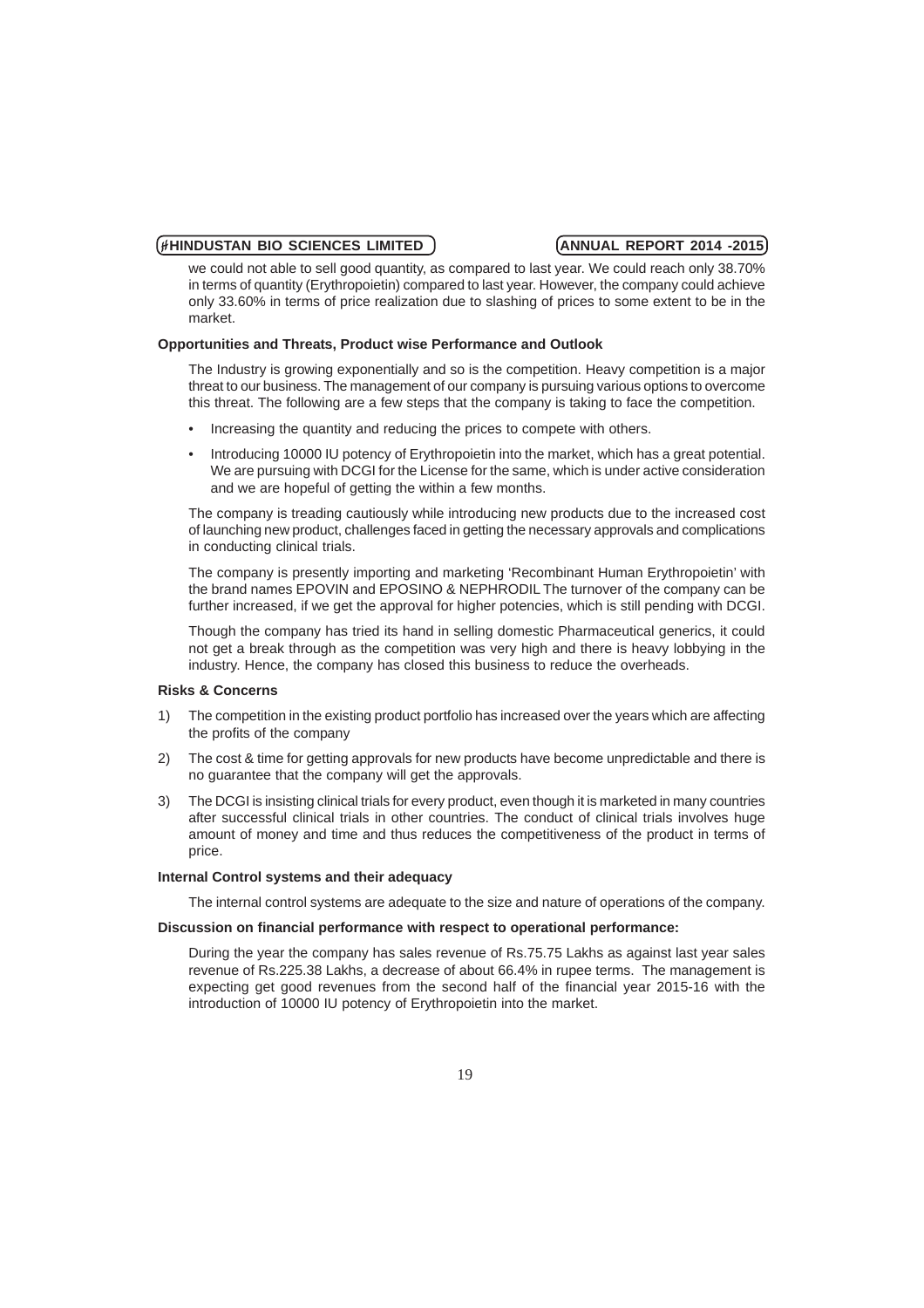we could not able to sell good quantity, as compared to last year. We could reach only 38.70% in terms of quantity (Erythropoietin) compared to last year. However, the company could achieve only 33.60% in terms of price realization due to slashing of prices to some extent to be in the market.

### **Opportunities and Threats, Product wise Performance and Outlook**

The Industry is growing exponentially and so is the competition. Heavy competition is a major threat to our business. The management of our company is pursuing various options to overcome this threat. The following are a few steps that the company is taking to face the competition.

- Increasing the quantity and reducing the prices to compete with others.
- Introducing 10000 IU potency of Erythropoietin into the market, which has a great potential. We are pursuing with DCGI for the License for the same, which is under active consideration and we are hopeful of getting the within a few months.

The company is treading cautiously while introducing new products due to the increased cost of launching new product, challenges faced in getting the necessary approvals and complications in conducting clinical trials.

The company is presently importing and marketing 'Recombinant Human Erythropoietin' with the brand names EPOVIN and EPOSINO & NEPHRODIL The turnover of the company can be further increased, if we get the approval for higher potencies, which is still pending with DCGI.

Though the company has tried its hand in selling domestic Pharmaceutical generics, it could not get a break through as the competition was very high and there is heavy lobbying in the industry. Hence, the company has closed this business to reduce the overheads.

### **Risks & Concerns**

- 1) The competition in the existing product portfolio has increased over the years which are affecting the profits of the company
- 2) The cost & time for getting approvals for new products have become unpredictable and there is no guarantee that the company will get the approvals.
- 3) The DCGI is insisting clinical trials for every product, even though it is marketed in many countries after successful clinical trials in other countries. The conduct of clinical trials involves huge amount of money and time and thus reduces the competitiveness of the product in terms of price.

# **Internal Control systems and their adequacy**

The internal control systems are adequate to the size and nature of operations of the company.

### **Discussion on financial performance with respect to operational performance:**

During the year the company has sales revenue of Rs.75.75 Lakhs as against last year sales revenue of Rs.225.38 Lakhs, a decrease of about 66.4% in rupee terms. The management is expecting get good revenues from the second half of the financial year 2015-16 with the introduction of 10000 IU potency of Erythropoietin into the market.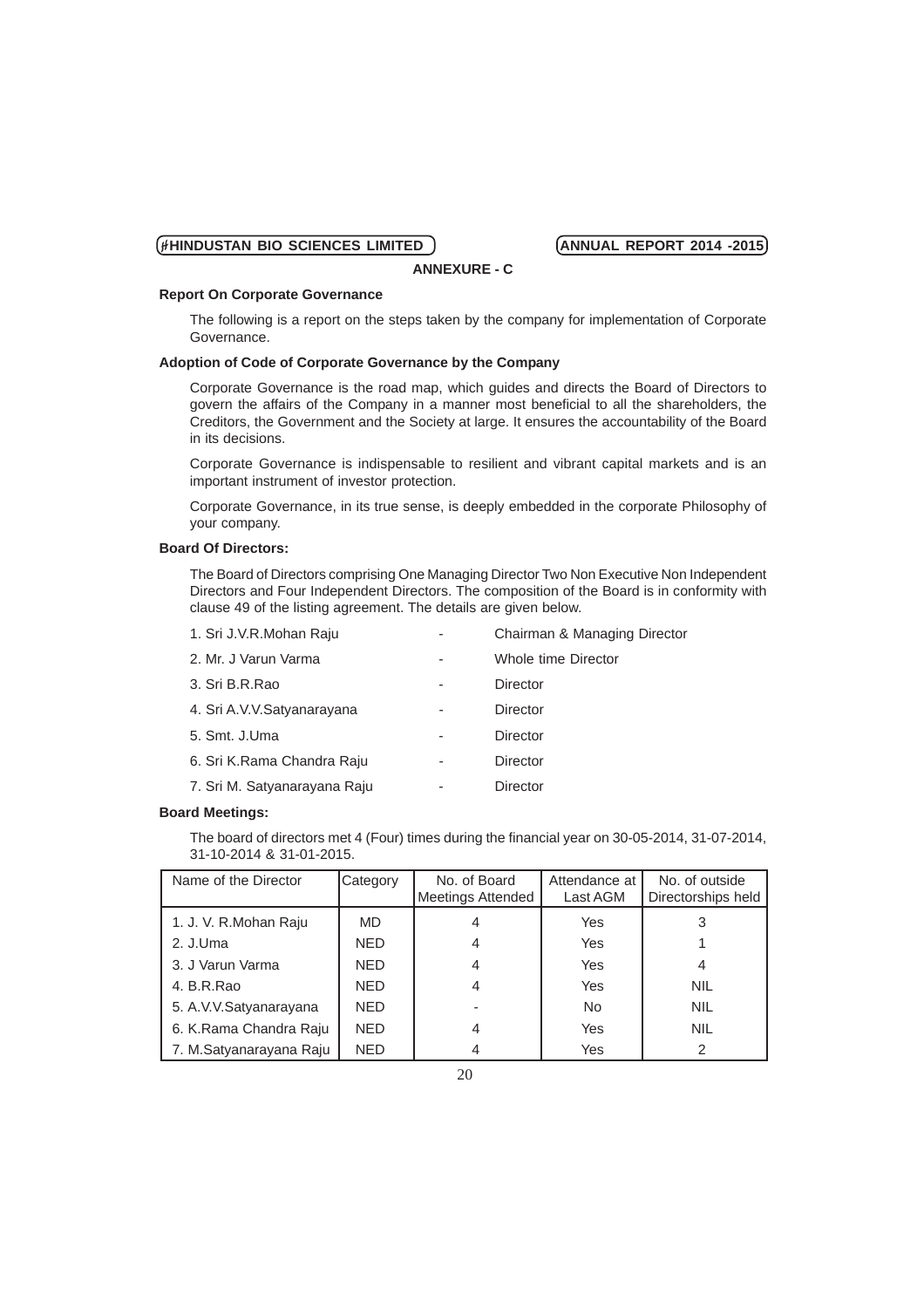# **Report On Corporate Governance**

The following is a report on the steps taken by the company for implementation of Corporate Governance.

**ANNEXURE - C**

# **Adoption of Code of Corporate Governance by the Company**

Corporate Governance is the road map, which guides and directs the Board of Directors to govern the affairs of the Company in a manner most beneficial to all the shareholders, the Creditors, the Government and the Society at large. It ensures the accountability of the Board in its decisions.

Corporate Governance is indispensable to resilient and vibrant capital markets and is an important instrument of investor protection.

Corporate Governance, in its true sense, is deeply embedded in the corporate Philosophy of your company.

### **Board Of Directors:**

The Board of Directors comprising One Managing Director Two Non Executive Non Independent Directors and Four Independent Directors. The composition of the Board is in conformity with clause 49 of the listing agreement. The details are given below.

| 1. Sri J.V.R.Mohan Raju      |   | Chairman & Managing Director |
|------------------------------|---|------------------------------|
| 2. Mr. J Varun Varma         |   | Whole time Director          |
| 3. Sri B.R.Rao               | ۰ | Director                     |
| 4. Sri A.V.V.Satyanarayana   |   | Director                     |
| 5. Smt. J.Uma                |   | Director                     |
| 6. Sri K.Rama Chandra Raju   |   | Director                     |
| 7. Sri M. Satyanarayana Raju |   | Director                     |

### **Board Meetings:**

The board of directors met 4 (Four) times during the financial year on 30-05-2014, 31-07-2014, 31-10-2014 & 31-01-2015.

| Name of the Director    | Category   | No. of Board<br><b>Meetings Attended</b> | Attendance at<br>Last AGM | No. of outside<br>Directorships held |
|-------------------------|------------|------------------------------------------|---------------------------|--------------------------------------|
| 1. J. V. R.Mohan Raju   | <b>MD</b>  | 4                                        | Yes                       | 3                                    |
| 2. J.Uma                | <b>NED</b> | 4                                        | Yes                       |                                      |
| 3. J Varun Varma        | <b>NED</b> | $\overline{4}$                           | Yes                       | 4                                    |
| 4. B.R.Rao              | <b>NED</b> | 4                                        | Yes                       | <b>NIL</b>                           |
| 5. A.V.V.Satyanarayana  | <b>NED</b> |                                          | <b>No</b>                 | <b>NIL</b>                           |
| 6. K.Rama Chandra Raju  | <b>NED</b> | 4                                        | Yes                       | <b>NIL</b>                           |
| 7. M.Satyanarayana Raju | <b>NED</b> | 4                                        | Yes                       | 2                                    |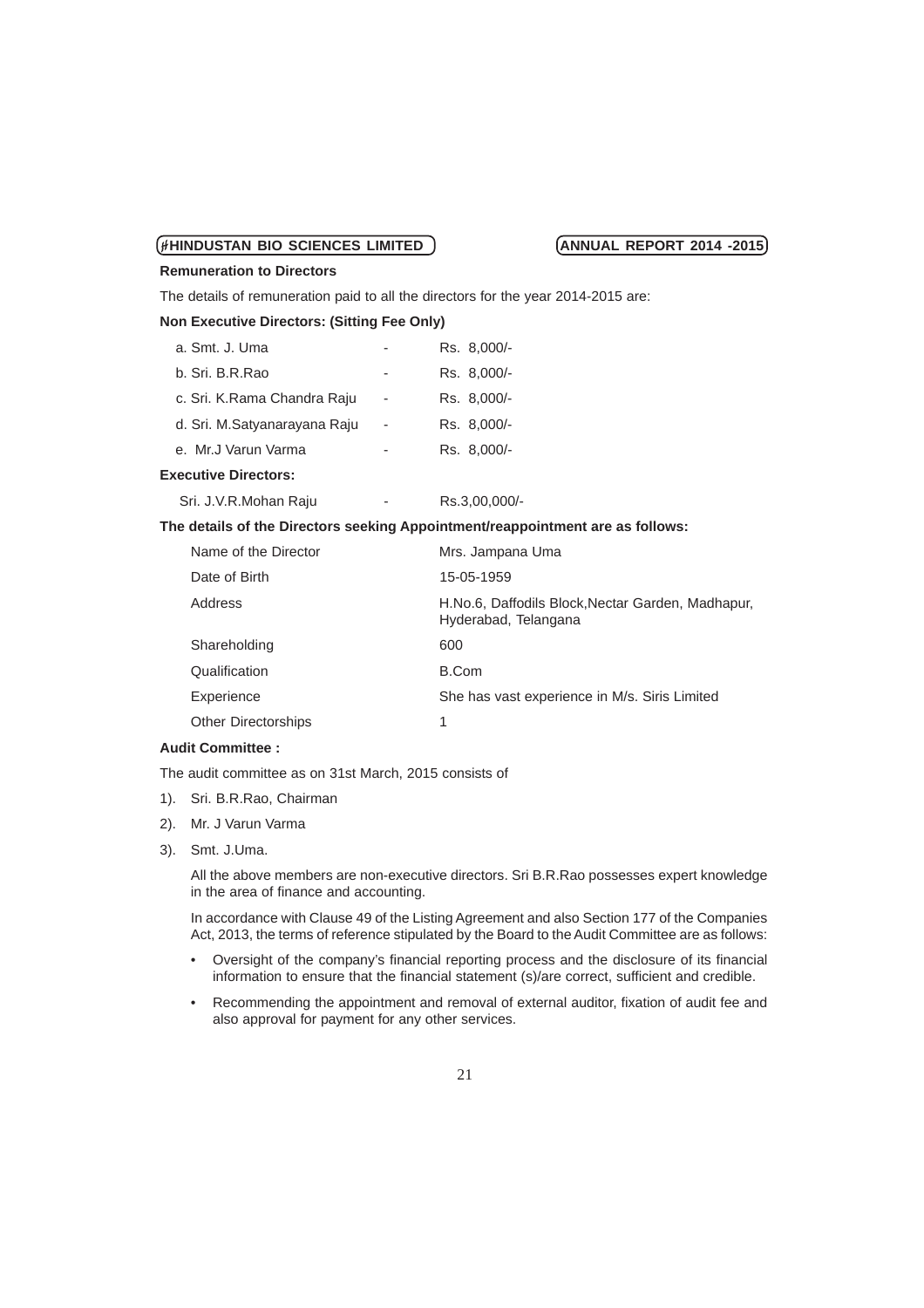### **Remuneration to Directors**

The details of remuneration paid to all the directors for the year 2014-2015 are:

### **Non Executive Directors: (Sitting Fee Only)**

| a. Smt. J. Uma               |   | Rs. 8,000/-   |
|------------------------------|---|---------------|
| b. Sri. B.R.Rao              | ۰ | Rs. 8.000/-   |
| c. Sri. K.Rama Chandra Raju  |   | Rs. 8,000/-   |
| d. Sri. M.Satyanarayana Raju |   | Rs. 8,000/-   |
| e. Mr.J Varun Varma          |   | Rs. 8.000/-   |
| <b>Executive Directors:</b>  |   |               |
| Sri. J.V.R.Mohan Raju        |   | Rs.3,00,000/- |

### **The details of the Directors seeking Appointment/reappointment are as follows:**

| Name of the Director       | Mrs. Jampana Uma                                                          |
|----------------------------|---------------------------------------------------------------------------|
| Date of Birth              | 15-05-1959                                                                |
| Address                    | H.No.6, Daffodils Block, Nectar Garden, Madhapur,<br>Hyderabad, Telangana |
| Shareholding               | 600                                                                       |
| Qualification              | B.Com                                                                     |
| Experience                 | She has vast experience in M/s. Siris Limited                             |
| <b>Other Directorships</b> | 1                                                                         |

# **Audit Committee :**

The audit committee as on 31st March, 2015 consists of

- 1). Sri. B.R.Rao, Chairman
- 2). Mr. J Varun Varma
- 3). Smt. J.Uma.

All the above members are non-executive directors. Sri B.R.Rao possesses expert knowledge in the area of finance and accounting.

In accordance with Clause 49 of the Listing Agreement and also Section 177 of the Companies Act, 2013, the terms of reference stipulated by the Board to the Audit Committee are as follows:

- Oversight of the company's financial reporting process and the disclosure of its financial information to ensure that the financial statement (s)/are correct, sufficient and credible.
- Recommending the appointment and removal of external auditor, fixation of audit fee and also approval for payment for any other services.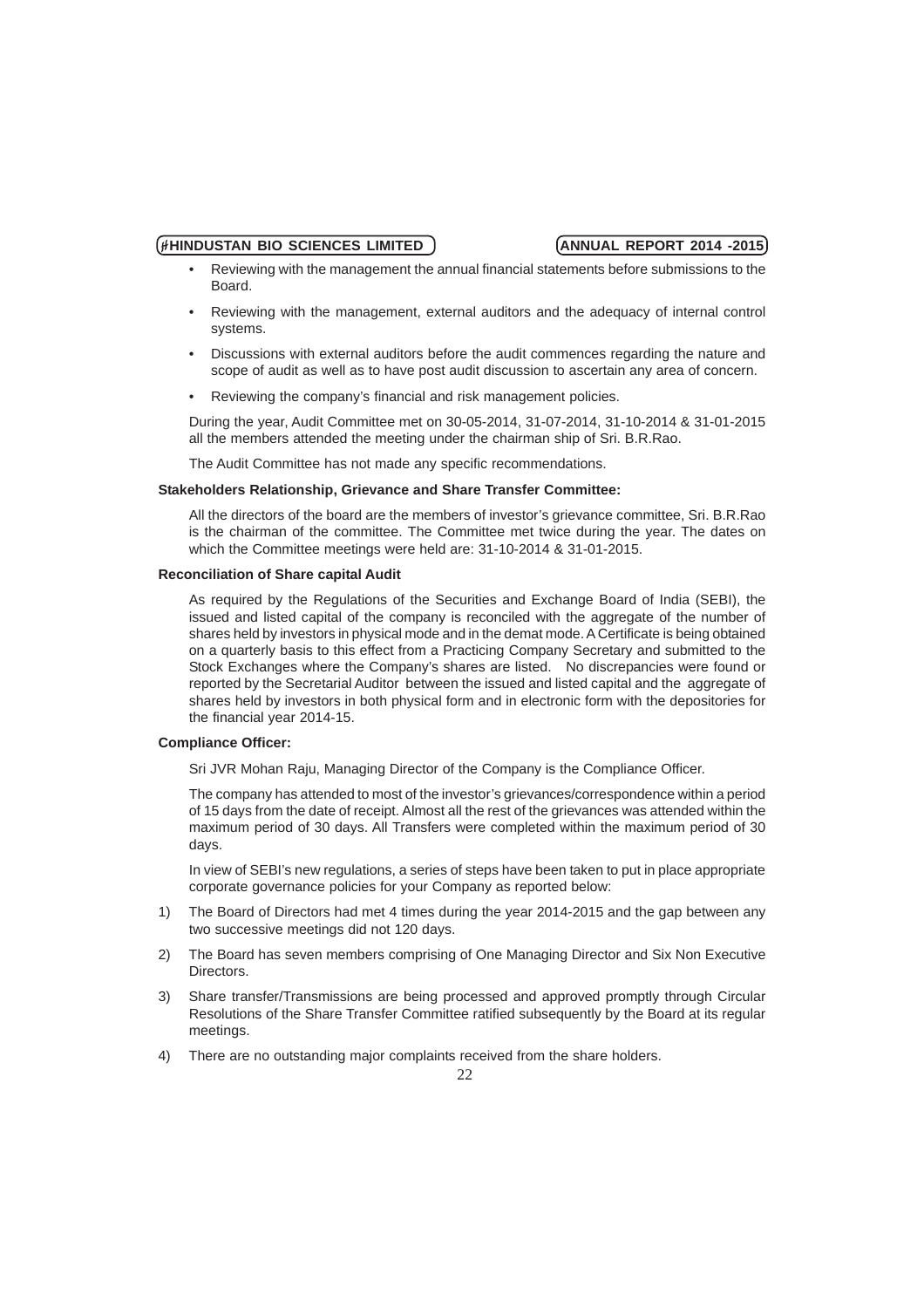- Reviewing with the management the annual financial statements before submissions to the **Board**
- Reviewing with the management, external auditors and the adequacy of internal control systems.
- Discussions with external auditors before the audit commences regarding the nature and scope of audit as well as to have post audit discussion to ascertain any area of concern.
- Reviewing the company's financial and risk management policies.

During the year, Audit Committee met on 30-05-2014, 31-07-2014, 31-10-2014 & 31-01-2015 all the members attended the meeting under the chairman ship of Sri. B.R.Rao.

The Audit Committee has not made any specific recommendations.

### **Stakeholders Relationship, Grievance and Share Transfer Committee:**

All the directors of the board are the members of investor's grievance committee, Sri. B.R.Rao is the chairman of the committee. The Committee met twice during the year. The dates on which the Committee meetings were held are: 31-10-2014 & 31-01-2015.

### **Reconciliation of Share capital Audit**

As required by the Regulations of the Securities and Exchange Board of India (SEBI), the issued and listed capital of the company is reconciled with the aggregate of the number of shares held by investors in physical mode and in the demat mode. A Certificate is being obtained on a quarterly basis to this effect from a Practicing Company Secretary and submitted to the Stock Exchanges where the Company's shares are listed. No discrepancies were found or reported by the Secretarial Auditor between the issued and listed capital and the aggregate of shares held by investors in both physical form and in electronic form with the depositories for the financial year 2014-15.

## **Compliance Officer:**

Sri JVR Mohan Raju, Managing Director of the Company is the Compliance Officer.

The company has attended to most of the investor's grievances/correspondence within a period of 15 days from the date of receipt. Almost all the rest of the grievances was attended within the maximum period of 30 days. All Transfers were completed within the maximum period of 30 days.

In view of SEBI's new regulations, a series of steps have been taken to put in place appropriate corporate governance policies for your Company as reported below:

- 1) The Board of Directors had met 4 times during the year 2014-2015 and the gap between any two successive meetings did not 120 days.
- 2) The Board has seven members comprising of One Managing Director and Six Non Executive **Directors**
- 3) Share transfer/Transmissions are being processed and approved promptly through Circular Resolutions of the Share Transfer Committee ratified subsequently by the Board at its regular meetings.
- 4) There are no outstanding major complaints received from the share holders.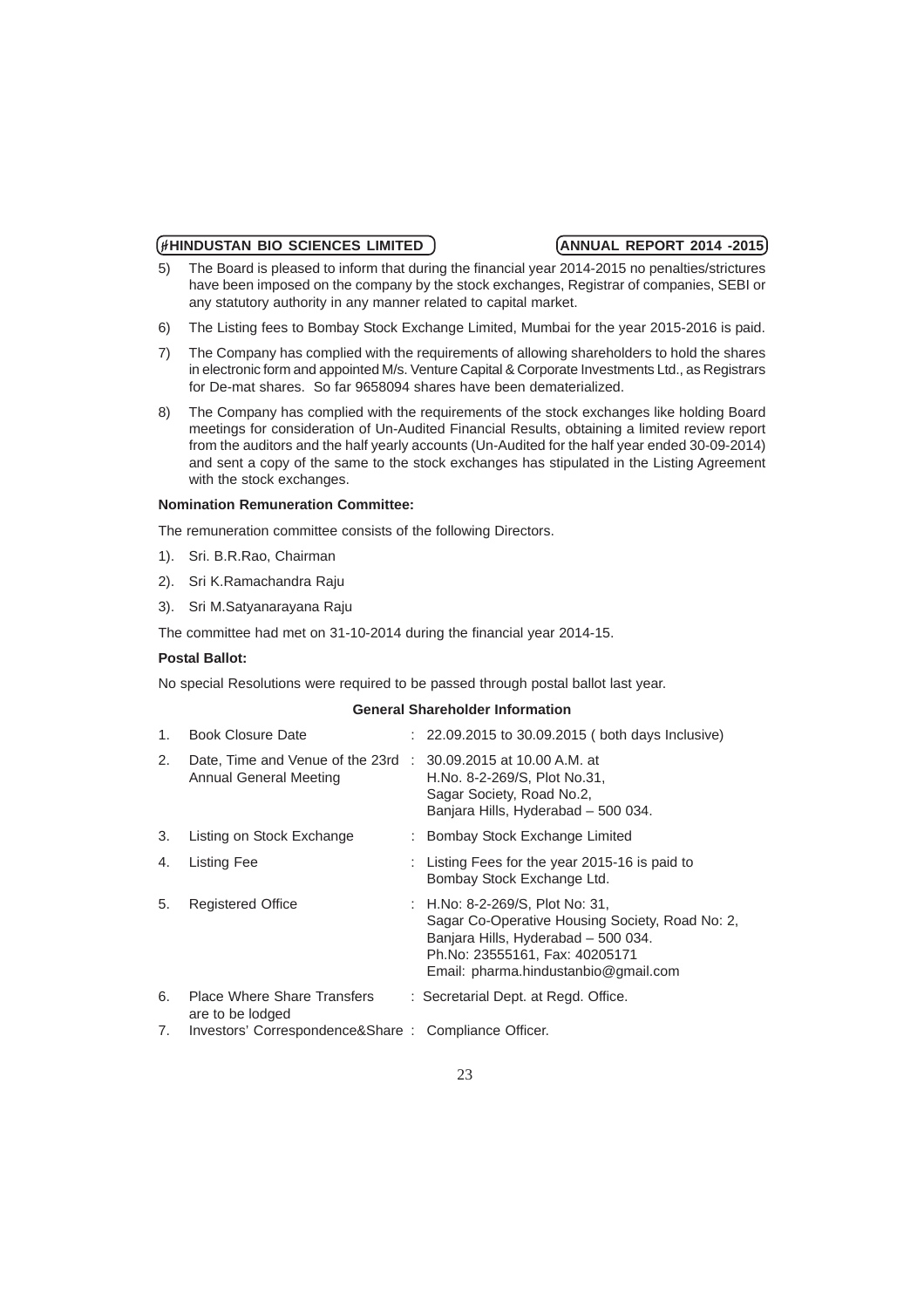- 5) The Board is pleased to inform that during the financial year 2014-2015 no penalties/strictures have been imposed on the company by the stock exchanges, Registrar of companies, SEBI or any statutory authority in any manner related to capital market.
- 6) The Listing fees to Bombay Stock Exchange Limited, Mumbai for the year 2015-2016 is paid.
- 7) The Company has complied with the requirements of allowing shareholders to hold the shares in electronic form and appointed M/s. Venture Capital & Corporate Investments Ltd., as Registrars for De-mat shares. So far 9658094 shares have been dematerialized.
- 8) The Company has complied with the requirements of the stock exchanges like holding Board meetings for consideration of Un-Audited Financial Results, obtaining a limited review report from the auditors and the half yearly accounts (Un-Audited for the half year ended 30-09-2014) and sent a copy of the same to the stock exchanges has stipulated in the Listing Agreement with the stock exchanges.

### **Nomination Remuneration Committee:**

The remuneration committee consists of the following Directors.

- 1). Sri. B.R.Rao, Chairman
- 2). Sri K.Ramachandra Raju
- 3). Sri M.Satyanarayana Raju

The committee had met on 31-10-2014 during the financial year 2014-15.

# **Postal Ballot:**

No special Resolutions were required to be passed through postal ballot last year.

### **General Shareholder Information**

| 1. | <b>Book Closure Date</b>                                     | : 22.09.2015 to 30.09.2015 (both days Inclusive)                                                                                                                                                    |
|----|--------------------------------------------------------------|-----------------------------------------------------------------------------------------------------------------------------------------------------------------------------------------------------|
| 2. | Date, Time and Venue of the 23rd :<br>Annual General Meeting | 30.09.2015 at 10.00 A.M. at<br>H.No. 8-2-269/S, Plot No.31,<br>Sagar Society, Road No.2,<br>Banjara Hills, Hyderabad - 500 034.                                                                     |
| 3. | Listing on Stock Exchange                                    | : Bombay Stock Exchange Limited                                                                                                                                                                     |
| 4. | Listing Fee                                                  | : Listing Fees for the year 2015-16 is paid to<br>Bombay Stock Exchange Ltd.                                                                                                                        |
| 5. | <b>Registered Office</b>                                     | : H.No: 8-2-269/S, Plot No: 31,<br>Sagar Co-Operative Housing Society, Road No: 2,<br>Banjara Hills, Hyderabad - 500 034.<br>Ph.No: 23555161, Fax: 40205171<br>Email: pharma.hindustanbio@gmail.com |
| 6. | <b>Place Where Share Transfers</b><br>are to be lodged       | : Secretarial Dept. at Regd. Office.                                                                                                                                                                |
| 7. | Investors' Correspondence&Share: Compliance Officer.         |                                                                                                                                                                                                     |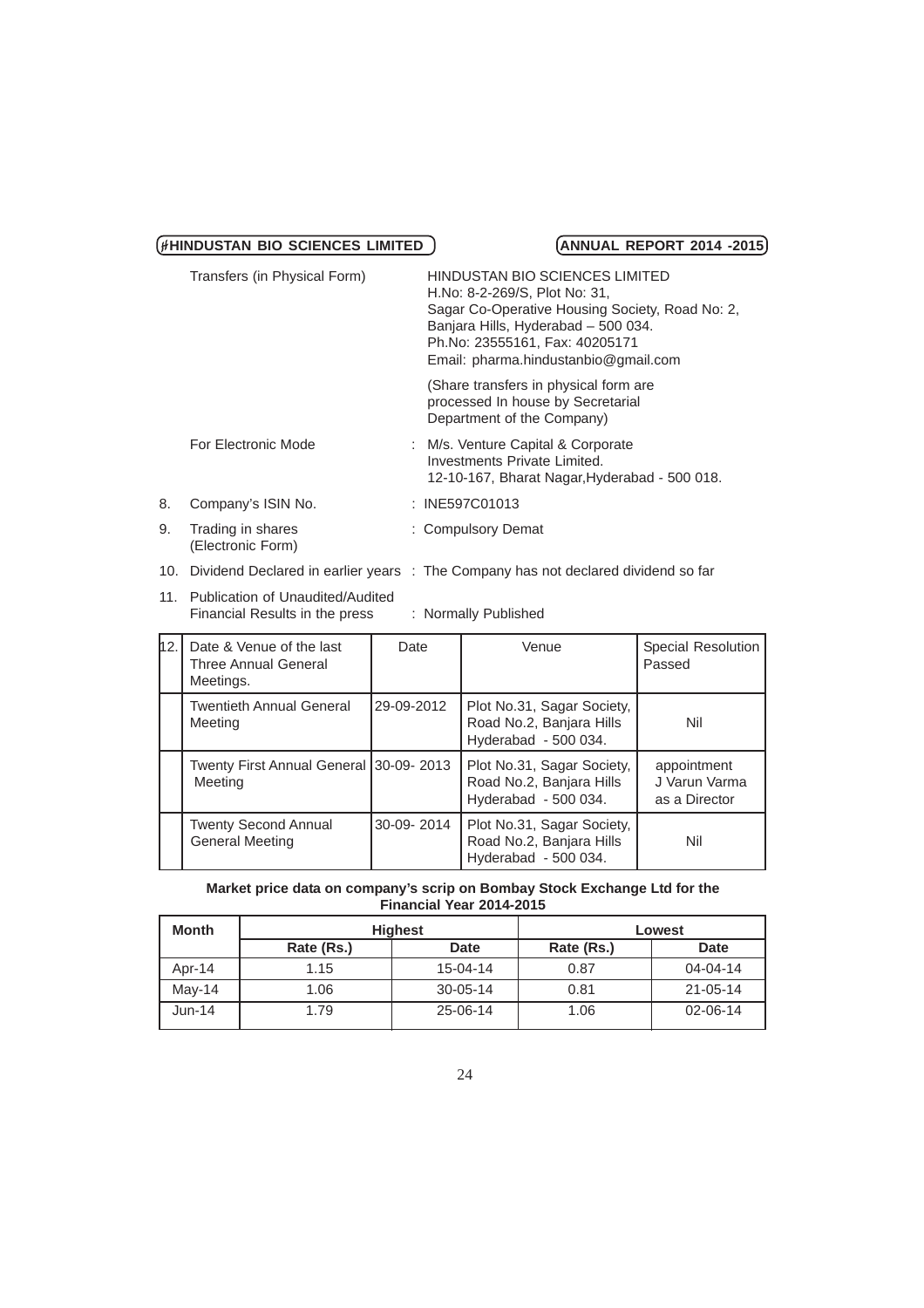|    | Transfers (in Physical Form)           | HINDUSTAN BIO SCIENCES LIMITED<br>H.No: 8-2-269/S, Plot No: 31,<br>Sagar Co-Operative Housing Society, Road No: 2,<br>Banjara Hills, Hyderabad - 500 034.<br>Ph.No: 23555161, Fax: 40205171<br>Email: pharma.hindustanbio@gmail.com |
|----|----------------------------------------|-------------------------------------------------------------------------------------------------------------------------------------------------------------------------------------------------------------------------------------|
|    |                                        | (Share transfers in physical form are<br>processed In house by Secretarial<br>Department of the Company)                                                                                                                            |
|    | For Electronic Mode                    | : M/s. Venture Capital & Corporate<br>Investments Private Limited.<br>12-10-167, Bharat Nagar, Hyderabad - 500 018.                                                                                                                 |
| 8. | Company's ISIN No.                     | : INE597C01013                                                                                                                                                                                                                      |
| 9. | Trading in shares<br>(Electronic Form) | : Compulsory Demat                                                                                                                                                                                                                  |

# 10. Dividend Declared in earlier years : The Company has not declared dividend so far

11. Publication of Unaudited/Audited Financial Results in the press : Normally Published

| 12. | Date & Venue of the last<br><b>Three Annual General</b><br>Meetings. | Date       | Venue                                                                          | Special Resolution<br>Passed                  |
|-----|----------------------------------------------------------------------|------------|--------------------------------------------------------------------------------|-----------------------------------------------|
|     | <b>Twentieth Annual General</b><br>Meeting                           | 29-09-2012 | Plot No.31, Sagar Society,<br>Road No.2, Banjara Hills<br>Hyderabad - 500 034. | Nil                                           |
|     | Twenty First Annual General   30-09-2013<br>Meeting                  |            | Plot No.31, Sagar Society,<br>Road No.2, Banjara Hills<br>Hyderabad - 500 034. | appointment<br>J Varun Varma<br>as a Director |
|     | <b>Twenty Second Annual</b><br><b>General Meeting</b>                | 30-09-2014 | Plot No.31, Sagar Society,<br>Road No.2, Banjara Hills<br>Hyderabad - 500 034. | Nil                                           |

### **Market price data on company's scrip on Bombay Stock Exchange Ltd for the Financial Year 2014-2015**

| <b>Month</b> |            | <b>Highest</b> |            | Lowest         |
|--------------|------------|----------------|------------|----------------|
|              | Rate (Rs.) | <b>Date</b>    | Rate (Rs.) | <b>Date</b>    |
| Apr- $14$    | 1.15       | $15 - 04 - 14$ | 0.87       | $04 - 04 - 14$ |
| $Mav-14$     | 1.06       | $30 - 05 - 14$ | 0.81       | $21 - 05 - 14$ |
| $Jun-14$     | 1.79       | 25-06-14       | 1.06       | 02-06-14       |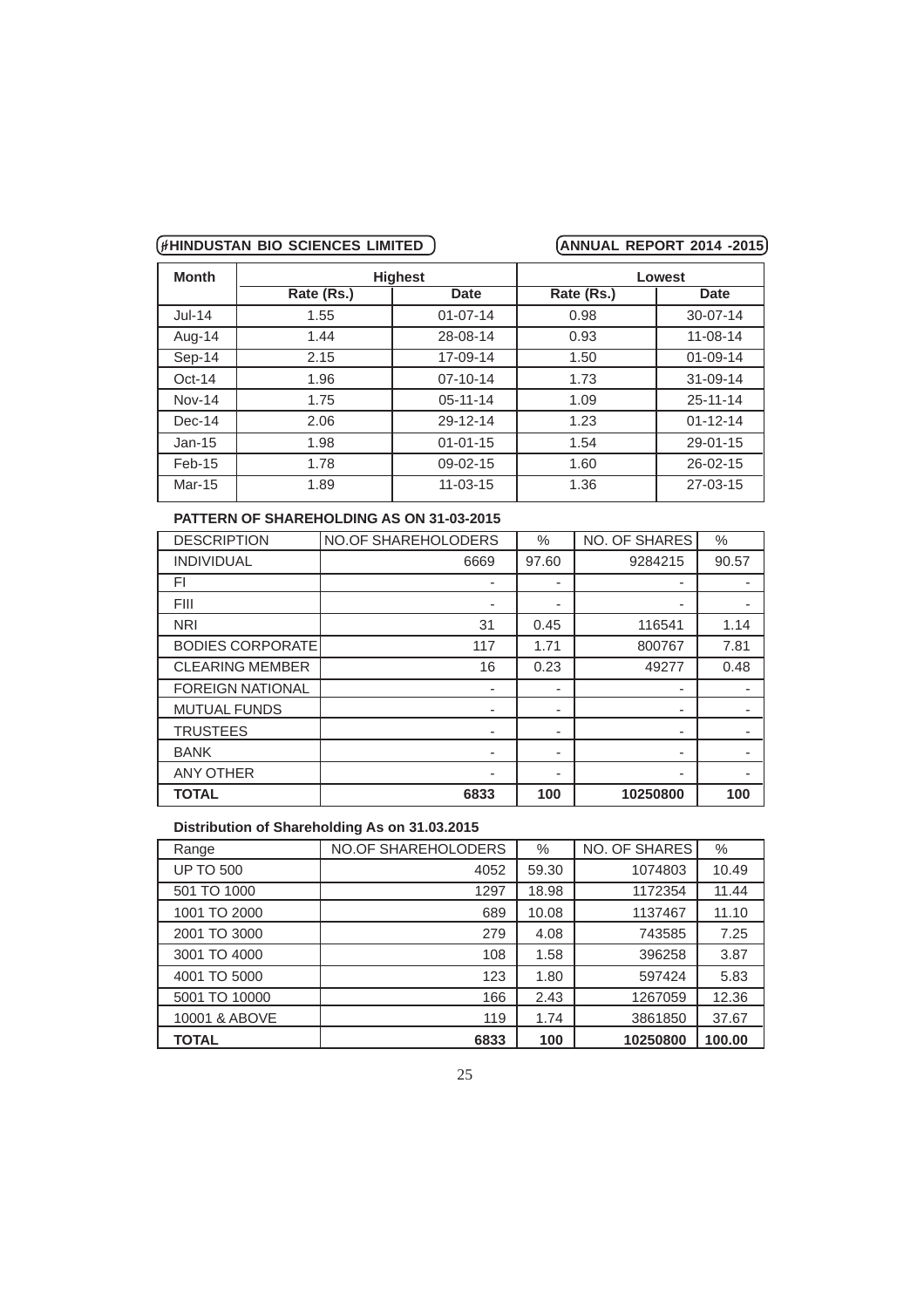| <b>Month</b> | <b>Highest</b> |                | Lowest     |                |  |
|--------------|----------------|----------------|------------|----------------|--|
|              | Rate (Rs.)     | Date           | Rate (Rs.) | Date           |  |
| $Jul-14$     | 1.55           | $01 - 07 - 14$ | 0.98       | $30 - 07 - 14$ |  |
| Aug-14       | 1.44           | 28-08-14       | 0.93       | $11 - 08 - 14$ |  |
| Sep-14       | 2.15           | 17-09-14       | 1.50       | $01 - 09 - 14$ |  |
| $Oct-14$     | 1.96           | $07 - 10 - 14$ | 1.73       | $31 - 09 - 14$ |  |
| $Nov-14$     | 1.75           | $05 - 11 - 14$ | 1.09       | $25 - 11 - 14$ |  |
| Dec-14       | 2.06           | 29-12-14       | 1.23       | $01 - 12 - 14$ |  |
| $Jan-15$     | 1.98           | $01 - 01 - 15$ | 1.54       | $29 - 01 - 15$ |  |
| $Feb-15$     | 1.78           | $09 - 02 - 15$ | 1.60       | $26 - 02 - 15$ |  |
| Mar-15       | 1.89           | $11 - 03 - 15$ | 1.36       | $27 - 03 - 15$ |  |

# **PATTERN OF SHAREHOLDING AS ON 31-03-2015**

| <b>DESCRIPTION</b>      | <b>NO.OF SHAREHOLODERS</b> | $\%$  | NO. OF SHARES            | $\%$  |
|-------------------------|----------------------------|-------|--------------------------|-------|
| <b>INDIVIDUAL</b>       | 6669                       | 97.60 | 9284215                  | 90.57 |
| FI                      |                            |       | ٠                        |       |
| <b>FIII</b>             |                            | ۰     | ٠                        |       |
| <b>NRI</b>              | 31                         | 0.45  | 116541                   | 1.14  |
| <b>BODIES CORPORATE</b> | 117                        | 1.71  | 800767                   | 7.81  |
| <b>CLEARING MEMBER</b>  | 16                         | 0.23  | 49277                    | 0.48  |
| <b>FOREIGN NATIONAL</b> |                            |       | $\overline{\phantom{0}}$ |       |
| <b>MUTUAL FUNDS</b>     |                            | ۰     | $\overline{\phantom{0}}$ |       |
| <b>TRUSTEES</b>         | ۰                          | -     | ۰                        |       |
| <b>BANK</b>             | -                          | ۰     | ٠                        |       |
| <b>ANY OTHER</b>        |                            | ۰     | ٠                        |       |
| <b>TOTAL</b>            | 6833                       | 100   | 10250800                 | 100   |

# **Distribution of Shareholding As on 31.03.2015**

| Range            | <b>NO.OF SHAREHOLODERS</b> | $\%$  | NO. OF SHARES | %      |
|------------------|----------------------------|-------|---------------|--------|
| <b>UP TO 500</b> | 4052                       | 59.30 | 1074803       | 10.49  |
| 501 TO 1000      | 1297                       | 18.98 | 1172354       | 11.44  |
| 1001 TO 2000     | 689                        | 10.08 | 1137467       | 11.10  |
| 2001 TO 3000     | 279                        | 4.08  | 743585        | 7.25   |
| 3001 TO 4000     | 108                        | 1.58  | 396258        | 3.87   |
| 4001 TO 5000     | 123                        | 1.80  | 597424        | 5.83   |
| 5001 TO 10000    | 166                        | 2.43  | 1267059       | 12.36  |
| 10001 & ABOVE    | 119                        | 1.74  | 3861850       | 37.67  |
| <b>TOTAL</b>     | 6833                       | 100   | 10250800      | 100.00 |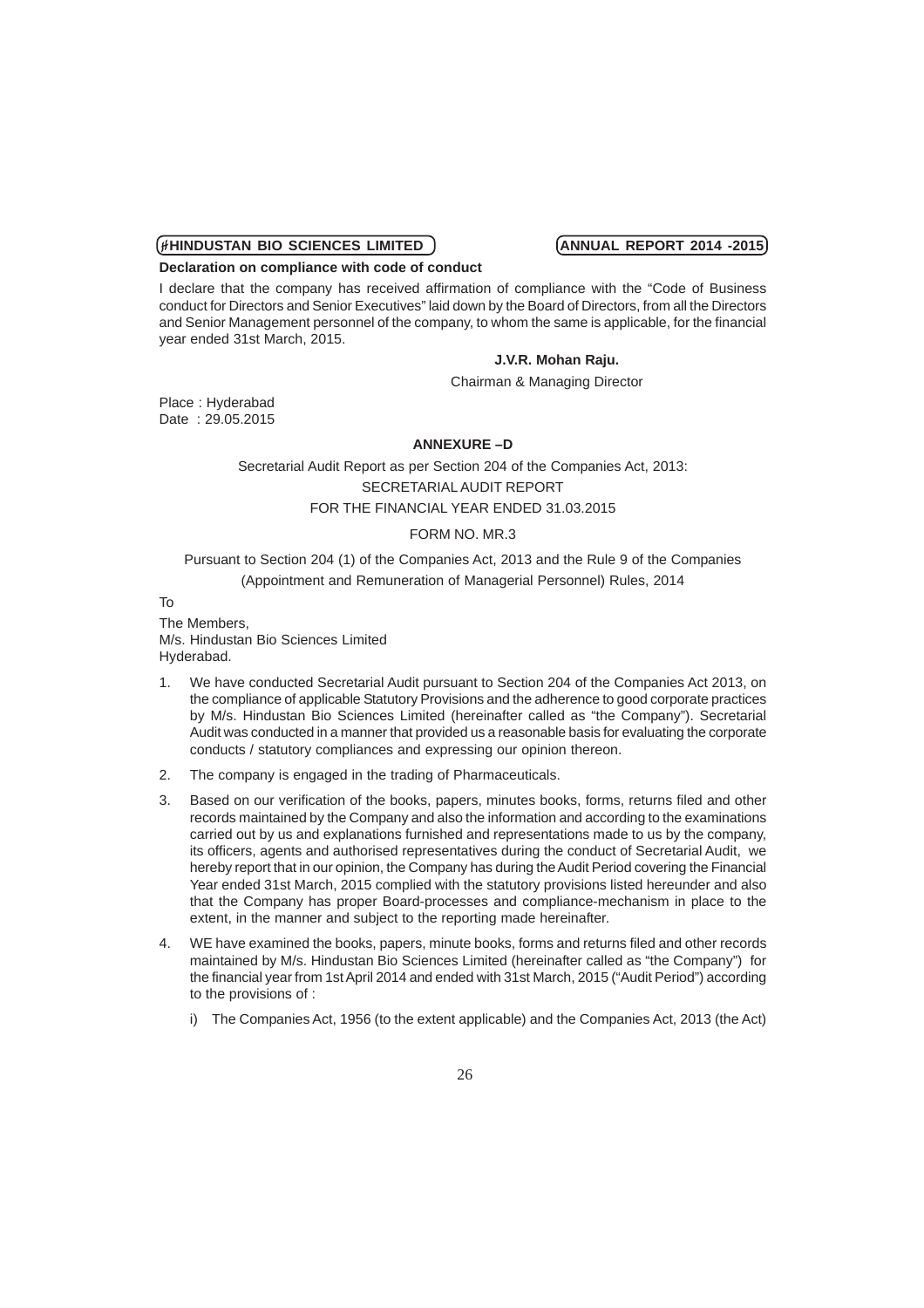**Declaration on compliance with code of conduct**

I declare that the company has received affirmation of compliance with the "Code of Business conduct for Directors and Senior Executives" laid down by the Board of Directors, from all the Directors and Senior Management personnel of the company, to whom the same is applicable, for the financial year ended 31st March, 2015.

### **J.V.R. Mohan Raju.**

Chairman & Managing Director

Place : Hyderabad Date : 29.05.2015

### **ANNEXURE –D**

Secretarial Audit Report as per Section 204 of the Companies Act, 2013: SECRETARIAL AUDIT REPORT FOR THE FINANCIAL YEAR ENDED 31.03.2015

# FORM NO. MR.3

Pursuant to Section 204 (1) of the Companies Act, 2013 and the Rule 9 of the Companies (Appointment and Remuneration of Managerial Personnel) Rules, 2014

To

The Members, M/s. Hindustan Bio Sciences Limited Hyderabad.

- 1. We have conducted Secretarial Audit pursuant to Section 204 of the Companies Act 2013, on the compliance of applicable Statutory Provisions and the adherence to good corporate practices by M/s. Hindustan Bio Sciences Limited (hereinafter called as "the Company"). Secretarial Audit was conducted in a manner that provided us a reasonable basis for evaluating the corporate conducts / statutory compliances and expressing our opinion thereon.
- 2. The company is engaged in the trading of Pharmaceuticals.
- 3. Based on our verification of the books, papers, minutes books, forms, returns filed and other records maintained by the Company and also the information and according to the examinations carried out by us and explanations furnished and representations made to us by the company, its officers, agents and authorised representatives during the conduct of Secretarial Audit, we hereby report that in our opinion, the Company has during the Audit Period covering the Financial Year ended 31st March, 2015 complied with the statutory provisions listed hereunder and also that the Company has proper Board-processes and compliance-mechanism in place to the extent, in the manner and subject to the reporting made hereinafter.
- 4. WE have examined the books, papers, minute books, forms and returns filed and other records maintained by M/s. Hindustan Bio Sciences Limited (hereinafter called as "the Company") for the financial year from 1st April 2014 and ended with 31st March, 2015 ("Audit Period") according to the provisions of :
	- i) The Companies Act, 1956 (to the extent applicable) and the Companies Act, 2013 (the Act)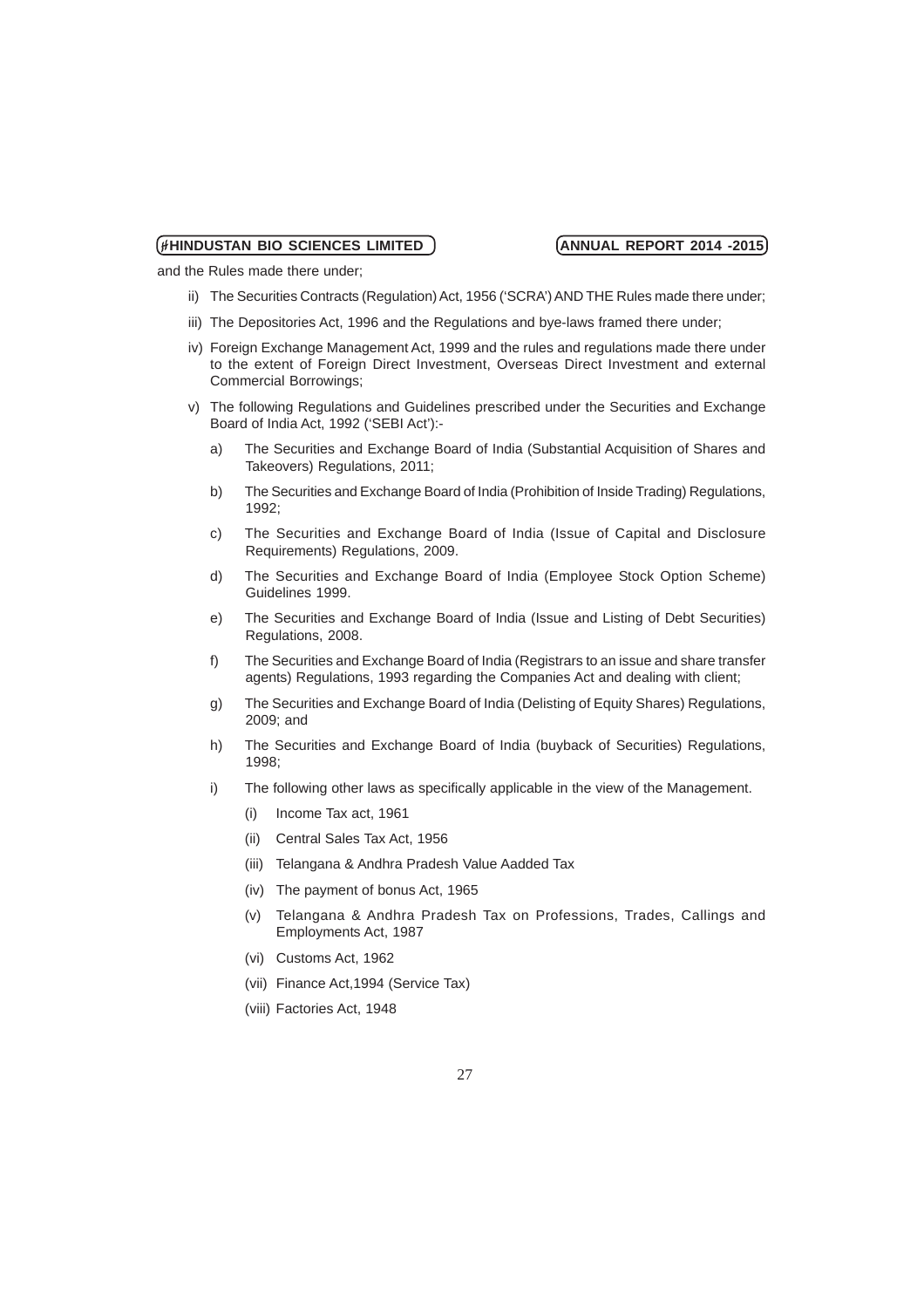and the Rules made there under;

- ii) The Securities Contracts (Regulation) Act, 1956 ('SCRA') AND THE Rules made there under;
- iii) The Depositories Act, 1996 and the Regulations and bye-laws framed there under;
- iv) Foreign Exchange Management Act, 1999 and the rules and regulations made there under to the extent of Foreign Direct Investment, Overseas Direct Investment and external Commercial Borrowings;
- v) The following Regulations and Guidelines prescribed under the Securities and Exchange Board of India Act, 1992 ('SEBI Act'):
	- a) The Securities and Exchange Board of India (Substantial Acquisition of Shares and Takeovers) Regulations, 2011;
	- b) The Securities and Exchange Board of India (Prohibition of Inside Trading) Regulations, 1992;
	- c) The Securities and Exchange Board of India (Issue of Capital and Disclosure Requirements) Regulations, 2009.
	- d) The Securities and Exchange Board of India (Employee Stock Option Scheme) Guidelines 1999.
	- e) The Securities and Exchange Board of India (Issue and Listing of Debt Securities) Regulations, 2008.
	- f) The Securities and Exchange Board of India (Registrars to an issue and share transfer agents) Regulations, 1993 regarding the Companies Act and dealing with client;
	- g) The Securities and Exchange Board of India (Delisting of Equity Shares) Regulations, 2009; and
	- h) The Securities and Exchange Board of India (buyback of Securities) Regulations, 1998;
	- i) The following other laws as specifically applicable in the view of the Management.
		- (i) Income Tax act, 1961
		- (ii) Central Sales Tax Act, 1956
		- (iii) Telangana & Andhra Pradesh Value Aadded Tax
		- (iv) The payment of bonus Act, 1965
		- (v) Telangana & Andhra Pradesh Tax on Professions, Trades, Callings and Employments Act, 1987
		- (vi) Customs Act, 1962
		- (vii) Finance Act,1994 (Service Tax)
		- (viii) Factories Act, 1948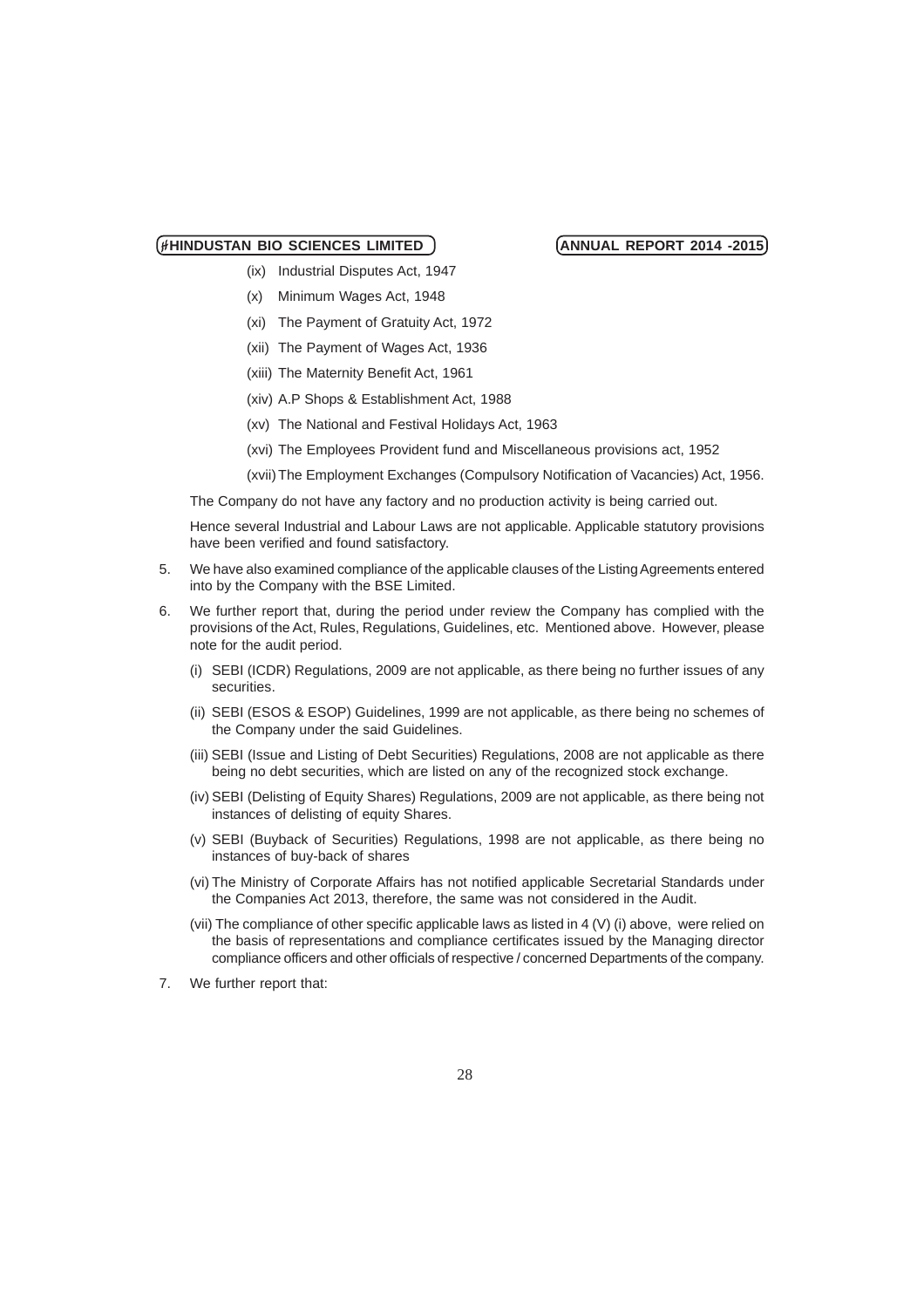- (ix) Industrial Disputes Act, 1947
- (x) Minimum Wages Act, 1948
- (xi) The Payment of Gratuity Act, 1972
- (xii) The Payment of Wages Act, 1936
- (xiii) The Maternity Benefit Act, 1961
- (xiv) A.P Shops & Establishment Act, 1988
- (xv) The National and Festival Holidays Act, 1963
- (xvi) The Employees Provident fund and Miscellaneous provisions act, 1952
- (xvii) The Employment Exchanges (Compulsory Notification of Vacancies) Act, 1956.

The Company do not have any factory and no production activity is being carried out.

Hence several Industrial and Labour Laws are not applicable. Applicable statutory provisions have been verified and found satisfactory.

- 5. We have also examined compliance of the applicable clauses of the Listing Agreements entered into by the Company with the BSE Limited.
- 6. We further report that, during the period under review the Company has complied with the provisions of the Act, Rules, Regulations, Guidelines, etc. Mentioned above. However, please note for the audit period.
	- (i) SEBI (ICDR) Regulations, 2009 are not applicable, as there being no further issues of any securities.
	- (ii) SEBI (ESOS & ESOP) Guidelines, 1999 are not applicable, as there being no schemes of the Company under the said Guidelines.
	- (iii) SEBI (Issue and Listing of Debt Securities) Regulations, 2008 are not applicable as there being no debt securities, which are listed on any of the recognized stock exchange.
	- (iv) SEBI (Delisting of Equity Shares) Regulations, 2009 are not applicable, as there being not instances of delisting of equity Shares.
	- (v) SEBI (Buyback of Securities) Regulations, 1998 are not applicable, as there being no instances of buy-back of shares
	- (vi) The Ministry of Corporate Affairs has not notified applicable Secretarial Standards under the Companies Act 2013, therefore, the same was not considered in the Audit.
	- (vii) The compliance of other specific applicable laws as listed in 4 (V) (i) above, were relied on the basis of representations and compliance certificates issued by the Managing director compliance officers and other officials of respective / concerned Departments of the company.
- 7. We further report that: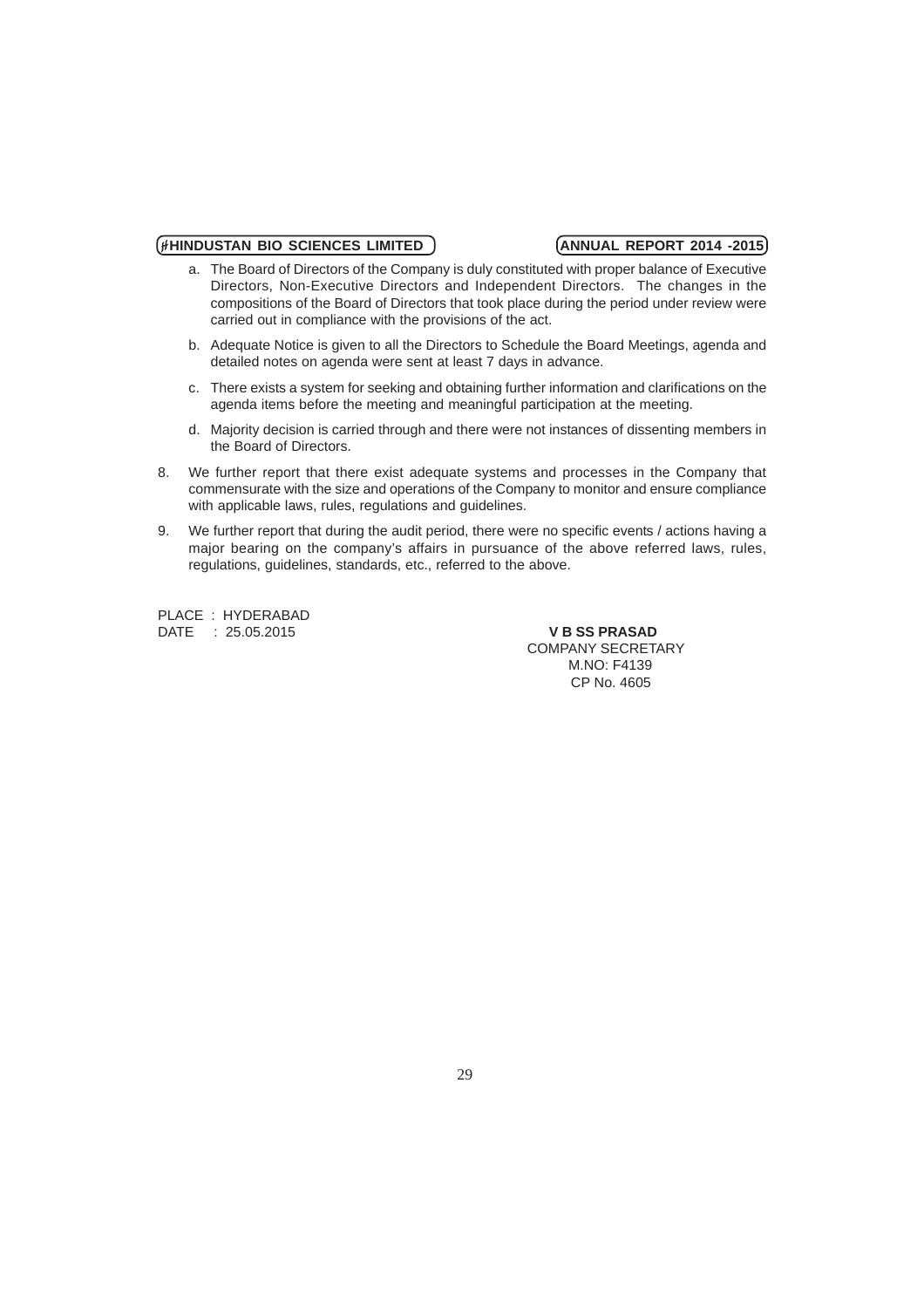- a. The Board of Directors of the Company is duly constituted with proper balance of Executive Directors, Non-Executive Directors and Independent Directors. The changes in the compositions of the Board of Directors that took place during the period under review were carried out in compliance with the provisions of the act.
- b. Adequate Notice is given to all the Directors to Schedule the Board Meetings, agenda and detailed notes on agenda were sent at least 7 days in advance.
- c. There exists a system for seeking and obtaining further information and clarifications on the agenda items before the meeting and meaningful participation at the meeting.
- d. Majority decision is carried through and there were not instances of dissenting members in the Board of Directors.
- 8. We further report that there exist adequate systems and processes in the Company that commensurate with the size and operations of the Company to monitor and ensure compliance with applicable laws, rules, regulations and guidelines.
- 9. We further report that during the audit period, there were no specific events / actions having a major bearing on the company's affairs in pursuance of the above referred laws, rules, regulations, guidelines, standards, etc., referred to the above.

PLACE : HYDERABAD DATE : 25.05.2015 **V B SS PRASAD**

 COMPANY SECRETARY M.NO: F4139 CP No. 4605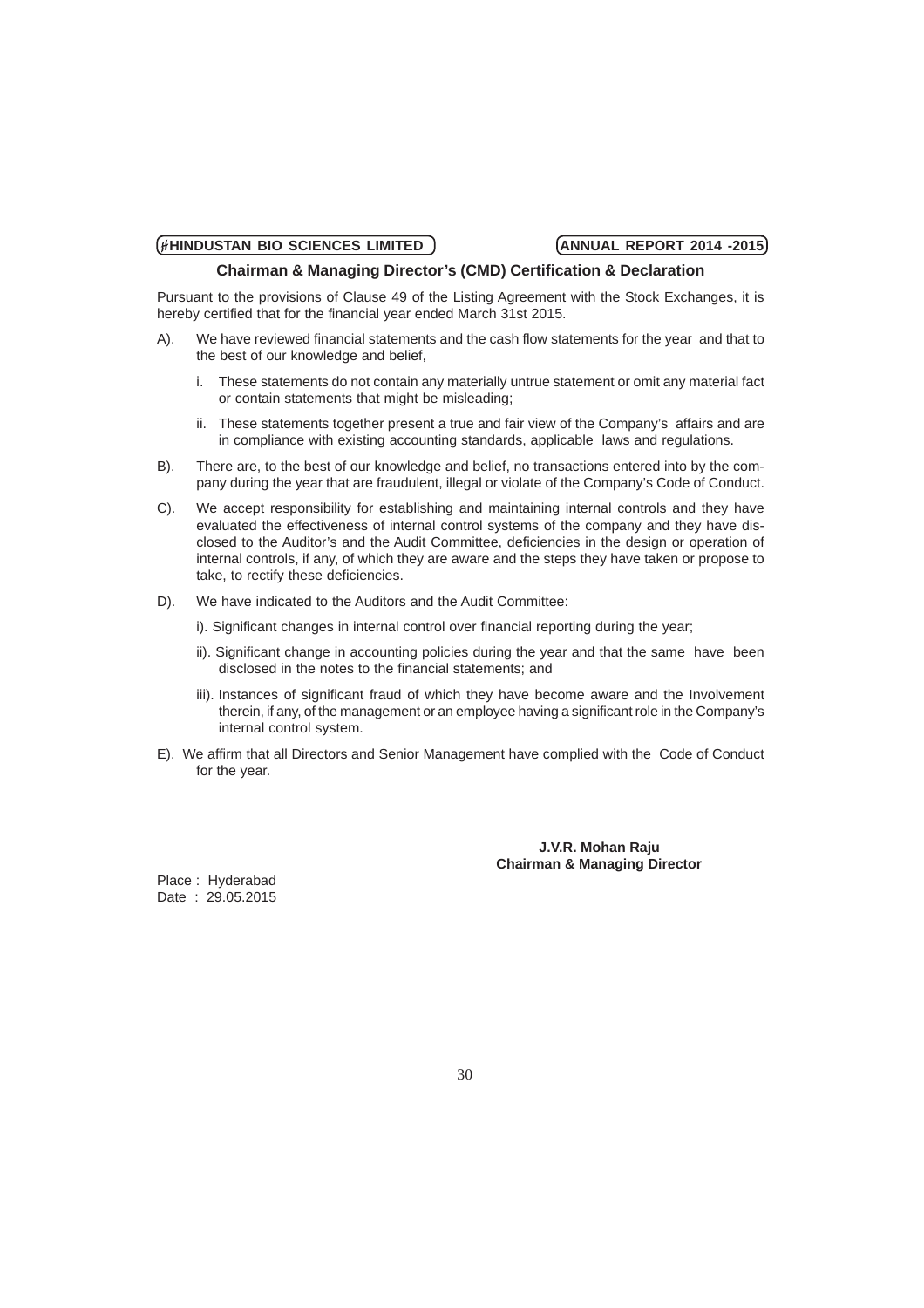### **Chairman & Managing Director's (CMD) Certification & Declaration**

Pursuant to the provisions of Clause 49 of the Listing Agreement with the Stock Exchanges, it is hereby certified that for the financial year ended March 31st 2015.

- A). We have reviewed financial statements and the cash flow statements for the year and that to the best of our knowledge and belief,
	- i. These statements do not contain any materially untrue statement or omit any material fact or contain statements that might be misleading;
	- ii. These statements together present a true and fair view of the Company's affairs and are in compliance with existing accounting standards, applicable laws and regulations.
- B). There are, to the best of our knowledge and belief, no transactions entered into by the company during the year that are fraudulent, illegal or violate of the Company's Code of Conduct.
- C). We accept responsibility for establishing and maintaining internal controls and they have evaluated the effectiveness of internal control systems of the company and they have disclosed to the Auditor's and the Audit Committee, deficiencies in the design or operation of internal controls, if any, of which they are aware and the steps they have taken or propose to take, to rectify these deficiencies.
- D). We have indicated to the Auditors and the Audit Committee:
	- i). Significant changes in internal control over financial reporting during the year;
	- ii). Significant change in accounting policies during the year and that the same have been disclosed in the notes to the financial statements; and
	- iii). Instances of significant fraud of which they have become aware and the Involvement therein, if any, of the management or an employee having a significant role in the Company's internal control system.
- E). We affirm that all Directors and Senior Management have complied with the Code of Conduct for the year.

### **J.V.R. Mohan Raju Chairman & Managing Director**

Place : Hyderabad Date : 29.05.2015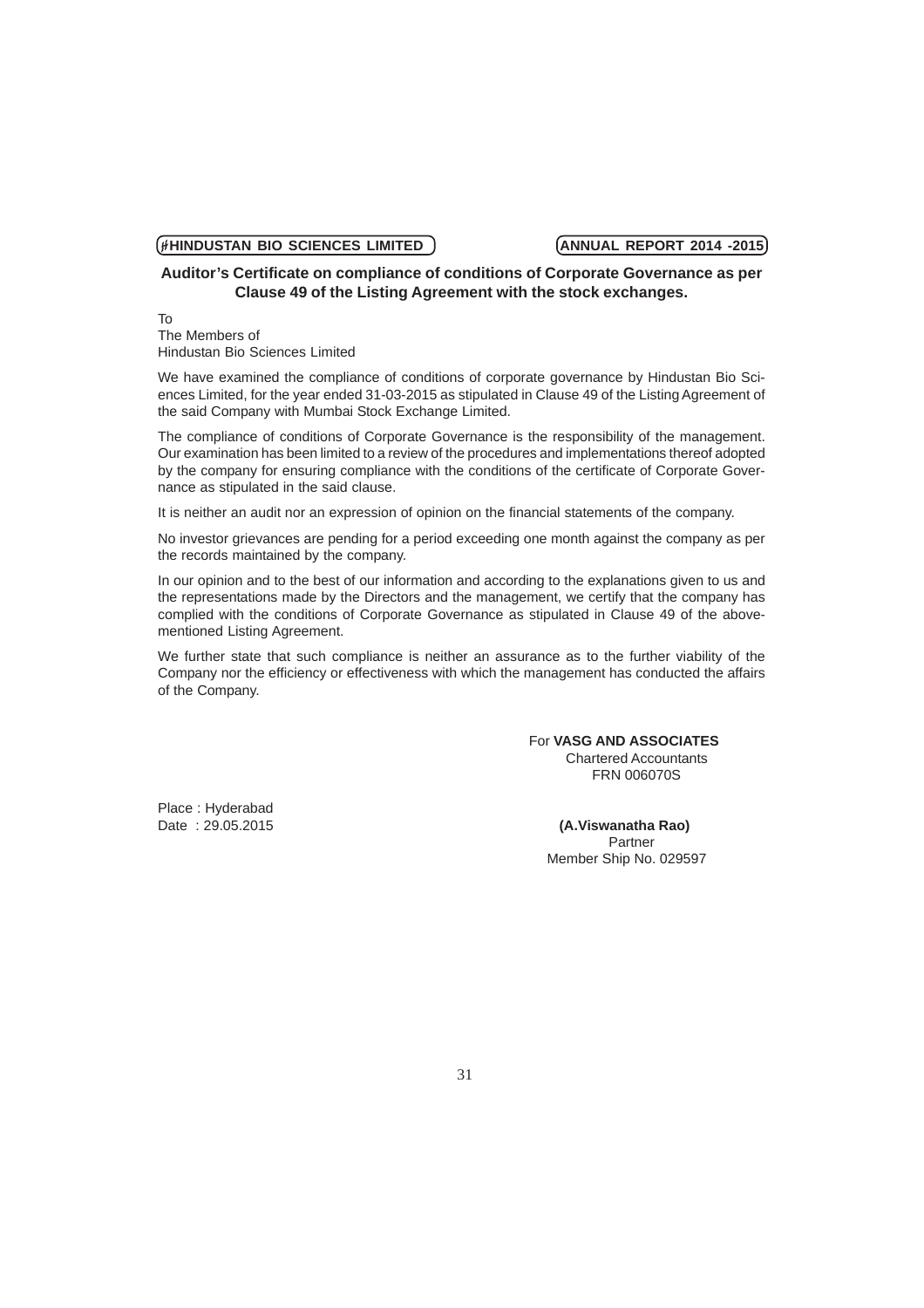# **Auditor's Certificate on compliance of conditions of Corporate Governance as per Clause 49 of the Listing Agreement with the stock exchanges.**

To The Members of Hindustan Bio Sciences Limited

We have examined the compliance of conditions of corporate governance by Hindustan Bio Sciences Limited, for the year ended 31-03-2015 as stipulated in Clause 49 of the Listing Agreement of the said Company with Mumbai Stock Exchange Limited.

The compliance of conditions of Corporate Governance is the responsibility of the management. Our examination has been limited to a review of the procedures and implementations thereof adopted by the company for ensuring compliance with the conditions of the certificate of Corporate Governance as stipulated in the said clause.

It is neither an audit nor an expression of opinion on the financial statements of the company.

No investor grievances are pending for a period exceeding one month against the company as per the records maintained by the company.

In our opinion and to the best of our information and according to the explanations given to us and the representations made by the Directors and the management, we certify that the company has complied with the conditions of Corporate Governance as stipulated in Clause 49 of the abovementioned Listing Agreement.

We further state that such compliance is neither an assurance as to the further viability of the Company nor the efficiency or effectiveness with which the management has conducted the affairs of the Company.

### For **VASG AND ASSOCIATES** Chartered Accountants FRN 006070S

Place : Hyderabad

Date : 29.05.2015 **(A.Viswanatha Rao) Partner** Partner and Contract of the Contract of the Partner Member Ship No. 029597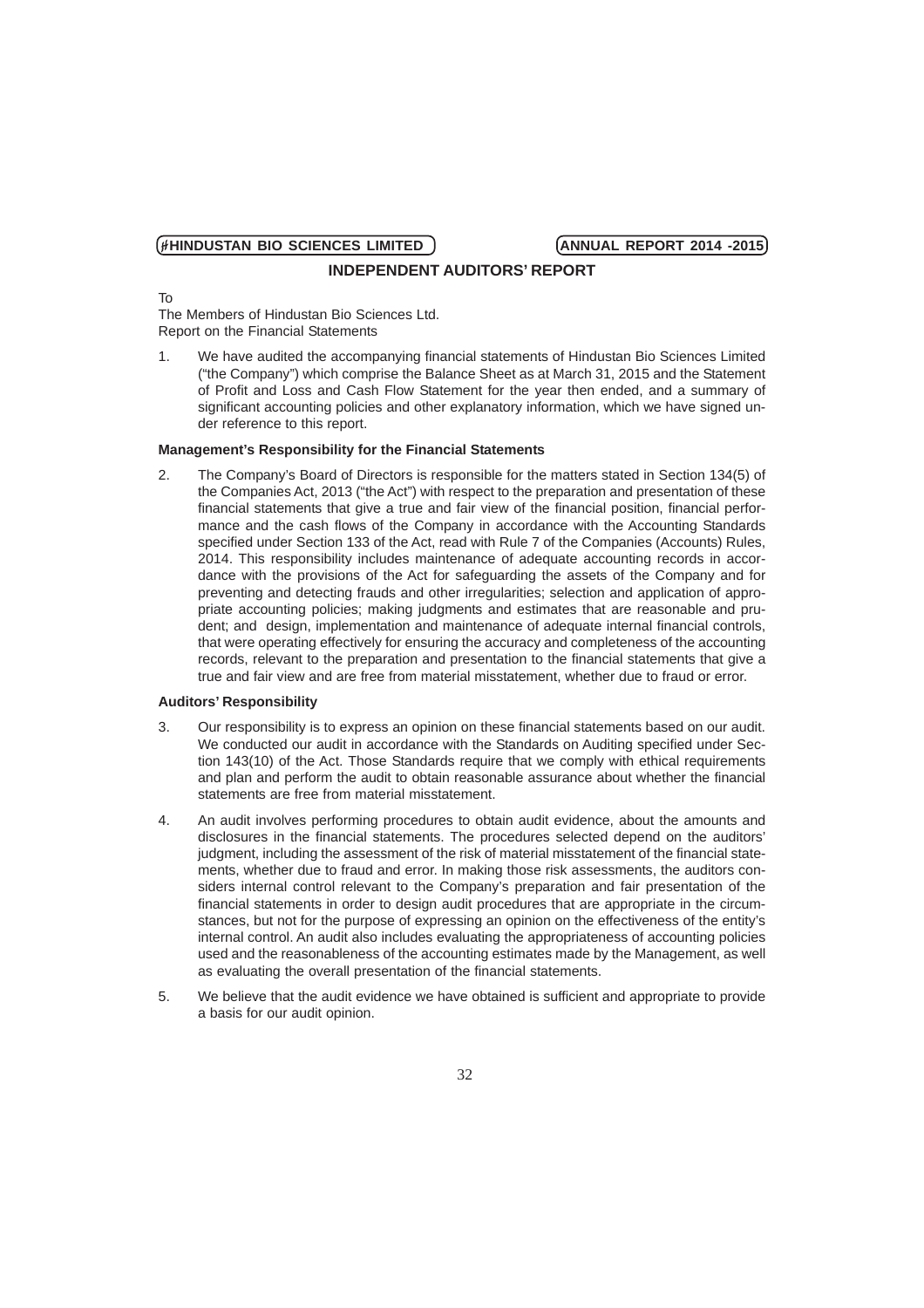### **INDEPENDENT AUDITORS' REPORT**

To

The Members of Hindustan Bio Sciences Ltd. Report on the Financial Statements

1. We have audited the accompanying financial statements of Hindustan Bio Sciences Limited ("the Company") which comprise the Balance Sheet as at March 31, 2015 and the Statement of Profit and Loss and Cash Flow Statement for the year then ended, and a summary of significant accounting policies and other explanatory information, which we have signed under reference to this report.

### **Management's Responsibility for the Financial Statements**

2. The Company's Board of Directors is responsible for the matters stated in Section 134(5) of the Companies Act, 2013 ("the Act") with respect to the preparation and presentation of these financial statements that give a true and fair view of the financial position, financial performance and the cash flows of the Company in accordance with the Accounting Standards specified under Section 133 of the Act, read with Rule 7 of the Companies (Accounts) Rules, 2014. This responsibility includes maintenance of adequate accounting records in accordance with the provisions of the Act for safeguarding the assets of the Company and for preventing and detecting frauds and other irregularities; selection and application of appropriate accounting policies; making judgments and estimates that are reasonable and prudent; and design, implementation and maintenance of adequate internal financial controls, that were operating effectively for ensuring the accuracy and completeness of the accounting records, relevant to the preparation and presentation to the financial statements that give a true and fair view and are free from material misstatement, whether due to fraud or error.

### **Auditors' Responsibility**

- 3. Our responsibility is to express an opinion on these financial statements based on our audit. We conducted our audit in accordance with the Standards on Auditing specified under Section 143(10) of the Act. Those Standards require that we comply with ethical requirements and plan and perform the audit to obtain reasonable assurance about whether the financial statements are free from material misstatement.
- 4. An audit involves performing procedures to obtain audit evidence, about the amounts and disclosures in the financial statements. The procedures selected depend on the auditors' judgment, including the assessment of the risk of material misstatement of the financial statements, whether due to fraud and error. In making those risk assessments, the auditors considers internal control relevant to the Company's preparation and fair presentation of the financial statements in order to design audit procedures that are appropriate in the circumstances, but not for the purpose of expressing an opinion on the effectiveness of the entity's internal control. An audit also includes evaluating the appropriateness of accounting policies used and the reasonableness of the accounting estimates made by the Management, as well as evaluating the overall presentation of the financial statements.
- 5. We believe that the audit evidence we have obtained is sufficient and appropriate to provide a basis for our audit opinion.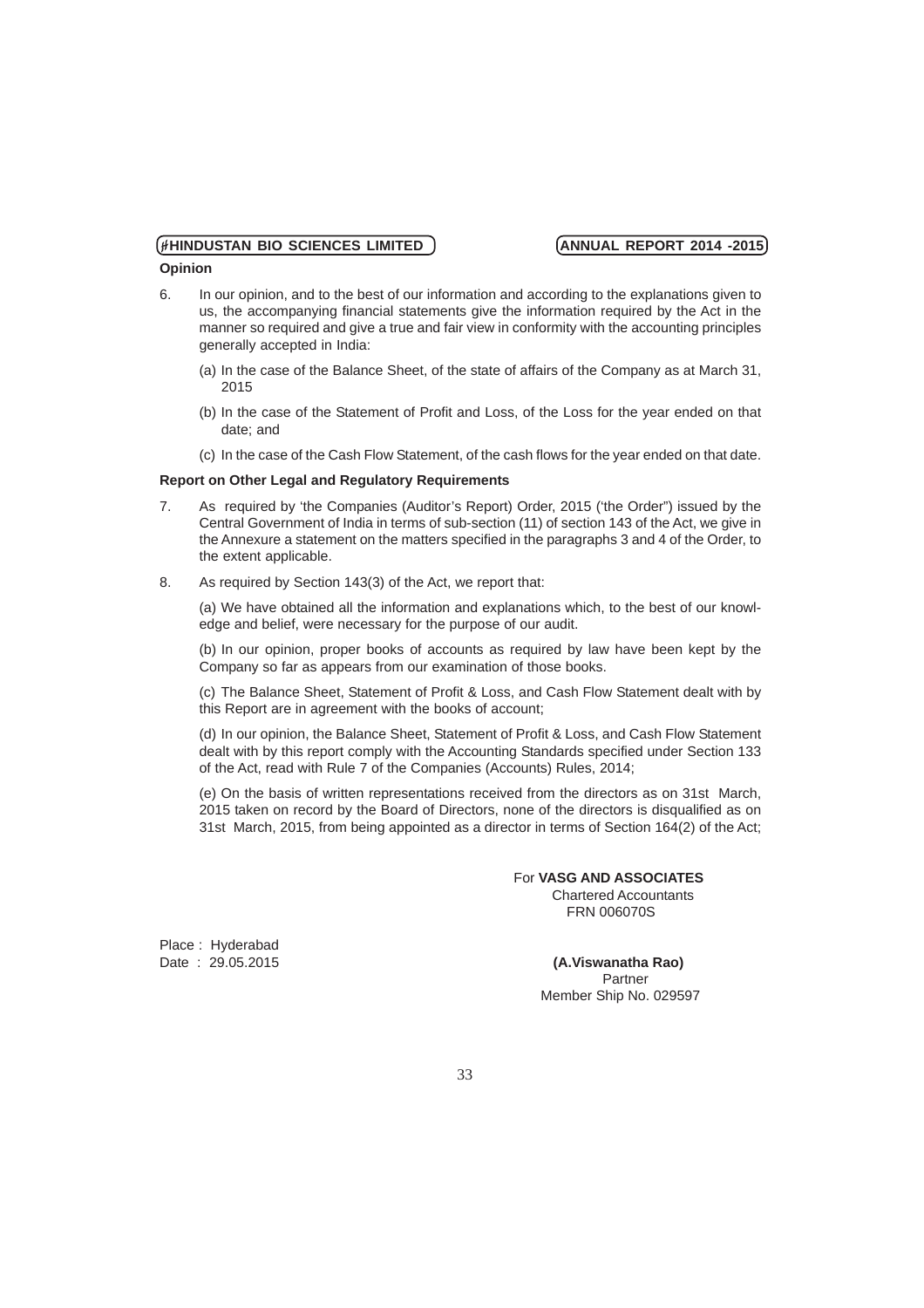### **Opinion**

- 6. In our opinion, and to the best of our information and according to the explanations given to us, the accompanying financial statements give the information required by the Act in the manner so required and give a true and fair view in conformity with the accounting principles generally accepted in India:
	- (a) In the case of the Balance Sheet, of the state of affairs of the Company as at March 31, 2015
	- (b) In the case of the Statement of Profit and Loss, of the Loss for the year ended on that date; and
	- (c) In the case of the Cash Flow Statement, of the cash flows for the year ended on that date.

### **Report on Other Legal and Regulatory Requirements**

- 7. As required by 'the Companies (Auditor's Report) Order, 2015 ('the Order") issued by the Central Government of India in terms of sub-section (11) of section 143 of the Act, we give in the Annexure a statement on the matters specified in the paragraphs 3 and 4 of the Order, to the extent applicable.
- 8. As required by Section 143(3) of the Act, we report that:

(a) We have obtained all the information and explanations which, to the best of our knowledge and belief, were necessary for the purpose of our audit.

(b) In our opinion, proper books of accounts as required by law have been kept by the Company so far as appears from our examination of those books.

(c) The Balance Sheet, Statement of Profit & Loss, and Cash Flow Statement dealt with by this Report are in agreement with the books of account;

(d) In our opinion, the Balance Sheet, Statement of Profit & Loss, and Cash Flow Statement dealt with by this report comply with the Accounting Standards specified under Section 133 of the Act, read with Rule 7 of the Companies (Accounts) Rules, 2014;

(e) On the basis of written representations received from the directors as on 31st March, 2015 taken on record by the Board of Directors, none of the directors is disqualified as on 31st March, 2015, from being appointed as a director in terms of Section 164(2) of the Act;

### For **VASG AND ASSOCIATES**

 Chartered Accountants FRN 006070S

Place: Hyderabad<br>Date: 29.05.2015

**(A.Viswanatha Rao)**<br>Partner **Partner Partner** Member Ship No. 029597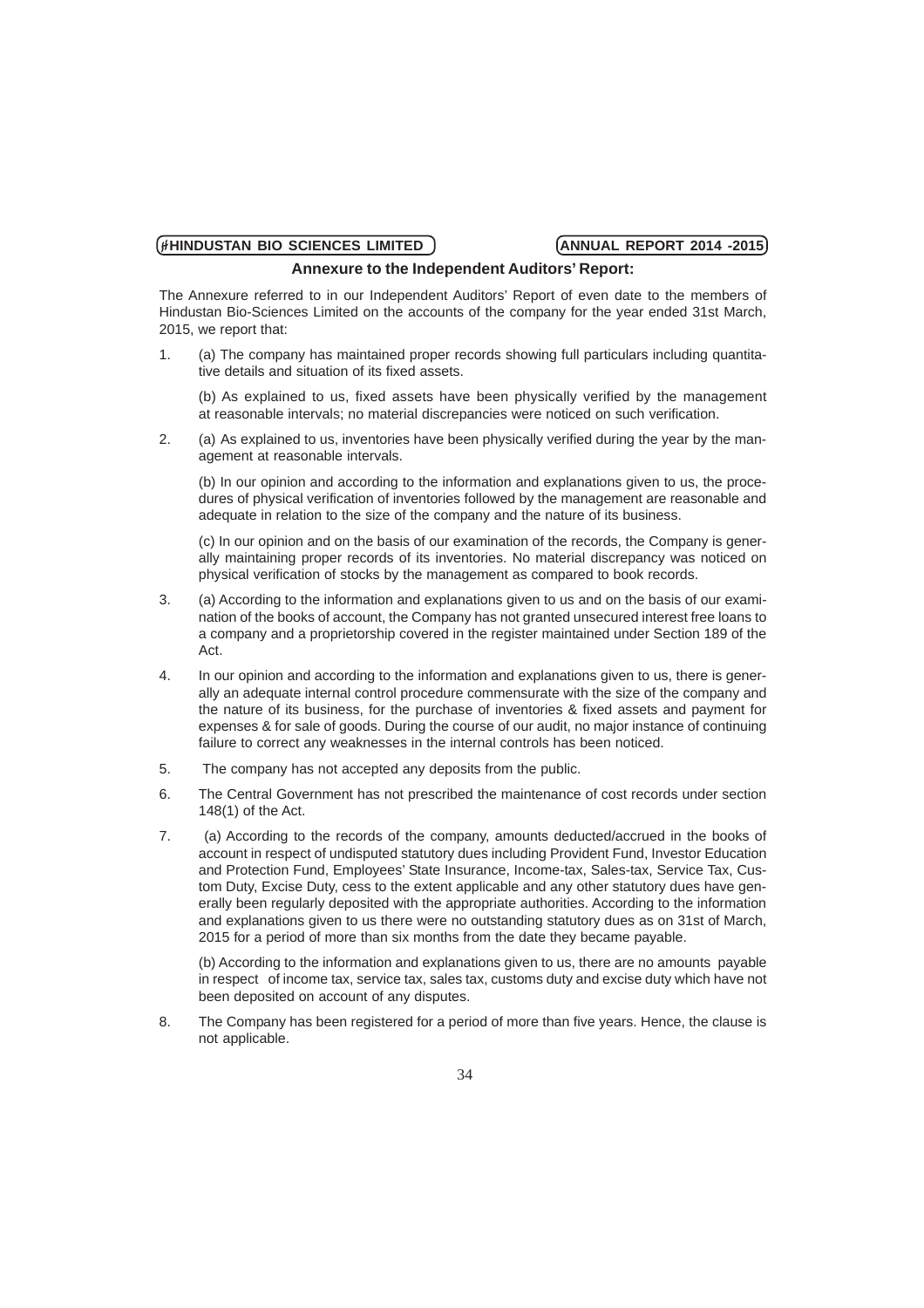### **Annexure to the Independent Auditors' Report:**

The Annexure referred to in our Independent Auditors' Report of even date to the members of Hindustan Bio-Sciences Limited on the accounts of the company for the year ended 31st March, 2015, we report that:

1. (a) The company has maintained proper records showing full particulars including quantitative details and situation of its fixed assets.

(b) As explained to us, fixed assets have been physically verified by the management at reasonable intervals; no material discrepancies were noticed on such verification.

2. (a) As explained to us, inventories have been physically verified during the year by the management at reasonable intervals.

(b) In our opinion and according to the information and explanations given to us, the procedures of physical verification of inventories followed by the management are reasonable and adequate in relation to the size of the company and the nature of its business.

(c) In our opinion and on the basis of our examination of the records, the Company is generally maintaining proper records of its inventories. No material discrepancy was noticed on physical verification of stocks by the management as compared to book records.

- 3. (a) According to the information and explanations given to us and on the basis of our examination of the books of account, the Company has not granted unsecured interest free loans to a company and a proprietorship covered in the register maintained under Section 189 of the Act.
- 4. In our opinion and according to the information and explanations given to us, there is generally an adequate internal control procedure commensurate with the size of the company and the nature of its business, for the purchase of inventories & fixed assets and payment for expenses & for sale of goods. During the course of our audit, no major instance of continuing failure to correct any weaknesses in the internal controls has been noticed.
- 5. The company has not accepted any deposits from the public.
- 6. The Central Government has not prescribed the maintenance of cost records under section 148(1) of the Act.
- 7. (a) According to the records of the company, amounts deducted/accrued in the books of account in respect of undisputed statutory dues including Provident Fund, Investor Education and Protection Fund, Employees' State Insurance, Income-tax, Sales-tax, Service Tax, Custom Duty, Excise Duty, cess to the extent applicable and any other statutory dues have generally been regularly deposited with the appropriate authorities. According to the information and explanations given to us there were no outstanding statutory dues as on 31st of March, 2015 for a period of more than six months from the date they became payable.

(b) According to the information and explanations given to us, there are no amounts payable in respect of income tax, service tax, sales tax, customs duty and excise duty which have not been deposited on account of any disputes.

8. The Company has been registered for a period of more than five years. Hence, the clause is not applicable.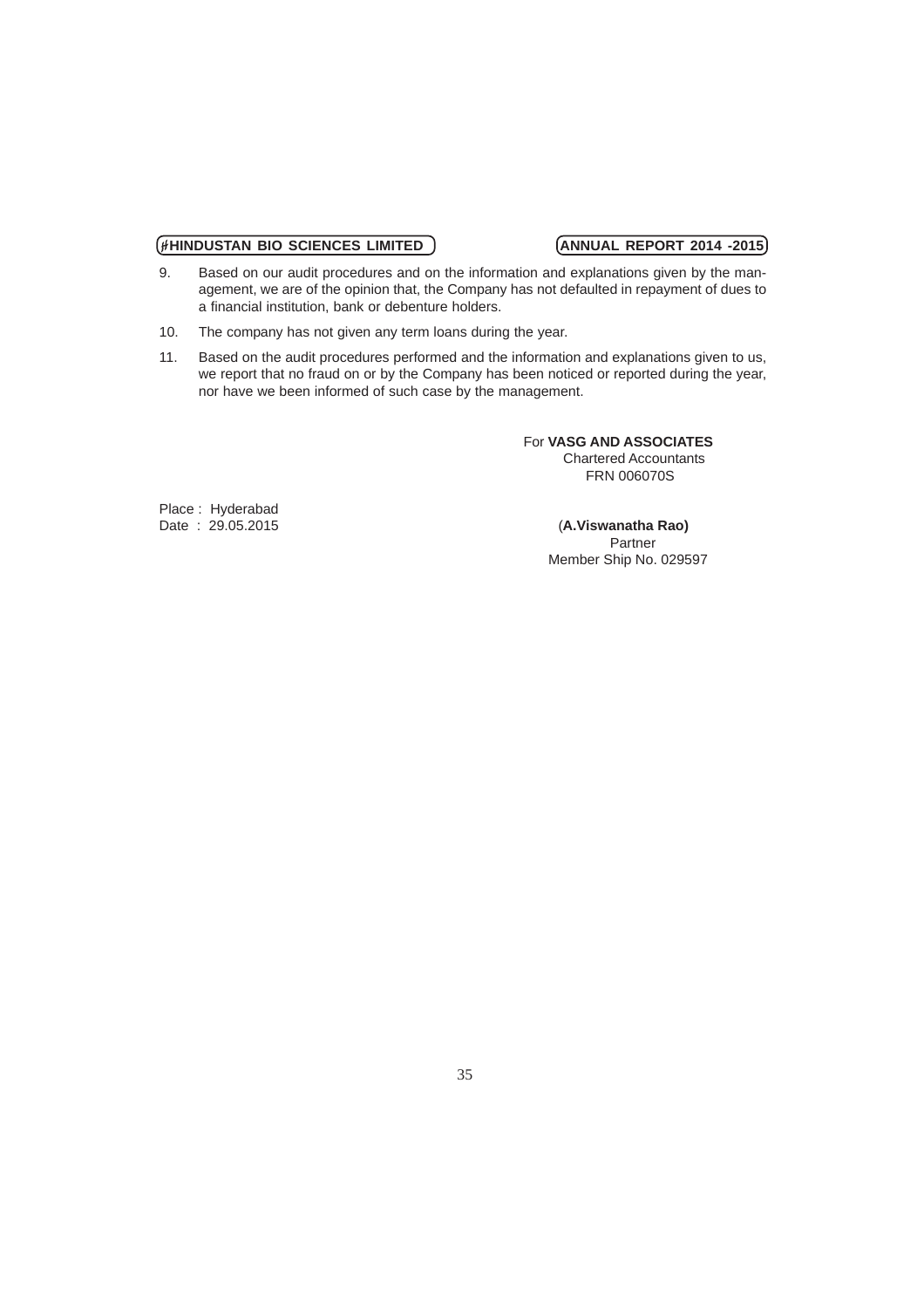- 9. Based on our audit procedures and on the information and explanations given by the management, we are of the opinion that, the Company has not defaulted in repayment of dues to a financial institution, bank or debenture holders.
- 10. The company has not given any term loans during the year.
- 11. Based on the audit procedures performed and the information and explanations given to us, we report that no fraud on or by the Company has been noticed or reported during the year, nor have we been informed of such case by the management.

 For **VASG AND ASSOCIATES** Chartered Accountants FRN 006070S

Place: Hyderabad<br>Date: 29.05.2015

**(A.Viswanatha Rao)**<br>Partner **Partner Partner** Member Ship No. 029597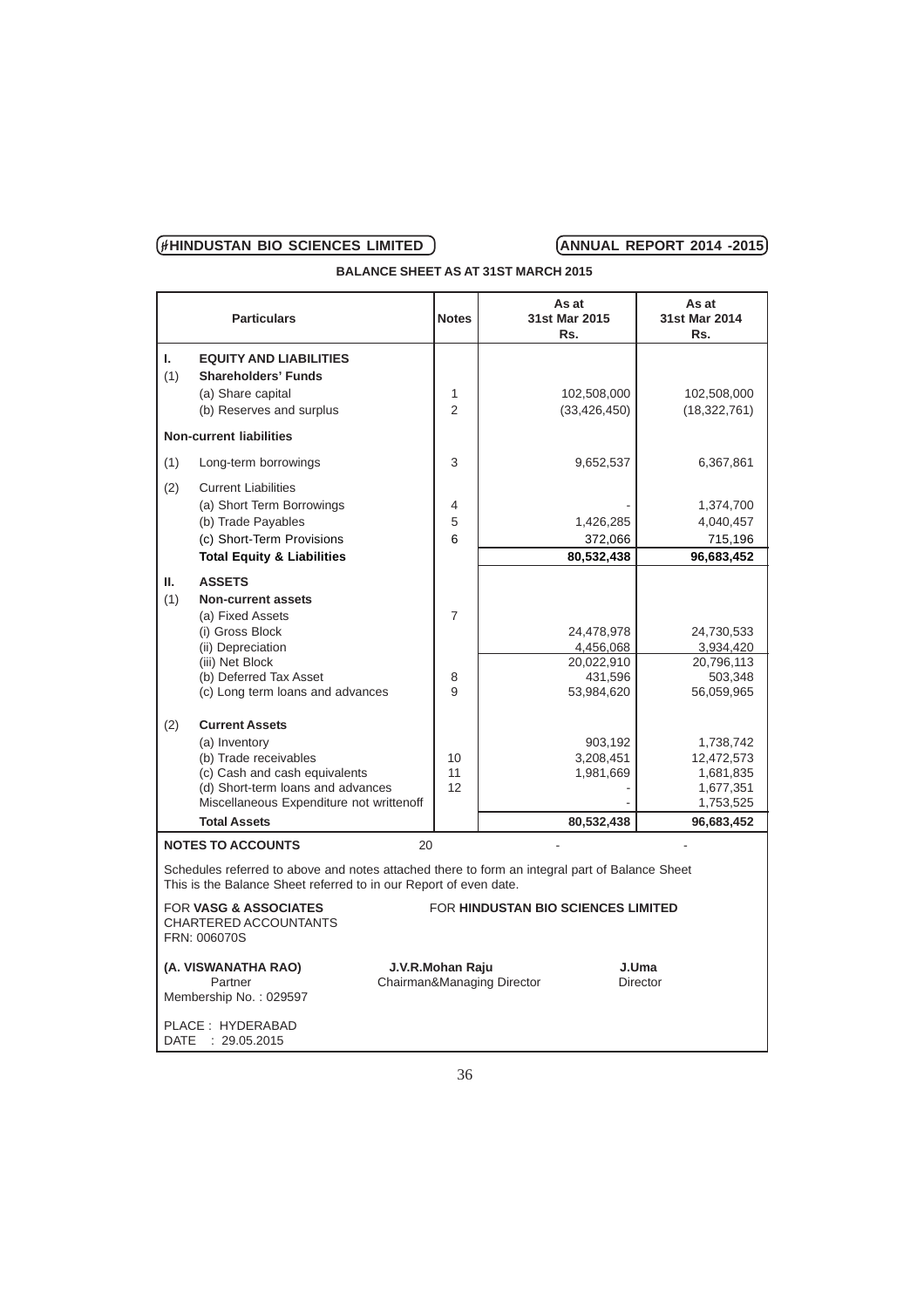**BALANCE SHEET AS AT 31ST MARCH 2015**

|             | <b>Particulars</b>                                                                                                                                                  | <b>Notes</b>                                   | As at<br>31st Mar 2015<br>Rs.             | As at<br>31st Mar 2014<br>Rs.                   |
|-------------|---------------------------------------------------------------------------------------------------------------------------------------------------------------------|------------------------------------------------|-------------------------------------------|-------------------------------------------------|
| L.<br>(1)   | <b>EQUITY AND LIABILITIES</b><br><b>Shareholders' Funds</b><br>(a) Share capital<br>(b) Reserves and surplus                                                        | 1<br>$\mathfrak{p}$                            | 102,508,000<br>(33, 426, 450)             | 102,508,000<br>(18, 322, 761)                   |
|             | <b>Non-current liabilities</b>                                                                                                                                      |                                                |                                           |                                                 |
| (1)         | Long-term borrowings                                                                                                                                                | 3                                              | 9,652,537                                 | 6,367,861                                       |
| (2)         | <b>Current Liabilities</b><br>(a) Short Term Borrowings<br>(b) Trade Payables<br>(c) Short-Term Provisions<br><b>Total Equity &amp; Liabilities</b>                 | 4<br>5<br>6                                    | 1,426,285<br>372,066<br>80,532,438        | 1,374,700<br>4,040,457<br>715,196<br>96,683,452 |
| Ш.          | <b>ASSETS</b>                                                                                                                                                       |                                                |                                           |                                                 |
| (1)         | <b>Non-current assets</b><br>(a) Fixed Assets                                                                                                                       | $\overline{7}$                                 |                                           |                                                 |
|             | (i) Gross Block<br>(ii) Depreciation                                                                                                                                |                                                | 24,478,978<br>4,456,068                   | 24,730,533<br>3,934,420                         |
|             | (iii) Net Block                                                                                                                                                     |                                                | 20,022,910                                | 20,796,113                                      |
|             | (b) Deferred Tax Asset                                                                                                                                              | 8<br>9                                         | 431,596                                   | 503,348                                         |
|             | (c) Long term loans and advances                                                                                                                                    |                                                | 53,984,620                                | 56,059,965                                      |
| (2)         | <b>Current Assets</b>                                                                                                                                               |                                                |                                           |                                                 |
|             | (a) Inventory                                                                                                                                                       |                                                | 903,192                                   | 1,738,742                                       |
|             | (b) Trade receivables<br>(c) Cash and cash equivalents                                                                                                              | 10<br>11                                       | 3,208,451<br>1,981,669                    | 12,472,573<br>1,681,835                         |
|             | (d) Short-term loans and advances                                                                                                                                   | 12                                             |                                           | 1,677,351                                       |
|             | Miscellaneous Expenditure not writtenoff                                                                                                                            |                                                |                                           | 1,753,525                                       |
|             | <b>Total Assets</b>                                                                                                                                                 |                                                | 80,532,438                                | 96,683,452                                      |
|             | <b>NOTES TO ACCOUNTS</b>                                                                                                                                            | 20                                             |                                           |                                                 |
|             | Schedules referred to above and notes attached there to form an integral part of Balance Sheet<br>This is the Balance Sheet referred to in our Report of even date. |                                                |                                           |                                                 |
|             | <b>FOR VASG &amp; ASSOCIATES</b><br><b>CHARTERED ACCOUNTANTS</b><br>FRN: 006070S                                                                                    |                                                | <b>FOR HINDUSTAN BIO SCIENCES LIMITED</b> |                                                 |
|             | (A. VISWANATHA RAO)<br>Partner<br>Membership No.: 029597                                                                                                            | J.V.R.Mohan Raju<br>Chairman&Managing Director |                                           | J.Uma<br>Director                               |
| <b>DATE</b> | PLACE: HYDERABAD<br>: 29.05.2015                                                                                                                                    |                                                |                                           |                                                 |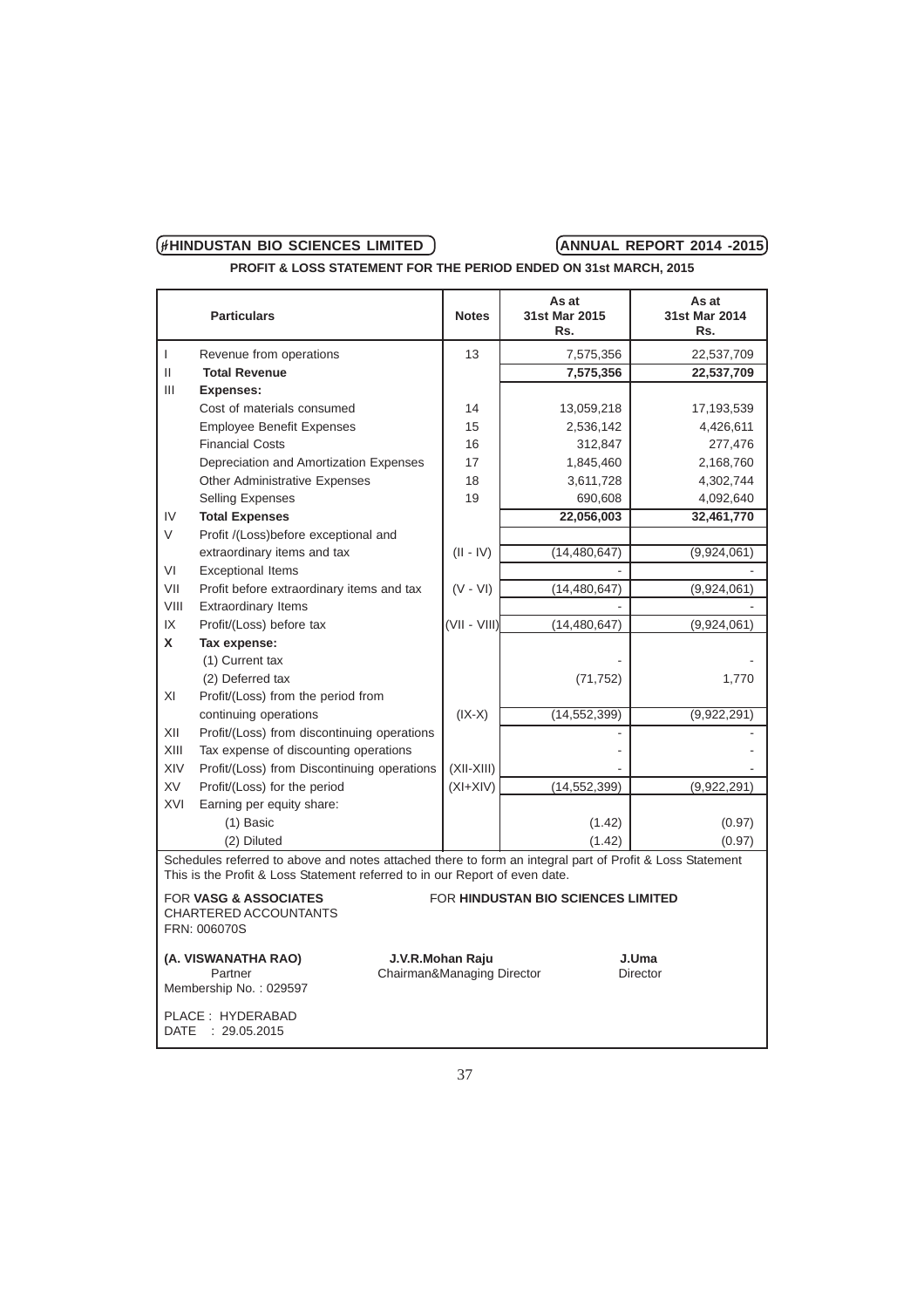**PROFIT & LOSS STATEMENT FOR THE PERIOD ENDED ON 31st MARCH, 2015**

|              | <b>Particulars</b>                                                                                                                                                                      | <b>Notes</b>                                   | As at<br>31st Mar 2015<br>Rs.             | As at<br>31st Mar 2014<br>Rs. |
|--------------|-----------------------------------------------------------------------------------------------------------------------------------------------------------------------------------------|------------------------------------------------|-------------------------------------------|-------------------------------|
| $\mathsf{I}$ | Revenue from operations                                                                                                                                                                 | 13                                             | 7,575,356                                 | 22,537,709                    |
| $\mathbf{H}$ | <b>Total Revenue</b>                                                                                                                                                                    |                                                | 7,575,356                                 | 22,537,709                    |
| Ш            | <b>Expenses:</b>                                                                                                                                                                        |                                                |                                           |                               |
|              | Cost of materials consumed                                                                                                                                                              | 14                                             | 13,059,218                                | 17,193,539                    |
|              | <b>Employee Benefit Expenses</b>                                                                                                                                                        | 15                                             | 2,536,142                                 | 4,426,611                     |
|              | <b>Financial Costs</b>                                                                                                                                                                  | 16                                             | 312,847                                   | 277,476                       |
|              | Depreciation and Amortization Expenses                                                                                                                                                  | 17                                             | 1,845,460                                 | 2,168,760                     |
|              | <b>Other Administrative Expenses</b>                                                                                                                                                    | 18                                             | 3,611,728                                 | 4,302,744                     |
|              | <b>Selling Expenses</b>                                                                                                                                                                 | 19                                             | 690,608                                   | 4,092,640                     |
| IV           | <b>Total Expenses</b>                                                                                                                                                                   |                                                | 22,056,003                                | 32,461,770                    |
| V            | Profit /(Loss)before exceptional and                                                                                                                                                    |                                                |                                           |                               |
|              | extraordinary items and tax                                                                                                                                                             | $(II - IV)$                                    | (14, 480, 647)                            | (9,924,061)                   |
| VI           | <b>Exceptional Items</b>                                                                                                                                                                |                                                |                                           |                               |
| VII          | Profit before extraordinary items and tax                                                                                                                                               | $(V - VI)$                                     | (14, 480, 647)                            | (9,924,061)                   |
| VIII         | <b>Extraordinary Items</b>                                                                                                                                                              |                                                |                                           |                               |
| IX           | Profit/(Loss) before tax                                                                                                                                                                | (VII - VIII)                                   | (14, 480, 647)                            | (9,924,061)                   |
| X            | Tax expense:                                                                                                                                                                            |                                                |                                           |                               |
|              | (1) Current tax                                                                                                                                                                         |                                                |                                           |                               |
|              | (2) Deferred tax                                                                                                                                                                        |                                                | (71, 752)                                 | 1,770                         |
| XI           | Profit/(Loss) from the period from                                                                                                                                                      |                                                |                                           |                               |
|              | continuing operations                                                                                                                                                                   | $(IX-X)$                                       | (14, 552, 399)                            | (9,922,291)                   |
| XII          | Profit/(Loss) from discontinuing operations                                                                                                                                             |                                                |                                           |                               |
| XIII         | Tax expense of discounting operations                                                                                                                                                   |                                                |                                           |                               |
| XIV          | Profit/(Loss) from Discontinuing operations                                                                                                                                             | $(XII-XIII)$                                   |                                           |                               |
| <b>XV</b>    | Profit/(Loss) for the period                                                                                                                                                            | $(XI+XIV)$                                     | (14, 552, 399)                            | (9,922,291)                   |
| XVI          | Earning per equity share:                                                                                                                                                               |                                                |                                           |                               |
|              | $(1)$ Basic                                                                                                                                                                             |                                                | (1.42)                                    | (0.97)                        |
|              | (2) Diluted                                                                                                                                                                             |                                                | (1.42)                                    | (0.97)                        |
|              | Schedules referred to above and notes attached there to form an integral part of Profit & Loss Statement<br>This is the Profit & Loss Statement referred to in our Report of even date. |                                                |                                           |                               |
|              | <b>FOR VASG &amp; ASSOCIATES</b>                                                                                                                                                        |                                                | <b>FOR HINDUSTAN BIO SCIENCES LIMITED</b> |                               |
|              | CHARTERED ACCOUNTANTS<br>FRN: 006070S                                                                                                                                                   |                                                |                                           |                               |
|              | (A. VISWANATHA RAO)<br>Partner<br>Membership No.: 029597                                                                                                                                | J.V.R.Mohan Raju<br>Chairman&Managing Director |                                           | J.Uma<br>Director             |
|              | PLACE: HYDERABAD<br>DATE : 29.05.2015                                                                                                                                                   |                                                |                                           |                               |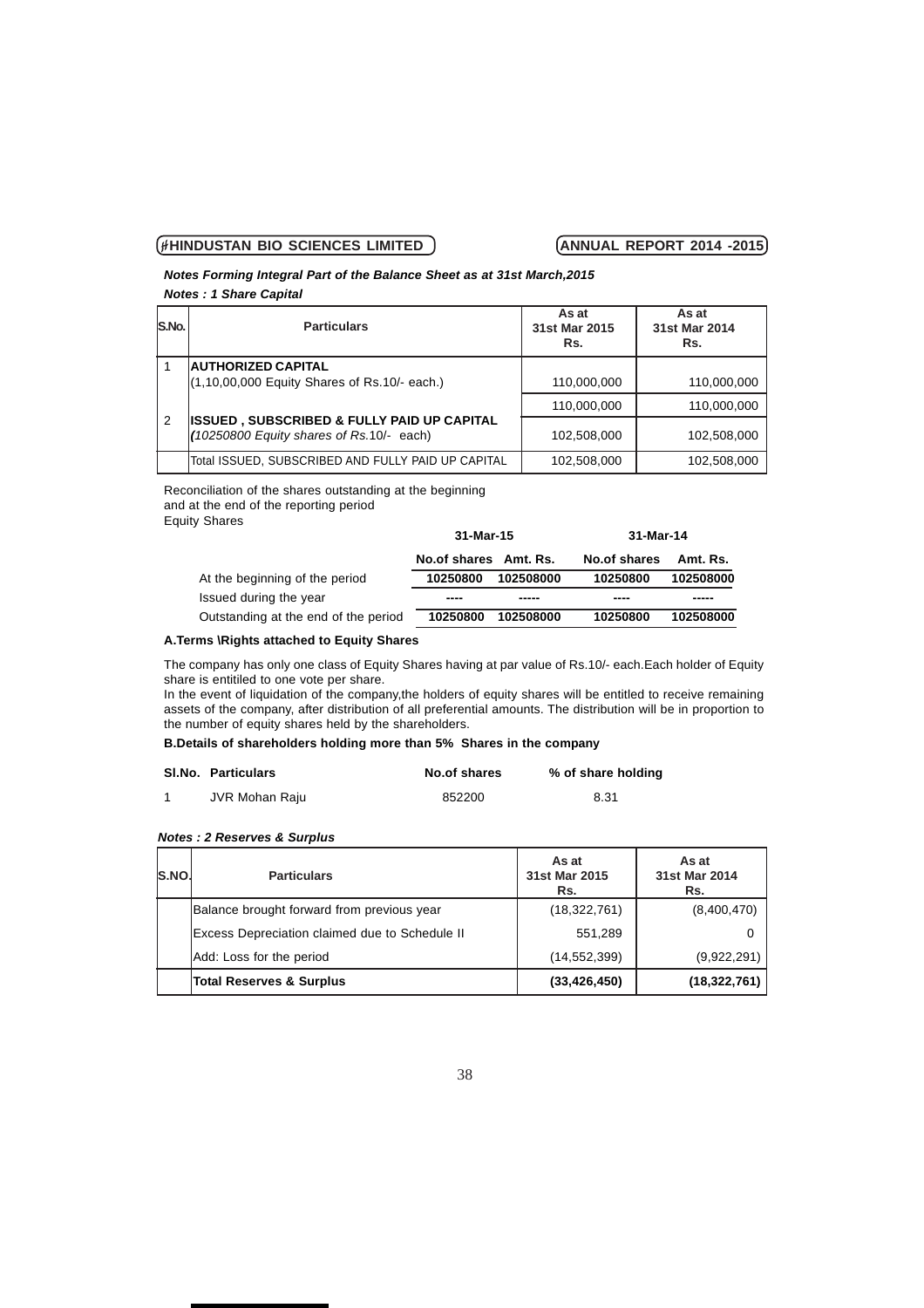### *Notes Forming Integral Part of the Balance Sheet as at 31st March,2015 Notes : 1 Share Capital*

| IS.No. I | <b>Particulars</b>                                                                                | As at<br>31st Mar 2015<br>Rs. | As at<br>31st Mar 2014<br>Rs. |  |  |  |
|----------|---------------------------------------------------------------------------------------------------|-------------------------------|-------------------------------|--|--|--|
|          | <b>AUTHORIZED CAPITAL</b>                                                                         |                               |                               |  |  |  |
|          | (1,10,00,000 Equity Shares of Rs.10/- each.)                                                      | 110.000.000                   | 110,000,000                   |  |  |  |
|          |                                                                                                   | 110.000.000                   | 110.000.000                   |  |  |  |
| 2        | <b>ISSUED, SUBSCRIBED &amp; FULLY PAID UP CAPITAL</b><br>(10250800 Equity shares of Rs.10/- each) | 102,508,000                   | 102,508,000                   |  |  |  |
|          | Total ISSUED, SUBSCRIBED AND FULLY PAID UP CAPITAL                                                | 102.508.000                   | 102.508.000                   |  |  |  |

Reconciliation of the shares outstanding at the beginning and at the end of the reporting period

Equity Shares

|                                      | 31-Mar-15              |           | 31-Mar-14    |           |
|--------------------------------------|------------------------|-----------|--------------|-----------|
|                                      | No. of shares Amt. Rs. |           | No.of shares | Amt. Rs.  |
| At the beginning of the period       | 10250800               | 102508000 | 10250800     | 102508000 |
| Issued during the year               | ----                   |           |              |           |
| Outstanding at the end of the period | 10250800               | 102508000 | 10250800     | 102508000 |

# **A.Terms \Rights attached to Equity Shares**

The company has only one class of Equity Shares having at par value of Rs.10/- each.Each holder of Equity share is entitiled to one vote per share.

In the event of liquidation of the company,the holders of equity shares will be entitled to receive remaining assets of the company, after distribution of all preferential amounts. The distribution will be in proportion to the number of equity shares held by the shareholders.

### **B.Details of shareholders holding more than 5% Shares in the company**

| SI.No. Particulars | No.of shares | % of share holding |
|--------------------|--------------|--------------------|
| JVR Mohan Raju     | 852200       | 8.31               |

### *Notes : 2 Reserves & Surplus*

| ls.no. | <b>Particulars</b>                             | As at<br>31st Mar 2015<br>Rs. | As at<br>31st Mar 2014<br>Rs. |
|--------|------------------------------------------------|-------------------------------|-------------------------------|
|        | Balance brought forward from previous year     | (18,322,761)                  | (8,400,470)                   |
|        | Excess Depreciation claimed due to Schedule II | 551,289                       |                               |
|        | Add: Loss for the period                       | (14, 552, 399)                | (9,922,291)                   |
|        | Total Reserves & Surplus                       | (33, 426, 450)                | (18,322,761)                  |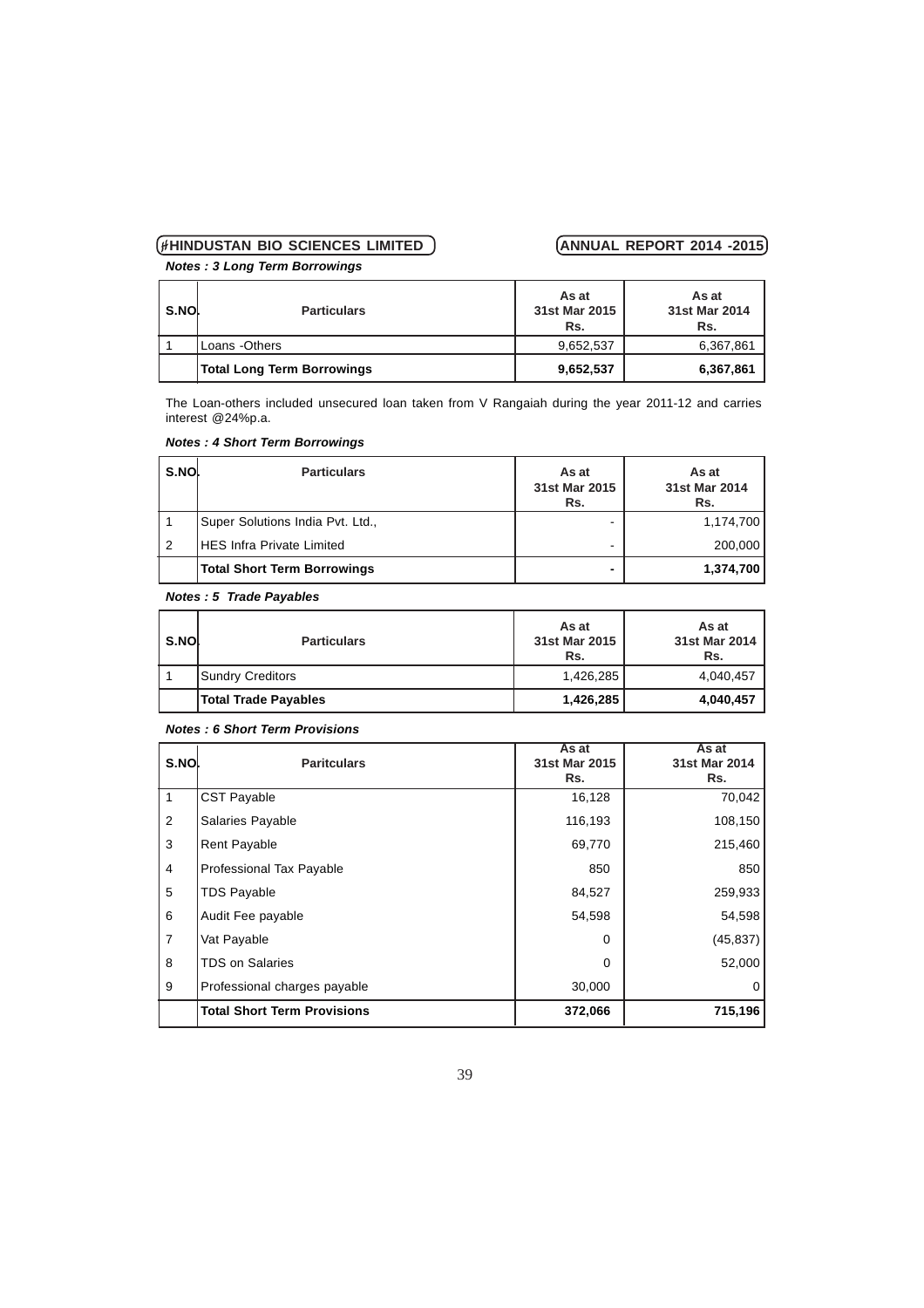*Notes : 3 Long Term Borrowings*

| l s.nol | <b>Particulars</b>                | As at<br>31st Mar 2015<br>Rs. | As at<br>31st Mar 2014<br>Rs. |
|---------|-----------------------------------|-------------------------------|-------------------------------|
|         | Loans - Others                    | 9,652,537                     | 6,367,861                     |
|         | <b>Total Long Term Borrowings</b> | 9,652,537                     | 6,367,861                     |

The Loan-others included unsecured loan taken from V Rangaiah during the year 2011-12 and carries interest @24%p.a.

| S.NO.          | <b>Particulars</b>                | As at<br>31st Mar 2015<br>Rs. | As at<br>31st Mar 2014<br>Rs. |
|----------------|-----------------------------------|-------------------------------|-------------------------------|
|                | Super Solutions India Pvt. Ltd.,  |                               | 1,174,700                     |
| $\overline{2}$ | <b>IHES Infra Private Limited</b> |                               | 200,000                       |
|                | Total Short Term Borrowings       | ۰                             | 1,374,700                     |

# *Notes : 4 Short Term Borrowings*

### *Notes : 5 Trade Payables*

| S.NO | <b>Particulars</b>   | As at<br>31st Mar 2015<br>Rs. | As at<br>31st Mar 2014<br>Rs. |
|------|----------------------|-------------------------------|-------------------------------|
|      | Sundry Creditors     | 1,426,285                     | 4,040,457                     |
|      | Total Trade Payables | 1,426,285                     | 4,040,457                     |

### *Notes : 6 Short Term Provisions*

| S.NO           | <b>Paritculars</b>                 | As at<br>31st Mar 2015<br>Rs. | As at<br>31st Mar 2014<br>Rs. |
|----------------|------------------------------------|-------------------------------|-------------------------------|
| 1              | <b>CST Payable</b>                 | 16,128                        | 70,042                        |
| $\overline{2}$ | Salaries Payable                   | 116,193                       | 108,150                       |
| 3              | <b>Rent Payable</b>                | 69,770                        | 215,460                       |
| $\overline{4}$ | Professional Tax Payable           | 850                           | 850                           |
| 5              | <b>TDS Payable</b>                 | 84,527                        | 259,933                       |
| 6              | Audit Fee payable                  | 54,598                        | 54,598                        |
| $\overline{7}$ | Vat Payable                        | $\Omega$                      | (45, 837)                     |
| 8              | <b>TDS on Salaries</b>             | $\Omega$                      | 52,000                        |
| 9              | Professional charges payable       | 30,000                        | 0                             |
|                | <b>Total Short Term Provisions</b> | 372,066                       | 715,196                       |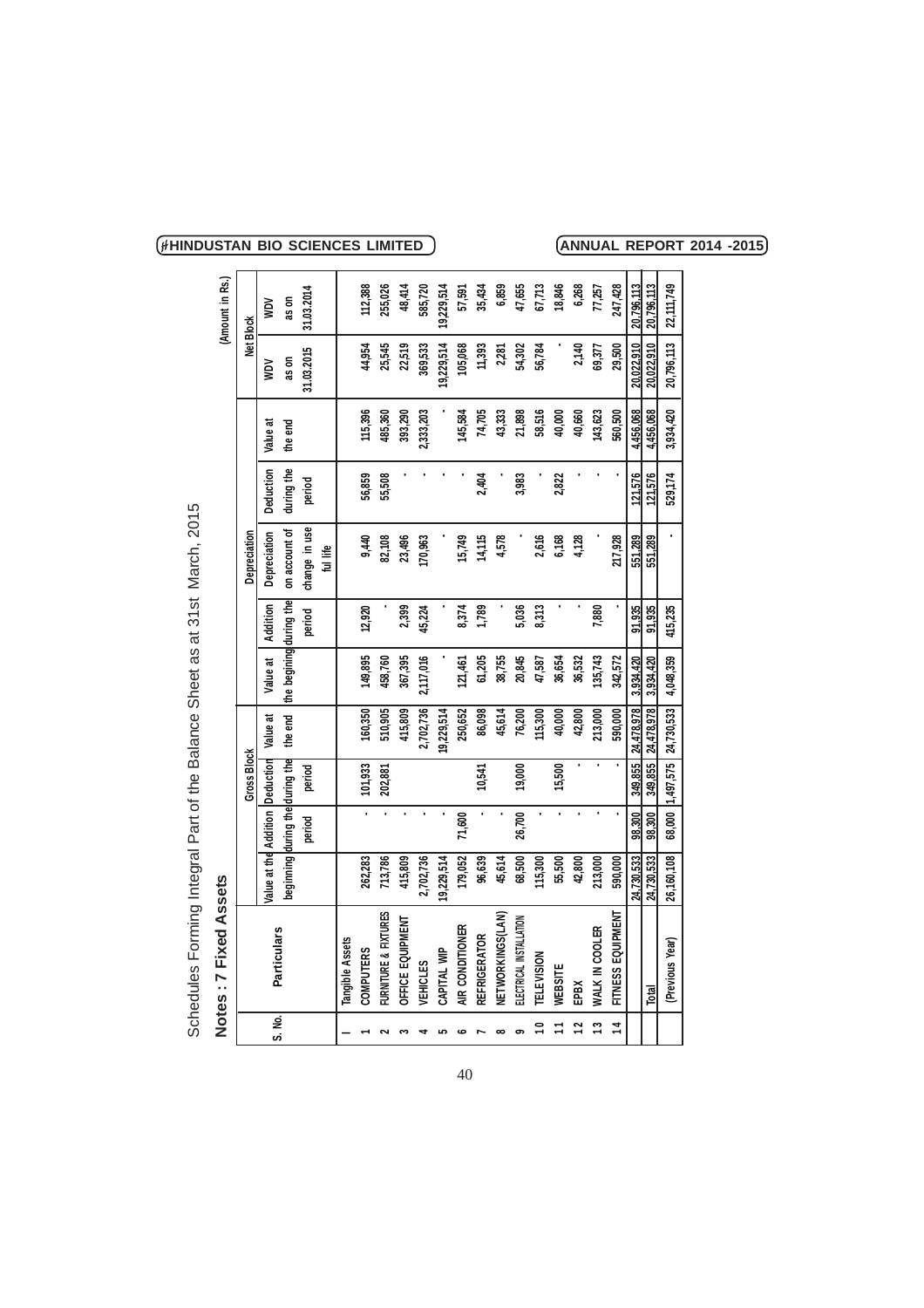| <b>2700</b>                                                           |
|-----------------------------------------------------------------------|
|                                                                       |
|                                                                       |
|                                                                       |
|                                                                       |
|                                                                       |
|                                                                       |
|                                                                       |
|                                                                       |
| うつうりょう                                                                |
|                                                                       |
|                                                                       |
|                                                                       |
|                                                                       |
|                                                                       |
|                                                                       |
|                                                                       |
| )<br>Duno<br>D                                                        |
|                                                                       |
|                                                                       |
|                                                                       |
|                                                                       |
|                                                                       |
|                                                                       |
|                                                                       |
| J                                                                     |
|                                                                       |
|                                                                       |
| ١                                                                     |
|                                                                       |
|                                                                       |
|                                                                       |
| Schedules Forming Integral Part of the Balance Sheet as at 31st March |
|                                                                       |
| <br> <br> <br> <br> <br>                                              |
|                                                                       |
|                                                                       |

|               | Schedules Forming Integral Part of the Balance Sheet as at 31st March, 2015 |                                 |                |             |                                 |                         |          |               |            |            |            |                 |
|---------------|-----------------------------------------------------------------------------|---------------------------------|----------------|-------------|---------------------------------|-------------------------|----------|---------------|------------|------------|------------|-----------------|
|               | Notes: 7 Fixed Assets                                                       |                                 |                |             |                                 |                         |          |               |            |            |            | (Amount in Rs.) |
|               |                                                                             |                                 |                | Gross Block |                                 |                         |          | Depreciation  |            |            | Net Block  |                 |
| ອ<br>ຜ        | Particulars                                                                 | Value at the Addition Deduction |                |             | Value at                        | Value at                | Addition | Depreciation  | Deduction  | ਲ<br>Value | NOM        | ŠΜ              |
|               |                                                                             | beginning during the during the |                |             | the end                         | the begining during the |          | on account of | during the | the end    | as on      | as on           |
|               |                                                                             |                                 | period         | period      |                                 |                         | period   | change in use | period     |            | 31.03.2015 | 31.03.2014      |
|               |                                                                             |                                 |                |             |                                 |                         |          | ful life      |            |            |            |                 |
|               | Tangible Assets                                                             |                                 |                |             |                                 |                         |          |               |            |            |            |                 |
|               | <b>COMPUTERS</b>                                                            | 262,283                         |                | 101,933     | 160,350                         | 149,895                 | 12,920   | 9,440         | 56,859     | 115,396    | 44,954     | 112,388         |
|               | FURNITURE & FIXTURES                                                        | 713,786                         |                | 202,881     | 510,905                         | 458,760                 |          | 82,108        | 55,508     | 485,360    | 25,545     | 255,026         |
|               | OFFICE EQUIPMENT                                                            | 415,809                         | $\blacksquare$ |             | 415,809                         | 367,395                 | 2,399    | 23,496        |            | 393,290    | 22,519     | 48,414          |
|               | VEHICLES                                                                    | 2,702,736                       |                |             | 2,702,736                       | 2,117,016               | 45,224   | 170,963       |            | 2,333,203  | 369,533    | 585,720         |
|               | CAPITAL WIP                                                                 | 19,229,514                      |                |             | 19,229,514                      |                         |          |               |            |            | 19,229,514 | 19,229,514      |
| ဖ             | AIR CONDITIONER                                                             | 179,052                         | 71,600         |             | 250,652                         | 121,461                 | 8,374    | 15,749        |            | 145,584    | 105,068    | 57,591          |
|               | <b>REFRIGERATOR</b>                                                         | 96,639                          |                | 10,541      | 86,098                          | 61,205                  | 1,789    | 14,115        | 2,404      | 74,705     | 11,393     | 35,434          |
| $\infty$      | NETWORKINGS(LAN)                                                            | 45,614                          |                |             | 45,614                          | 38,755                  |          | 4,578         |            | 43,333     | 2,281      | 6,859           |
|               | ELECTRICAL INSTALLATION                                                     | 68,500                          | 26,700         | 19,000      | 76,200                          | 20,845                  | 5,036    |               | 3,983      | 21,898     | 54,302     | 47,655          |
|               | <b><i>FELEVISION</i></b>                                                    | 115,300                         | $\blacksquare$ |             | 115,300                         | 47,587                  | 8,313    | 2,616         |            | 58,516     | 56,784     | 67,713          |
|               | WEBSITE                                                                     | 55,500                          | $\blacksquare$ | 15,500      | 40,000                          | 36,654                  |          | 6,168         | 2,822      | 40,000     |            | 18,846          |
|               | ĔbBX                                                                        | 42,800                          |                |             | 42,800                          | 36,532                  |          | 4,128         |            | 40,660     | 2,140      | 6,268           |
| ∾             | WALK IN COOLER                                                              | 213,000                         |                |             | 213,000                         | 135,743                 | 7,880    |               |            | 143,623    | 69,377     | 77,257          |
| $\frac{4}{1}$ | FITNESS EQUIPMENT                                                           | 590,000                         |                |             | 590,000                         | 342,572                 |          | 217,928       |            | 560,500    | 29,500     | 247,428         |
|               |                                                                             | 24.730.533                      | 98.300         |             | 349,855   24,478,978            | 3.934.420               | 91.935   | 551,289       | 121.576    | 4,456,068  | 20.022.910 | 20.796.113      |
|               | Total                                                                       | 24,730,533                      | 98,300         | 349,855     | 24,478,978                      | 3,934,420               | 91,935   | 551,289       | 121,576    | 4,456,068  | 20,022,910 | 20,796,113      |
|               | (Previous Year)                                                             | 26,160,108                      |                |             | 68,000   1,497,575   24,730,533 | 4,048,359               | 415,235  |               | 529,174    | 3,934,420  | 20,796,113 | 22,111,749      |
|               |                                                                             |                                 |                |             |                                 |                         |          |               |            |            |            |                 |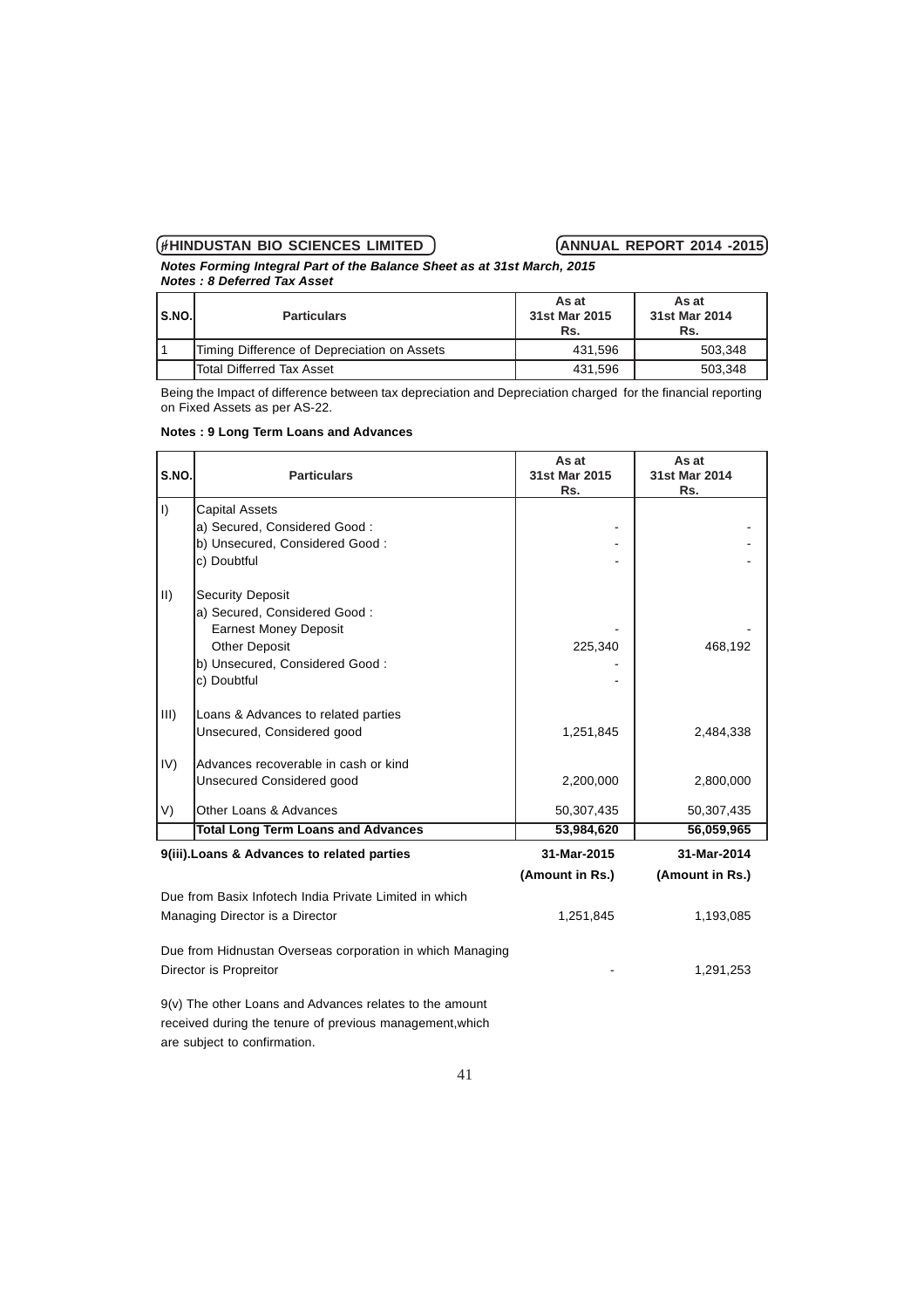*Notes Forming Integral Part of the Balance Sheet as at 31st March, 2015 Notes : 8 Deferred Tax Asset*

| $\mathsf{I}$ S.NO. | <b>Particulars</b>                          | As at<br>31st Mar 2015<br>Rs. | As at<br>31st Mar 2014<br>Rs. |
|--------------------|---------------------------------------------|-------------------------------|-------------------------------|
|                    | Timing Difference of Depreciation on Assets | 431.596                       | 503.348                       |
|                    | <b>Total Differred Tax Asset</b>            | 431,596                       | 503.348                       |

Being the Impact of difference between tax depreciation and Depreciation charged for the financial reporting on Fixed Assets as per AS-22.

### **Notes : 9 Long Term Loans and Advances**

| S.NO.       | <b>Particulars</b>                                        | As at<br>31st Mar 2015 | As at<br>31st Mar 2014 |
|-------------|-----------------------------------------------------------|------------------------|------------------------|
| $\vert$     | <b>Capital Assets</b>                                     | Rs.                    | Rs.                    |
|             | a) Secured, Considered Good:                              |                        |                        |
|             | b) Unsecured, Considered Good:                            |                        |                        |
|             | c) Doubtful                                               |                        |                        |
| $\parallel$ | <b>Security Deposit</b>                                   |                        |                        |
|             | a) Secured, Considered Good:                              |                        |                        |
|             | <b>Earnest Money Deposit</b>                              |                        |                        |
|             | <b>Other Deposit</b>                                      | 225,340                | 468,192                |
|             | b) Unsecured, Considered Good:                            |                        |                        |
|             | c) Doubtful                                               |                        |                        |
| III)        | Loans & Advances to related parties                       |                        |                        |
|             | Unsecured, Considered good                                | 1,251,845              | 2,484,338              |
| IV)         | lAdvances recoverable in cash or kind                     |                        |                        |
|             | Unsecured Considered good                                 | 2,200,000              | 2,800,000              |
| V)          | Other Loans & Advances                                    | 50,307,435             | 50,307,435             |
|             | <b>Total Long Term Loans and Advances</b>                 | 53,984,620             | 56,059,965             |
|             | 9(iii). Loans & Advances to related parties               | 31-Mar-2015            | 31-Mar-2014            |
|             |                                                           | (Amount in Rs.)        | (Amount in Rs.)        |
|             | Due from Basix Infotech India Private Limited in which    |                        |                        |
|             | Managing Director is a Director                           | 1,251,845              | 1,193,085              |
|             | Due from Hidnustan Overseas corporation in which Managing |                        |                        |
|             | Director is Propreitor                                    |                        | 1,291,253              |
|             |                                                           |                        |                        |

9(v) The other Loans and Advances relates to the amount received during the tenure of previous management,which are subject to confirmation.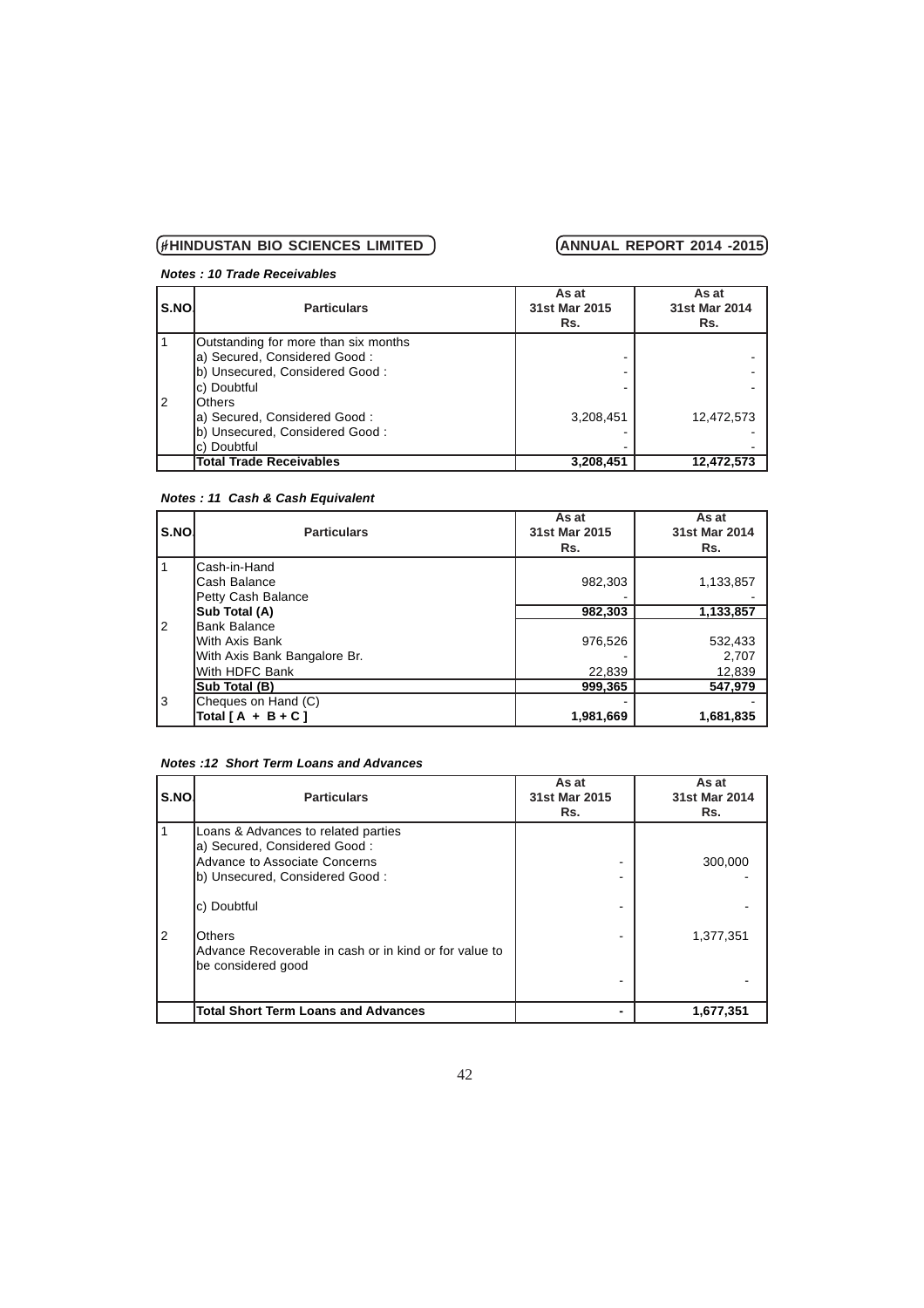# *Notes : 10 Trade Receivables*

| S.NO. | <b>Particulars</b>                   | As at<br>31st Mar 2015<br>Rs. | As at<br>31st Mar 2014<br>Rs. |
|-------|--------------------------------------|-------------------------------|-------------------------------|
|       | Outstanding for more than six months |                               |                               |
|       | a) Secured, Considered Good:         |                               |                               |
|       | b) Unsecured, Considered Good:       |                               |                               |
|       | lc) Doubtful                         |                               |                               |
| l 2   | lOthers                              |                               |                               |
|       | a) Secured, Considered Good:         | 3,208,451                     | 12,472,573                    |
|       | b) Unsecured, Considered Good:       |                               |                               |
|       | lc) Doubtful                         |                               |                               |
|       | <b>Total Trade Receivables</b>       | 3,208,451                     | 12,472,573                    |

# *Notes : 11 Cash & Cash Equivalent*

| S.NO.          | <b>Particulars</b>           | As at<br>31st Mar 2015<br>Rs. | As at<br>31st Mar 2014<br>Rs. |
|----------------|------------------------------|-------------------------------|-------------------------------|
|                | lCash-in-Hand                |                               |                               |
|                | lCash Balance                | 982,303                       | 1,133,857                     |
|                | Petty Cash Balance           |                               |                               |
|                | Sub Total (A)                | 982,303                       | 1,133,857                     |
| $\overline{2}$ | lBank Balance                |                               |                               |
|                | lWith Axis Bank              | 976,526                       | 532,433                       |
|                | With Axis Bank Bangalore Br. |                               | 2,707                         |
|                | With HDFC Bank               | 22,839                        | 12,839                        |
|                | Sub Total (B)                | 999.365                       | 547.979                       |
| 3              | Cheques on Hand (C)          |                               |                               |
|                | Total $[A + B + C]$          | 1,981,669                     | 1,681,835                     |

### *Notes :12 Short Term Loans and Advances*

| S.NO. | <b>Particulars</b>                                                                                                                       | As at<br>31st Mar 2015<br>Rs. | As at<br>31st Mar 2014<br>Rs. |
|-------|------------------------------------------------------------------------------------------------------------------------------------------|-------------------------------|-------------------------------|
|       | Loans & Advances to related parties<br>la) Secured, Considered Good:<br>Advance to Associate Concerns<br>(b) Unsecured, Considered Good: |                               | 300,000                       |
|       | c) Doubtful                                                                                                                              |                               |                               |
| 2     | lOthers<br>Advance Recoverable in cash or in kind or for value to<br>lbe considered good                                                 |                               | 1,377,351                     |
|       | <b>Total Short Term Loans and Advances</b>                                                                                               |                               | 1,677,351                     |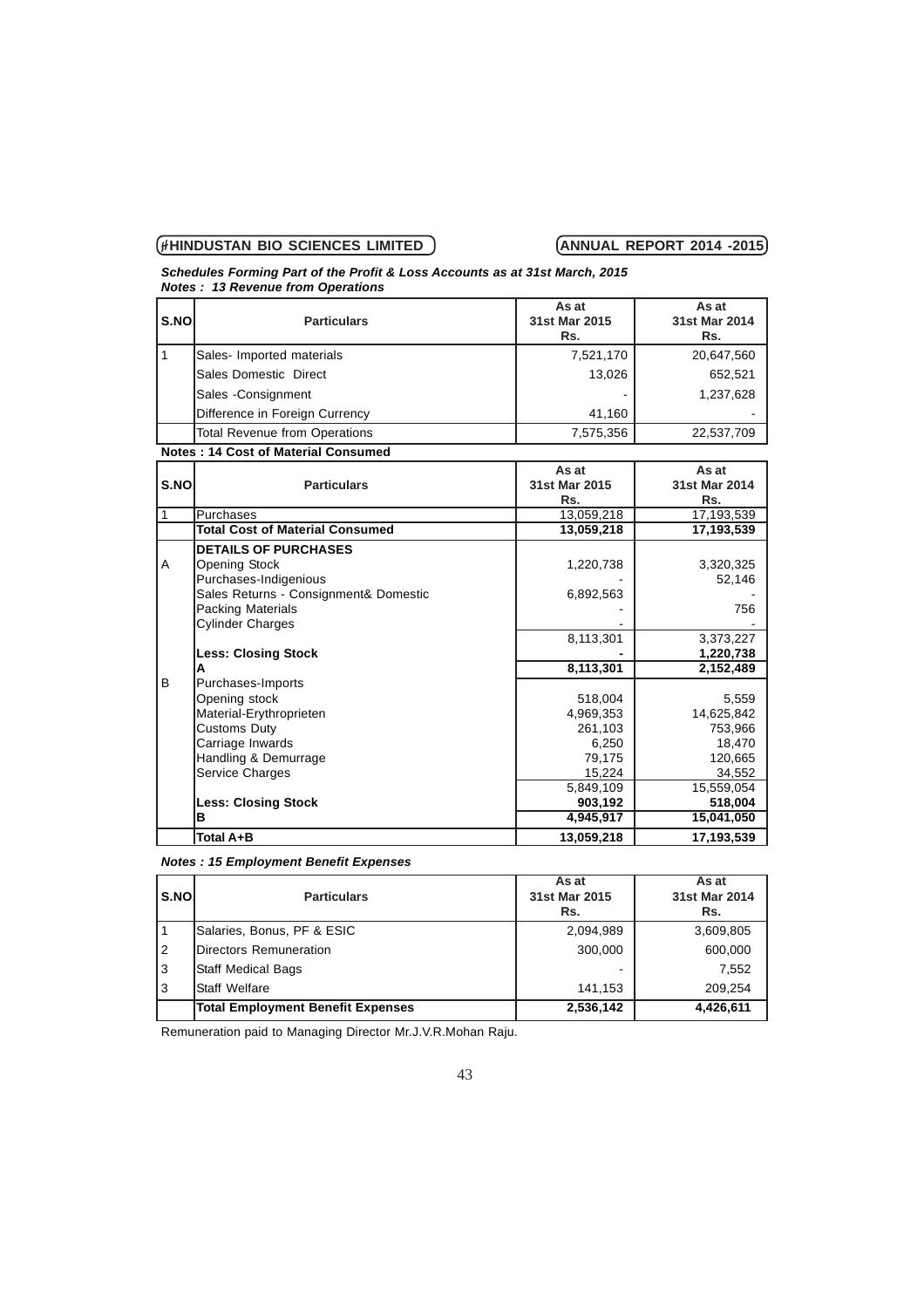### *Schedules Forming Part of the Profit & Loss Accounts as at 31st March, 2015 Notes : 13 Revenue from Operations*

| S.NO.<br><b>Particulars</b>    | As at<br>31st Mar 2015<br>Rs. | As at<br>31st Mar 2014<br>Rs. |
|--------------------------------|-------------------------------|-------------------------------|
| Sales-Imported materials       | 7,521,170                     | 20,647,560                    |
| Sales Domestic Direct          | 13,026                        | 652.521                       |
| Sales - Consignment            |                               | 1,237,628                     |
| Difference in Foreign Currency | 41,160                        |                               |
| Total Revenue from Operations  | 7,575,356                     | 22,537,709                    |
|                                |                               |                               |

**Notes : 14 Cost of Material Consumed**

| S.NO | <b>Particulars</b>                     | As at<br>31st Mar 2015<br>Rs. | As at<br>31st Mar 2014<br>Rs. |
|------|----------------------------------------|-------------------------------|-------------------------------|
|      | <b>Purchases</b>                       | 13,059,218                    | 17,193,539                    |
|      | <b>Total Cost of Material Consumed</b> | 13,059,218                    | 17,193,539                    |
|      | <b>DETAILS OF PURCHASES</b>            |                               |                               |
| A    | <b>Opening Stock</b>                   | 1,220,738                     | 3,320,325                     |
|      | Purchases-Indigenious                  |                               | 52,146                        |
|      | Sales Returns - Consignment& Domestic  | 6,892,563                     |                               |
|      | <b>Packing Materials</b>               |                               | 756                           |
|      | <b>Cylinder Charges</b>                |                               |                               |
|      |                                        | 8,113,301                     | 3,373,227                     |
|      | <b>Less: Closing Stock</b>             |                               | 1,220,738                     |
|      | A                                      | 8,113,301                     | 2,152,489                     |
| B    | Purchases-Imports                      |                               |                               |
|      | Opening stock                          | 518,004                       | 5,559                         |
|      | Material-Erythroprieten                | 4,969,353                     | 14,625,842                    |
|      | <b>Customs Duty</b>                    | 261,103                       | 753,966                       |
|      | Carriage Inwards                       | 6,250                         | 18,470                        |
|      | Handling & Demurrage                   | 79,175                        | 120,665                       |
|      | Service Charges                        | 15,224                        | 34,552                        |
|      |                                        | 5,849,109                     | 15,559,054                    |
|      | <b>Less: Closing Stock</b>             | 903,192                       | 518,004                       |
|      | в                                      | 4,945,917                     | 15,041,050                    |
|      | Total A+B                              | 13,059,218                    | 17,193,539                    |

## *Notes : 15 Employment Benefit Expenses*

| S.NO. | <b>Particulars</b>                       | As at<br>31st Mar 2015<br>Rs. | As at<br>31st Mar 2014<br>Rs. |
|-------|------------------------------------------|-------------------------------|-------------------------------|
|       | Salaries, Bonus, PF & ESIC               | 2,094,989                     | 3,609,805                     |
| 2     | Directors Remuneration                   | 300.000                       | 600,000                       |
| 3     | <b>Staff Medical Bags</b>                |                               | 7.552                         |
| 3     | <b>IStaff Welfare</b>                    | 141.153                       | 209.254                       |
|       | <b>Total Employment Benefit Expenses</b> | 2,536,142                     | 4,426,611                     |

Remuneration paid to Managing Director Mr.J.V.R.Mohan Raju.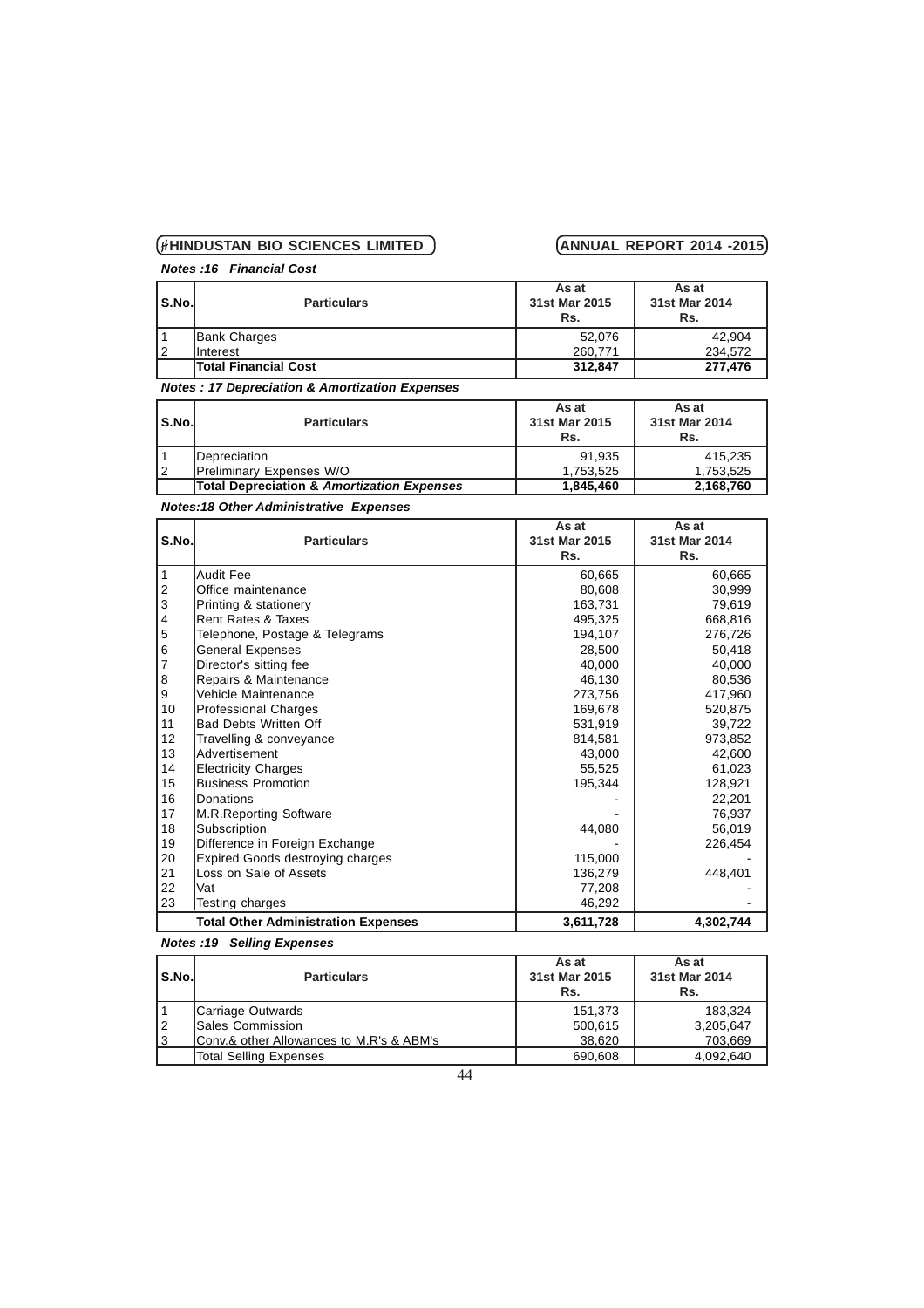*Notes :16 Financial Cost*

| S.No. | <b>Particulars</b>          | As at<br>31st Mar 2015<br>Rs. | As at<br>31st Mar 2014<br>Rs. |
|-------|-----------------------------|-------------------------------|-------------------------------|
|       | <b>Bank Charges</b>         | 52.076                        | 42.904                        |
| 2     | <b>Interest</b>             | 260.771                       | 234.572                       |
|       | <b>Total Financial Cost</b> | 312.847                       | 277,476                       |

*Notes : 17 Depreciation & Amortization Expenses*

| l S.No.l | <b>Particulars</b>                         | As at<br>31st Mar 2015<br>Rs. | As at<br>31st Mar 2014<br>Rs. |
|----------|--------------------------------------------|-------------------------------|-------------------------------|
|          | <b>IDepreciation</b>                       | 91.935                        | 415.235                       |
| 12       | <b>Preliminary Expenses W/O</b>            | 1.753.525                     | 1.753.525                     |
|          | Total Depreciation & Amortization Expenses | 1,845,460                     | 2,168,760                     |

# *Notes:18 Other Administrative Expenses*

|                |                                            | As at         | As at         |
|----------------|--------------------------------------------|---------------|---------------|
| S.No.          | <b>Particulars</b>                         | 31st Mar 2015 | 31st Mar 2014 |
|                |                                            | Rs.           | Rs.           |
| 1              | Audit Fee                                  | 60,665        | 60,665        |
| $\overline{c}$ | Office maintenance                         | 80,608        | 30,999        |
| 3              | Printing & stationery                      | 163,731       | 79,619        |
| 4              | Rent Rates & Taxes                         | 495,325       | 668,816       |
| 5              | Telephone, Postage & Telegrams             | 194,107       | 276,726       |
| 6              | <b>General Expenses</b>                    | 28,500        | 50,418        |
| 7              | Director's sitting fee                     | 40,000        | 40,000        |
| 8              | Repairs & Maintenance                      | 46,130        | 80,536        |
| 9              | Vehicle Maintenance                        | 273,756       | 417,960       |
| 10             | <b>Professional Charges</b>                | 169,678       | 520,875       |
| 11             | <b>Bad Debts Written Off</b>               | 531.919       | 39,722        |
| 12             | Travelling & conveyance                    | 814,581       | 973,852       |
| 13             | lAdvertisement                             | 43.000        | 42,600        |
| 14             | <b>Electricity Charges</b>                 | 55,525        | 61,023        |
| 15             | Business Promotion                         | 195,344       | 128,921       |
| 16             | Donations                                  |               | 22,201        |
| 17             | M.R.Reporting Software                     |               | 76,937        |
| 18             | Subscription                               | 44,080        | 56,019        |
| 19             | Difference in Foreign Exchange             |               | 226,454       |
| 20             | <b>Expired Goods destroying charges</b>    | 115.000       |               |
| 21             | Loss on Sale of Assets                     | 136,279       | 448,401       |
| 22             | Vat                                        | 77,208        |               |
| 23             | Testing charges                            | 46,292        |               |
|                | <b>Total Other Administration Expenses</b> | 3,611,728     | 4,302,744     |

# *Notes :19 Selling Expenses*

| S.No. | <b>Particulars</b>                                      | As at<br>31st Mar 2015<br>Rs. | As at<br>31st Mar 2014<br>Rs. |
|-------|---------------------------------------------------------|-------------------------------|-------------------------------|
|       | Carriage Outwards                                       | 151.373                       | 183.324                       |
| 12    | <b>Sales Commission</b>                                 | 500,615                       | 3,205,647                     |
| Iз    | <b>Conv.&amp; other Allowances to M.R's &amp; ABM's</b> | 38,620                        | 703,669                       |
|       | <b>Total Selling Expenses</b>                           | 690,608                       | 4,092,640                     |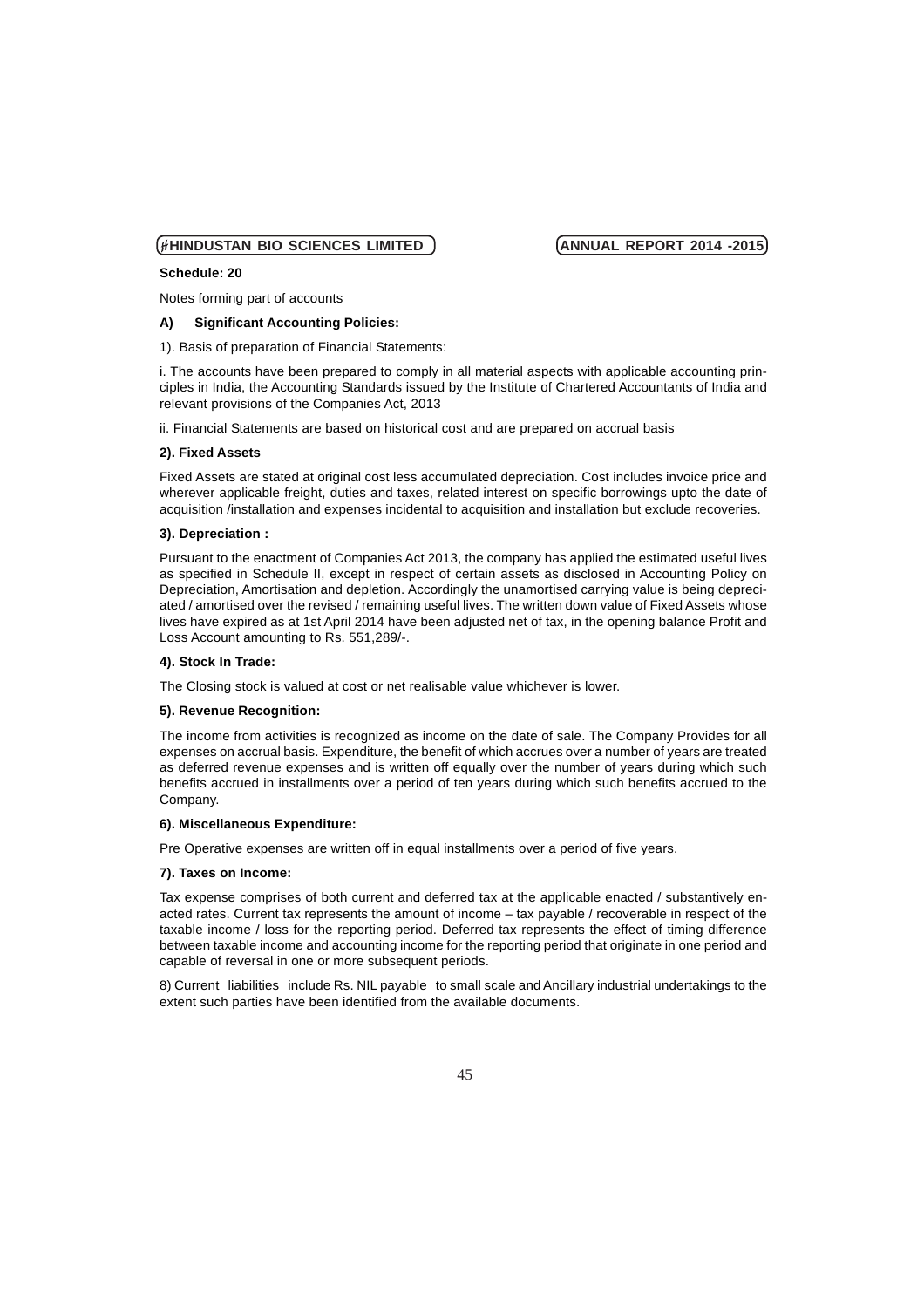### **Schedule: 20**

Notes forming part of accounts

**A) Significant Accounting Policies:**

1). Basis of preparation of Financial Statements:

i. The accounts have been prepared to comply in all material aspects with applicable accounting principles in India, the Accounting Standards issued by the Institute of Chartered Accountants of India and relevant provisions of the Companies Act, 2013

ii. Financial Statements are based on historical cost and are prepared on accrual basis

### **2). Fixed Assets**

Fixed Assets are stated at original cost less accumulated depreciation. Cost includes invoice price and wherever applicable freight, duties and taxes, related interest on specific borrowings upto the date of acquisition /installation and expenses incidental to acquisition and installation but exclude recoveries.

### **3). Depreciation :**

Pursuant to the enactment of Companies Act 2013, the company has applied the estimated useful lives as specified in Schedule II, except in respect of certain assets as disclosed in Accounting Policy on Depreciation, Amortisation and depletion. Accordingly the unamortised carrying value is being depreciated / amortised over the revised / remaining useful lives. The written down value of Fixed Assets whose lives have expired as at 1st April 2014 have been adjusted net of tax, in the opening balance Profit and Loss Account amounting to Rs. 551,289/-.

### **4). Stock In Trade:**

The Closing stock is valued at cost or net realisable value whichever is lower.

### **5). Revenue Recognition:**

The income from activities is recognized as income on the date of sale. The Company Provides for all expenses on accrual basis. Expenditure, the benefit of which accrues over a number of years are treated as deferred revenue expenses and is written off equally over the number of years during which such benefits accrued in installments over a period of ten years during which such benefits accrued to the Company.

### **6). Miscellaneous Expenditure:**

Pre Operative expenses are written off in equal installments over a period of five years.

### **7). Taxes on Income:**

Tax expense comprises of both current and deferred tax at the applicable enacted / substantively enacted rates. Current tax represents the amount of income – tax payable / recoverable in respect of the taxable income / loss for the reporting period. Deferred tax represents the effect of timing difference between taxable income and accounting income for the reporting period that originate in one period and capable of reversal in one or more subsequent periods.

8) Current liabilities include Rs. NIL payable to small scale and Ancillary industrial undertakings to the extent such parties have been identified from the available documents.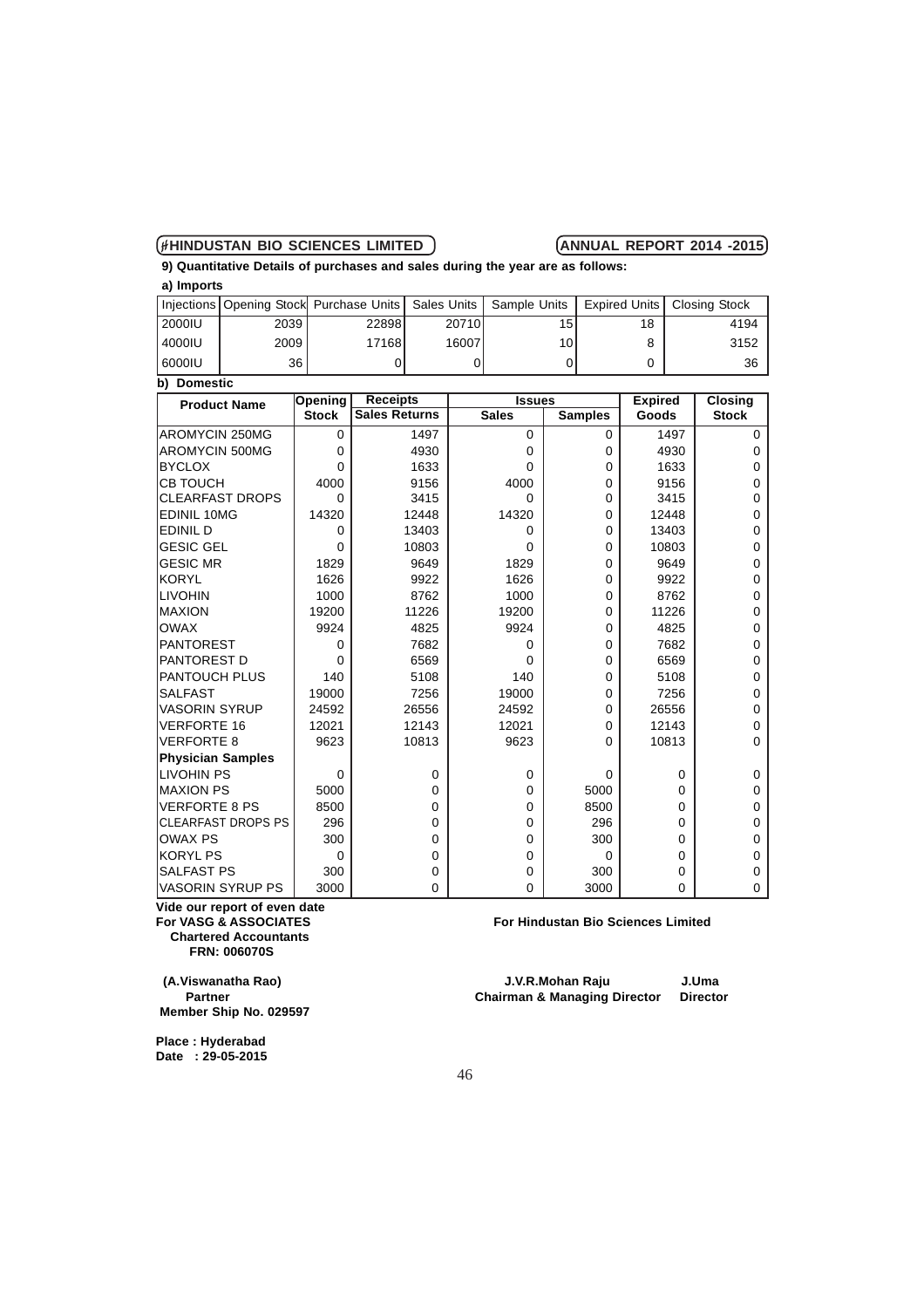**9) Quantitative Details of purchases and sales during the year are as follows: a) Imports**

|                       |      | Injections   Opening Stock   Purchase Units   Sales Units   Sample Units |       |                 |    | Expired Units   Closing Stock |  |
|-----------------------|------|--------------------------------------------------------------------------|-------|-----------------|----|-------------------------------|--|
| 2000IU                | 2039 | 22898                                                                    | 20710 | 15 <sup>1</sup> | 18 | 4194                          |  |
| 4000IU                | 2009 | 17168                                                                    | 16007 | 10 <sup>1</sup> |    | 3152                          |  |
| 60001U                | 36   |                                                                          |       |                 |    | 36                            |  |
| b)<br><b>Domestic</b> |      |                                                                          |       |                 |    |                               |  |

| <b>Product Name</b>       | Opening      | <b>Receipts</b>      | <b>Issues</b> |                | <b>Expired</b> | <b>Closing</b> |
|---------------------------|--------------|----------------------|---------------|----------------|----------------|----------------|
|                           | <b>Stock</b> | <b>Sales Returns</b> | <b>Sales</b>  | <b>Samples</b> | Goods          | <b>Stock</b>   |
| <b>AROMYCIN 250MG</b>     | 0            | 1497                 | $\Omega$      | $\Omega$       | 1497           | 0              |
| <b>AROMYCIN 500MG</b>     | 0            | 4930                 | $\Omega$      | $\Omega$       | 4930           | 0              |
| <b>BYCLOX</b>             | 0            | 1633                 | 0             | $\Omega$       | 1633           | 0              |
| <b>CB TOUCH</b>           | 4000         | 9156                 | 4000          | $\Omega$       | 9156           | 0              |
| <b>CLEARFAST DROPS</b>    | 0            | 3415                 | 0             | $\Omega$       | 3415           | 0              |
| <b>EDINIL 10MG</b>        | 14320        | 12448                | 14320         | $\Omega$       | 12448          | 0              |
| <b>EDINIL D</b>           | 0            | 13403                | $\Omega$      | $\Omega$       | 13403          | 0              |
| <b>GESIC GEL</b>          | 0            | 10803                | 0             | $\Omega$       | 10803          | 0              |
| <b>GESIC MR</b>           | 1829         | 9649                 | 1829          | $\Omega$       | 9649           | 0              |
| <b>KORYL</b>              | 1626         | 9922                 | 1626          | $\Omega$       | 9922           | 0              |
| LIVOHIN                   | 1000         | 8762                 | 1000          | $\mathbf 0$    | 8762           | 0              |
| <b>IMAXION</b>            | 19200        | 11226                | 19200         | $\Omega$       | 11226          | 0              |
| <b>OWAX</b>               | 9924         | 4825                 | 9924          | $\Omega$       | 4825           | 0              |
| PANTOREST                 | 0            | 7682                 | $\Omega$      | $\Omega$       | 7682           | 0              |
| PANTOREST D               | 0            | 6569                 | 0             | $\mathbf 0$    | 6569           | 0              |
| <b>PANTOUCH PLUS</b>      | 140          | 5108                 | 140           | $\Omega$       | 5108           | 0              |
| <b>SALFAST</b>            | 19000        | 7256                 | 19000         | $\Omega$       | 7256           | 0              |
| <b>VASORIN SYRUP</b>      | 24592        | 26556                | 24592         | $\Omega$       | 26556          | 0              |
| <b>VERFORTE 16</b>        | 12021        | 12143                | 12021         | $\Omega$       | 12143          | 0              |
| <b>VERFORTE 8</b>         | 9623         | 10813                | 9623          | $\Omega$       | 10813          | 0              |
| <b>Physician Samples</b>  |              |                      |               |                |                |                |
| LIVOHIN PS                | $\mathbf 0$  | 0                    | 0             | $\Omega$       | 0              | 0              |
| <b>MAXION PS</b>          | 5000         | 0                    | 0             | 5000           | 0              | 0              |
| <b>VERFORTE 8 PS</b>      | 8500         | 0                    | $\Omega$      | 8500           | 0              | 0              |
| <b>CLEARFAST DROPS PS</b> | 296          | 0                    | 0             | 296            | 0              | 0              |
| <b>OWAX PS</b>            | 300          | 0                    | $\Omega$      | 300            | 0              | 0              |
| <b>KORYL PS</b>           | 0            | 0                    | 0             | $\Omega$       | 0              | 0              |
| <b>SALFAST PS</b>         | 300          | 0                    | $\Omega$      | 300            | 0              | 0              |
| <b>VASORIN SYRUP PS</b>   | 3000         | 0                    | 0             | 3000           | 0              | 0              |

**Vide our report of even date Chartered Accountants FRN: 006070S**

 **Member Ship No. 029597**

**For Hindustan Bio Sciences Limited** 

 **(A.Viswanatha Rao) J.V.R.Mohan Raju J.Uma Partner Chairman & Managing Director Director** 

**Place : Hyderabad Date : 29-05-2015**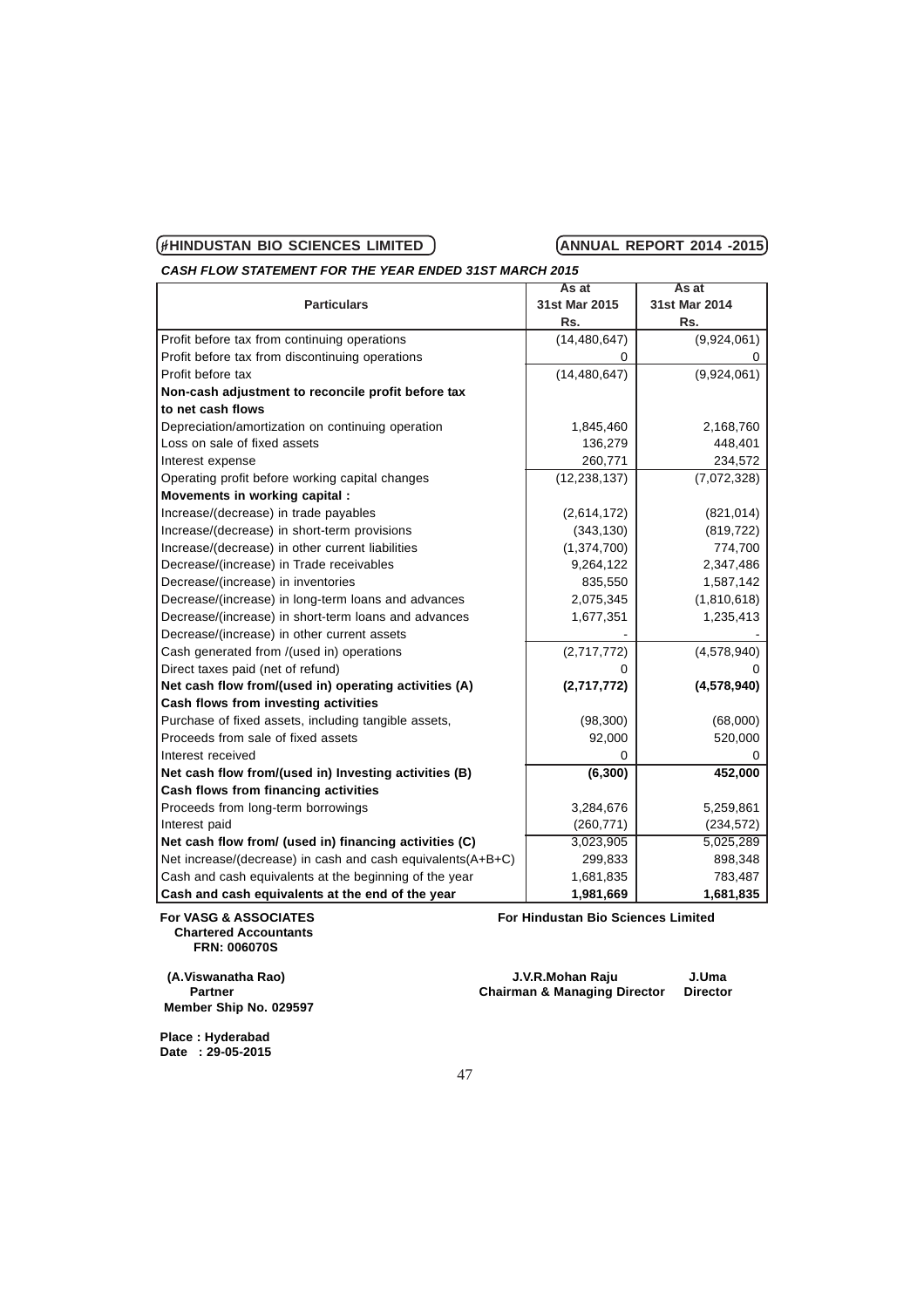*CASH FLOW STATEMENT FOR THE YEAR ENDED 31ST MARCH 2015*

|                                                             | As at          | As at         |
|-------------------------------------------------------------|----------------|---------------|
| <b>Particulars</b>                                          | 31st Mar 2015  | 31st Mar 2014 |
|                                                             | Rs.            | Rs.           |
| Profit before tax from continuing operations                | (14, 480, 647) | (9,924,061)   |
| Profit before tax from discontinuing operations             | 0              | 0             |
| Profit before tax                                           | (14, 480, 647) | (9,924,061)   |
| Non-cash adjustment to reconcile profit before tax          |                |               |
| to net cash flows                                           |                |               |
| Depreciation/amortization on continuing operation           | 1,845,460      | 2,168,760     |
| Loss on sale of fixed assets                                | 136,279        | 448,401       |
| Interest expense                                            | 260,771        | 234,572       |
| Operating profit before working capital changes             | (12, 238, 137) | (7,072,328)   |
| Movements in working capital:                               |                |               |
| Increase/(decrease) in trade payables                       | (2,614,172)    | (821, 014)    |
| Increase/(decrease) in short-term provisions                | (343, 130)     | (819, 722)    |
| Increase/(decrease) in other current liabilities            | (1, 374, 700)  | 774,700       |
| Decrease/(increase) in Trade receivables                    | 9,264,122      | 2,347,486     |
| Decrease/(increase) in inventories                          | 835,550        | 1,587,142     |
| Decrease/(increase) in long-term loans and advances         | 2,075,345      | (1,810,618)   |
| Decrease/(increase) in short-term loans and advances        | 1,677,351      | 1,235,413     |
| Decrease/(increase) in other current assets                 |                |               |
| Cash generated from /(used in) operations                   | (2,717,772)    | (4,578,940)   |
| Direct taxes paid (net of refund)                           | 0              |               |
| Net cash flow from/(used in) operating activities (A)       | (2,717,772)    | (4,578,940)   |
| Cash flows from investing activities                        |                |               |
| Purchase of fixed assets, including tangible assets,        | (98, 300)      | (68,000)      |
| Proceeds from sale of fixed assets                          | 92,000         | 520,000       |
| Interest received                                           | 0              |               |
| Net cash flow from/(used in) Investing activities (B)       | (6, 300)       | 452,000       |
| Cash flows from financing activities                        |                |               |
| Proceeds from long-term borrowings                          | 3,284,676      | 5,259,861     |
| Interest paid                                               | (260, 771)     | (234, 572)    |
| Net cash flow from/ (used in) financing activities (C)      | 3,023,905      | 5,025,289     |
| Net increase/(decrease) in cash and cash equivalents(A+B+C) | 299,833        | 898,348       |
| Cash and cash equivalents at the beginning of the year      | 1,681,835      | 783,487       |
| Cash and cash equivalents at the end of the year            | 1,981,669      | 1,681,835     |

 **Chartered Accountants FRN: 006070S**

 **Member Ship No. 029597**

For VASG & ASSOCIATES **For Hindustan Bio Sciences Limited** 

 **(A.Viswanatha Rao) J.V.R.Mohan Raju J.Uma Partner Chairman & Managing Director Director**

**Place : Hyderabad Date : 29-05-2015**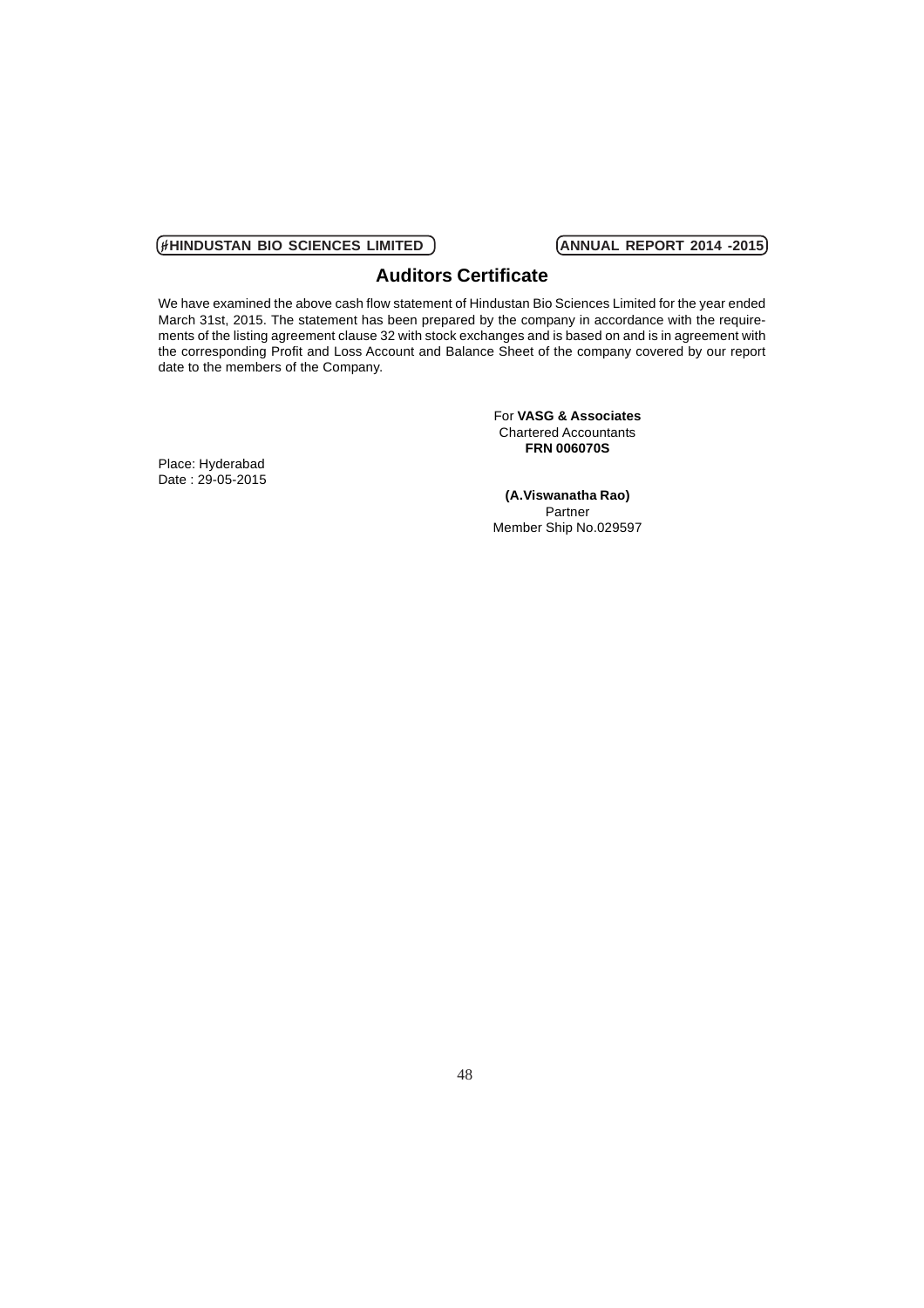# **Auditors Certificate**

We have examined the above cash flow statement of Hindustan Bio Sciences Limited for the year ended March 31st, 2015. The statement has been prepared by the company in accordance with the requirements of the listing agreement clause 32 with stock exchanges and is based on and is in agreement with the corresponding Profit and Loss Account and Balance Sheet of the company covered by our report date to the members of the Company.

> For **VASG & Associates** Chartered Accountants **FRN 006070S**

Place: Hyderabad Date : 29-05-2015

**(A.Viswanatha Rao)** Partner Member Ship No.029597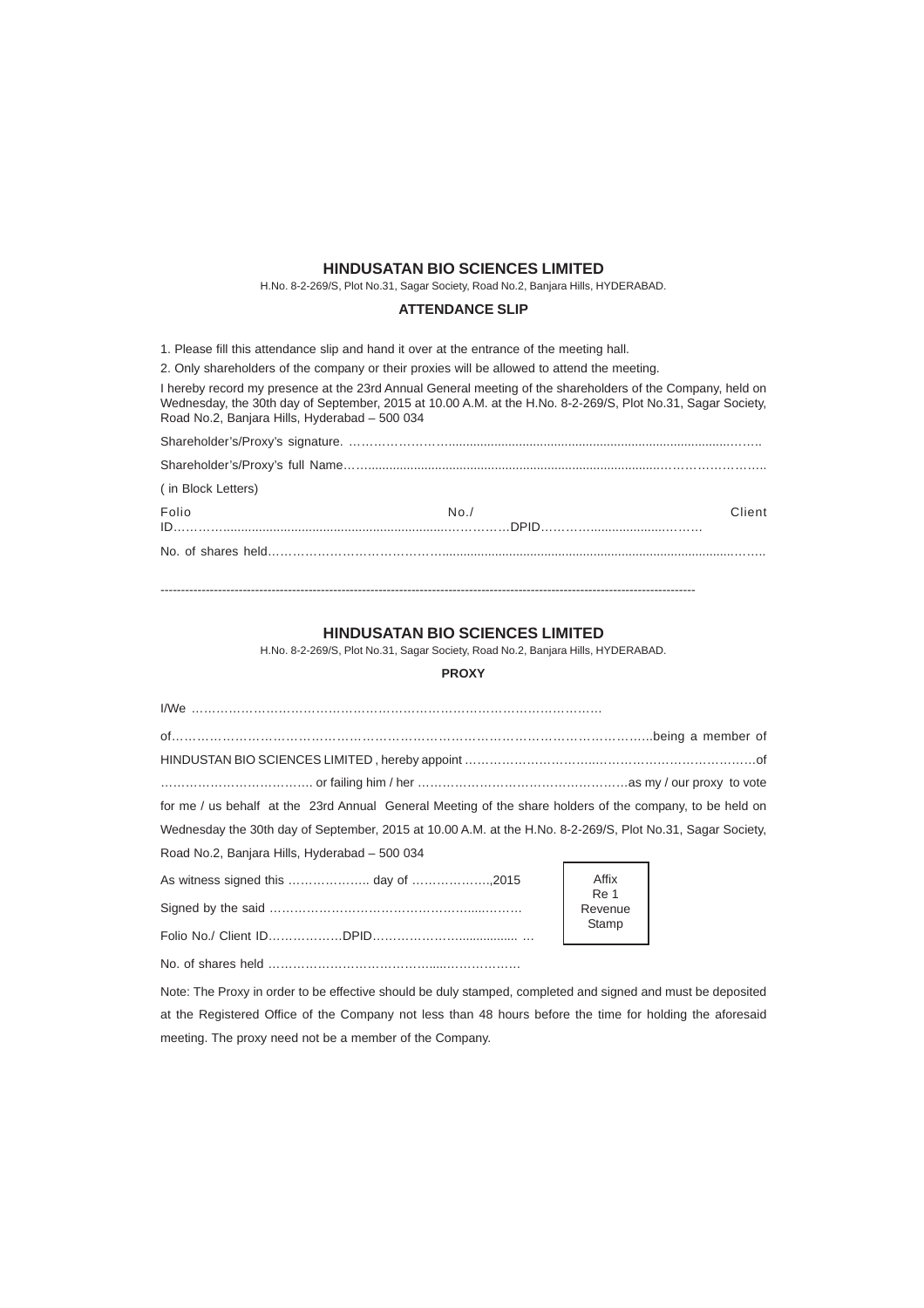# **HINDUSATAN BIO SCIENCES LIMITED**

H.No. 8-2-269/S, Plot No.31, Sagar Society, Road No.2, Banjara Hills, HYDERABAD.

### **ATTENDANCE SLIP**

1. Please fill this attendance slip and hand it over at the entrance of the meeting hall.

2. Only shareholders of the company or their proxies will be allowed to attend the meeting.

I hereby record my presence at the 23rd Annual General meeting of the shareholders of the Company, held on Wednesday, the 30th day of September, 2015 at 10.00 A.M. at the H.No. 8-2-269/S, Plot No.31, Sagar Society, Road No.2, Banjara Hills, Hyderabad – 500 034

| (in Block Letters) |     |        |
|--------------------|-----|--------|
| Folio              | No. | Client |
|                    |     |        |
|                    |     |        |

----------------------------------------------------------------------------------------------------------------------------------

### **HINDUSATAN BIO SCIENCES LIMITED**

H.No. 8-2-269/S, Plot No.31, Sagar Society, Road No.2, Banjara Hills, HYDERABAD.

# **PROXY**

| for me / us behalf at the 23rd Annual General Meeting of the share holders of the company, to be held on   |                 |  |  |  |
|------------------------------------------------------------------------------------------------------------|-----------------|--|--|--|
| Wednesday the 30th day of September, 2015 at 10.00 A.M. at the H.No. 8-2-269/S, Plot No.31, Sagar Society, |                 |  |  |  |
| Road No.2, Banjara Hills, Hyderabad - 500 034                                                              |                 |  |  |  |
| As witness signed this  day of 2015                                                                        | Affix           |  |  |  |
|                                                                                                            | Re 1<br>Revenue |  |  |  |
|                                                                                                            | Stamp           |  |  |  |
|                                                                                                            |                 |  |  |  |

Note: The Proxy in order to be effective should be duly stamped, completed and signed and must be deposited at the Registered Office of the Company not less than 48 hours before the time for holding the aforesaid meeting. The proxy need not be a member of the Company.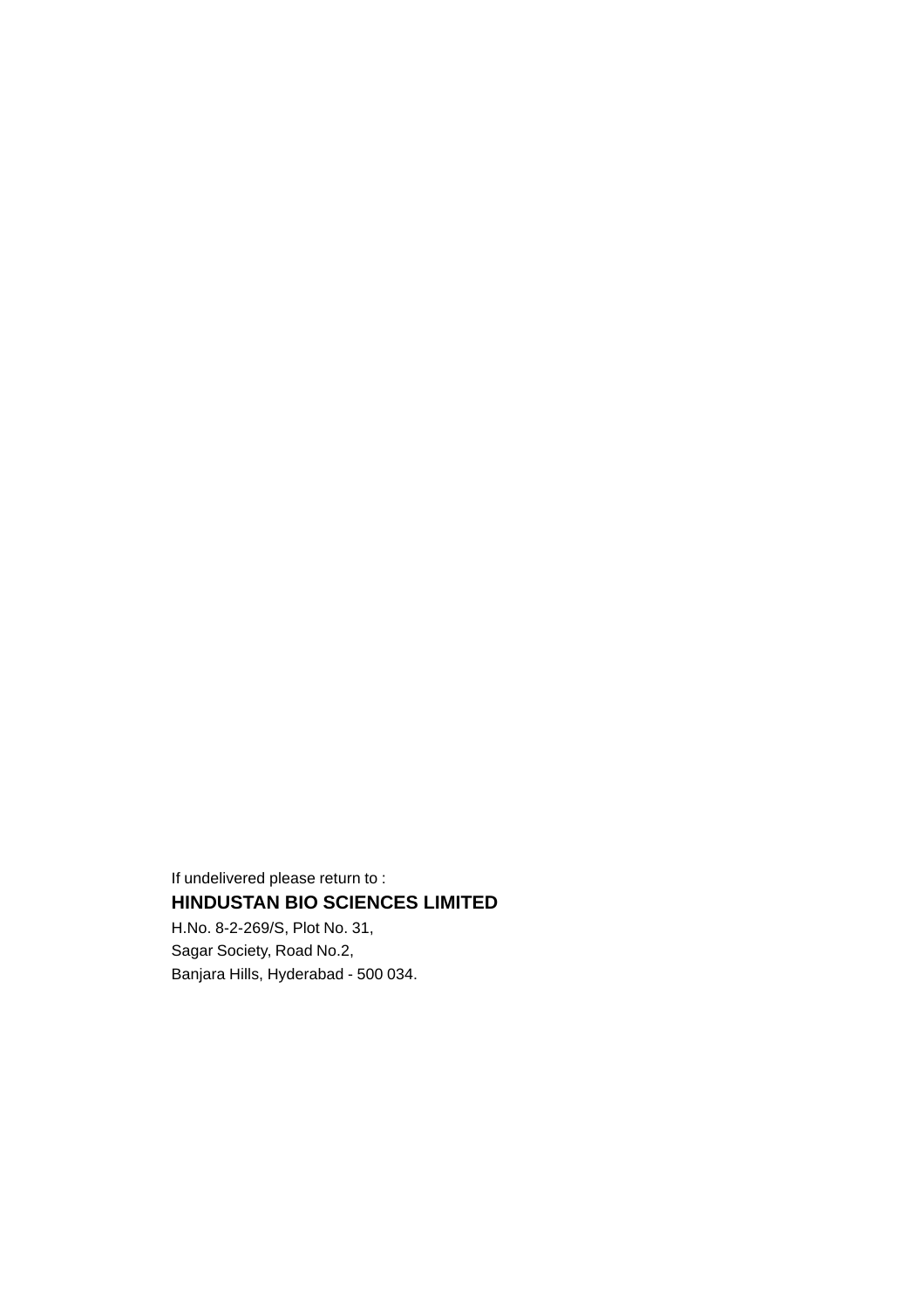If undelivered please return to : **HINDUSTAN BIO SCIENCES LIMITED** H.No. 8-2-269/S, Plot No. 31,

Sagar Society, Road No.2, Banjara Hills, Hyderabad - 500 034.